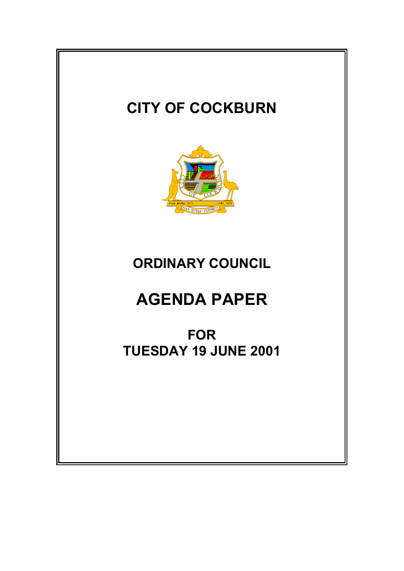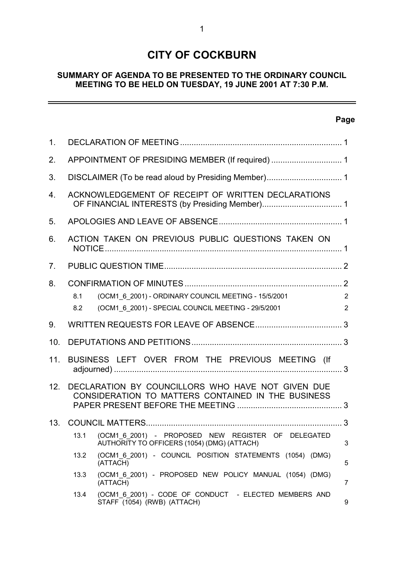# **CITY OF COCKBURN**

# **SUMMARY OF AGENDA TO BE PRESENTED TO THE ORDINARY COUNCIL MEETING TO BE HELD ON TUESDAY, 19 JUNE 2001 AT 7:30 P.M.**

# **Page**

 $\equiv$ 

| 1 <sub>1</sub>  |                                                                                                         |                                                                                                             |                     |  |  |
|-----------------|---------------------------------------------------------------------------------------------------------|-------------------------------------------------------------------------------------------------------------|---------------------|--|--|
| 2.              | APPOINTMENT OF PRESIDING MEMBER (If required)  1                                                        |                                                                                                             |                     |  |  |
| 3.              | DISCLAIMER (To be read aloud by Presiding Member) 1                                                     |                                                                                                             |                     |  |  |
| 4.              | ACKNOWLEDGEMENT OF RECEIPT OF WRITTEN DECLARATIONS                                                      |                                                                                                             |                     |  |  |
| 5.              |                                                                                                         |                                                                                                             |                     |  |  |
| 6.              | ACTION TAKEN ON PREVIOUS PUBLIC QUESTIONS TAKEN ON                                                      |                                                                                                             |                     |  |  |
| 7 <sub>1</sub>  |                                                                                                         |                                                                                                             |                     |  |  |
| 8.              | 8.1<br>8.2                                                                                              | (OCM1_6_2001) - ORDINARY COUNCIL MEETING - 15/5/2001<br>(OCM1_6_2001) - SPECIAL COUNCIL MEETING - 29/5/2001 | 2<br>$\overline{2}$ |  |  |
| 9.              |                                                                                                         |                                                                                                             |                     |  |  |
| 10 <sub>1</sub> |                                                                                                         |                                                                                                             |                     |  |  |
| 11.             | BUSINESS LEFT OVER FROM THE PREVIOUS MEETING (If                                                        |                                                                                                             |                     |  |  |
| 12.             | DECLARATION BY COUNCILLORS WHO HAVE NOT GIVEN DUE<br>CONSIDERATION TO MATTERS CONTAINED IN THE BUSINESS |                                                                                                             |                     |  |  |
| 13.             |                                                                                                         |                                                                                                             |                     |  |  |
|                 | 13.1                                                                                                    | (OCM1 6 2001) - PROPOSED NEW REGISTER OF DELEGATED<br>AUTHORITY TO OFFICERS (1054) (DMG) (ATTACH)           | 3                   |  |  |
|                 | 13.2                                                                                                    | (OCM1_6_2001) - COUNCIL POSITION STATEMENTS (1054) (DMG)<br>(ATTACH)                                        | 5                   |  |  |
|                 | 13.3                                                                                                    | (OCM1_6_2001) - PROPOSED NEW POLICY MANUAL (1054) (DMG)<br>(ATTACH)                                         | 7                   |  |  |
|                 | 13.4                                                                                                    | (OCM1_6_2001) - CODE OF CONDUCT - ELECTED MEMBERS AND<br>STAFF (1054) (RWB) (ATTACH)                        | 9                   |  |  |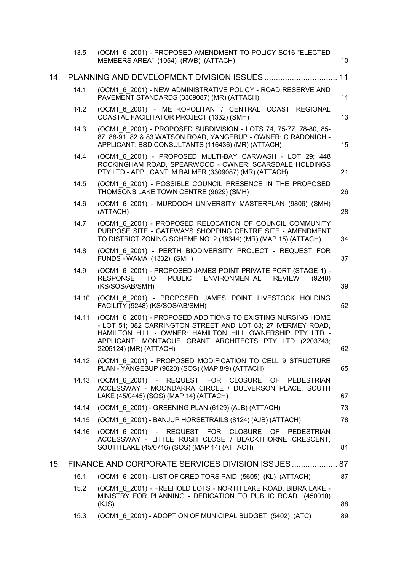|     | 13.5  | (OCM1 6 2001) - PROPOSED AMENDMENT TO POLICY SC16 "ELECTED<br>MEMBERS AREA" (1054) (RWB) (ATTACH)                                                                                                                                                                           | 10 |
|-----|-------|-----------------------------------------------------------------------------------------------------------------------------------------------------------------------------------------------------------------------------------------------------------------------------|----|
| 14. |       |                                                                                                                                                                                                                                                                             | 11 |
|     | 14.1  | (OCM1 6 2001) - NEW ADMINISTRATIVE POLICY - ROAD RESERVE AND<br>PAVEMENT STANDARDS (3309087) (MR) (ATTACH)                                                                                                                                                                  | 11 |
|     | 14.2  | (OCM1 6 2001) - METROPOLITAN / CENTRAL COAST REGIONAL<br>COASTAL FACILITATOR PROJECT (1332) (SMH)                                                                                                                                                                           | 13 |
|     | 14.3  | (OCM1 6 2001) - PROPOSED SUBDIVISION - LOTS 74, 75-77, 78-80, 85-<br>87, 88-91, 82 & 83 WATSON ROAD, YANGEBUP - OWNER: C RADONICH -<br>APPLICANT: BSD CONSULTANTS (116436) (MR) (ATTACH)                                                                                    | 15 |
|     | 14.4  | (OCM1 6 2001) - PROPOSED MULTI-BAY CARWASH - LOT 29; 448<br>ROCKINGHAM ROAD, SPEARWOOD - OWNER: SCARSDALE HOLDINGS<br>PTY LTD - APPLICANT: M BALMER (3309087) (MR) (ATTACH)                                                                                                 | 21 |
|     | 14.5  | (OCM1 6 2001) - POSSIBLE COUNCIL PRESENCE IN THE PROPOSED<br>THOMSONS LAKE TOWN CENTRE (9629) (SMH)                                                                                                                                                                         | 26 |
|     | 14.6  | (OCM1 6 2001) - MURDOCH UNIVERSITY MASTERPLAN (9806) (SMH)<br>(ATTACH)                                                                                                                                                                                                      | 28 |
|     | 14.7  | (OCM1 6 2001) - PROPOSED RELOCATION OF COUNCIL COMMUNITY<br>PURPOSE SITE - GATEWAYS SHOPPING CENTRE SITE - AMENDMENT<br>TO DISTRICT ZONING SCHEME NO. 2 (18344) (MR) (MAP 15) (ATTACH)                                                                                      | 34 |
|     | 14.8  | (OCM1 6 2001) - PERTH BIODIVERSITY PROJECT - REQUEST FOR<br>FUNDS - WAMA (1332) (SMH)                                                                                                                                                                                       | 37 |
|     | 14.9  | (OCM1 6 2001) - PROPOSED JAMES POINT PRIVATE PORT (STAGE 1) -<br><b>RESPONSE</b><br><b>PUBLIC</b><br><b>ENVIRONMENTAL</b><br>TO.<br><b>REVIEW</b><br>(9248)<br>(KS/SOS/AB/SMH)                                                                                              | 39 |
|     | 14.10 | (OCM1 6 2001) - PROPOSED JAMES POINT LIVESTOCK HOLDING<br>FACILITY (9248) (KS/SOS/AB/SMH)                                                                                                                                                                                   | 52 |
|     | 14.11 | (OCM1 6 2001) - PROPOSED ADDITIONS TO EXISTING NURSING HOME<br>- LOT 51; 382 CARRINGTON STREET AND LOT 63; 27 IVERMEY ROAD,<br>HAMILTON HILL - OWNER: HAMILTON HILL OWNERSHIP PTY LTD -<br>APPLICANT: MONTAGUE GRANT ARCHITECTS PTY LTD (2203743;<br>2205124) (MR) (ATTACH) | 62 |
|     |       | 14.12 (OCM1 6 2001) - PROPOSED MODIFICATION TO CELL 9 STRUCTURE<br>PLAN - YANGEBUP (9620) (SOS) (MAP 8/9) (ATTACH)                                                                                                                                                          | 65 |
|     | 14.13 | (OCM1 6 2001) - REQUEST FOR CLOSURE OF PEDESTRIAN<br>ACCESSWAY - MOONDARRA CIRCLE / DULVERSON PLACE, SOUTH<br>LAKE (45/0445) (SOS) (MAP 14) (ATTACH)                                                                                                                        | 67 |
|     | 14.14 | (OCM1 6 2001) - GREENING PLAN (6129) (AJB) (ATTACH)                                                                                                                                                                                                                         | 73 |
|     | 14.15 | (OCM1 6 2001) - BANJUP HORSETRAILS (8124) (AJB) (ATTACH)                                                                                                                                                                                                                    | 78 |
|     | 14.16 | (OCM1 6 2001) - REQUEST FOR CLOSURE OF PEDESTRIAN<br>ACCESSWAY - LITTLE RUSH CLOSE / BLACKTHORNE CRESCENT,<br>SOUTH LAKE (45/0716) (SOS) (MAP 14) (ATTACH)                                                                                                                  | 81 |
| 15. |       | FINANCE AND CORPORATE SERVICES DIVISION ISSUES 87                                                                                                                                                                                                                           |    |
|     | 15.1  | (OCM1 6 2001) - LIST OF CREDITORS PAID (5605) (KL) (ATTACH)                                                                                                                                                                                                                 | 87 |
|     | 15.2  | (OCM1_6_2001) - FREEHOLD LOTS - NORTH LAKE ROAD, BIBRA LAKE -<br>MINISTRY FOR PLANNING - DEDICATION TO PUBLIC ROAD (450010)<br>(KJS)                                                                                                                                        | 88 |
|     | 15.3  | (OCM1 6 2001) - ADOPTION OF MUNICIPAL BUDGET (5402) (ATC)                                                                                                                                                                                                                   | 89 |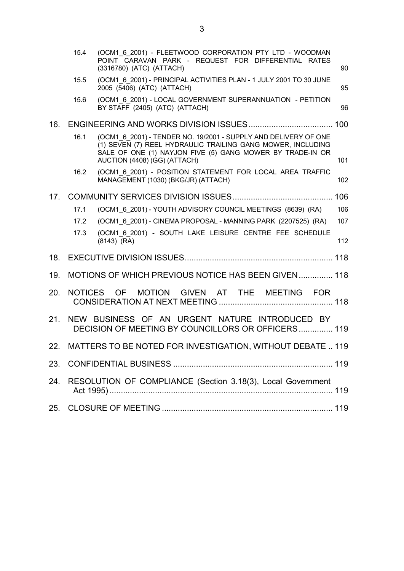|     | 15.4           | (OCM1 6 2001) - FLEETWOOD CORPORATION PTY LTD - WOODMAN<br>POINT CARAVAN PARK - REQUEST FOR DIFFERENTIAL RATES<br>(3316780) (ATC) (ATTACH)                                                                                  | 90  |
|-----|----------------|-----------------------------------------------------------------------------------------------------------------------------------------------------------------------------------------------------------------------------|-----|
|     | 15.5           | (OCM1 6 2001) - PRINCIPAL ACTIVITIES PLAN - 1 JULY 2001 TO 30 JUNE<br>2005 (5406) (ATC) (ATTACH)                                                                                                                            | 95  |
|     | 15.6           | (OCM1 6 2001) - LOCAL GOVERNMENT SUPERANNUATION - PETITION<br>BY STAFF (2405) (ATC) (ATTACH)                                                                                                                                | 96  |
| 16. |                |                                                                                                                                                                                                                             |     |
|     | 16.1           | (OCM1_6_2001) - TENDER NO. 19/2001 - SUPPLY AND DELIVERY OF ONE<br>(1) SEVEN (7) REEL HYDRAULIC TRAILING GANG MOWER, INCLUDING<br>SALE OF ONE (1) NAYJON FIVE (5) GANG MOWER BY TRADE-IN OR<br>AUCTION (4408) (GG) (ATTACH) | 101 |
|     | 16.2           | (OCM1 6 2001) - POSITION STATEMENT FOR LOCAL AREA TRAFFIC<br>MANAGEMENT (1030) (BKG/JR) (ATTACH)                                                                                                                            | 102 |
| 17. |                |                                                                                                                                                                                                                             | 106 |
|     | 17.1           | (OCM1_6_2001) - YOUTH ADVISORY COUNCIL MEETINGS (8639) (RA)                                                                                                                                                                 | 106 |
|     | 17.2           | (OCM1 6 2001) - CINEMA PROPOSAL - MANNING PARK (2207525) (RA)                                                                                                                                                               | 107 |
|     | 17.3           | (OCM1 6 2001) - SOUTH LAKE LEISURE CENTRE FEE SCHEDULE<br>$(8143)$ (RA)                                                                                                                                                     | 112 |
| 18. |                |                                                                                                                                                                                                                             |     |
| 19. |                | MOTIONS OF WHICH PREVIOUS NOTICE HAS BEEN GIVEN 118                                                                                                                                                                         |     |
| 20. | <b>NOTICES</b> | <b>MOTION</b><br>GIVEN AT THE<br>MEETING FOR<br><b>OF</b>                                                                                                                                                                   |     |
| 21. |                | NEW BUSINESS OF AN URGENT NATURE INTRODUCED BY<br>DECISION OF MEETING BY COUNCILLORS OR OFFICERS 119                                                                                                                        |     |
| 22. |                | MATTERS TO BE NOTED FOR INVESTIGATION, WITHOUT DEBATE  119                                                                                                                                                                  |     |
|     |                |                                                                                                                                                                                                                             |     |
| 24. |                | RESOLUTION OF COMPLIANCE (Section 3.18(3), Local Government                                                                                                                                                                 |     |
| 25. |                |                                                                                                                                                                                                                             |     |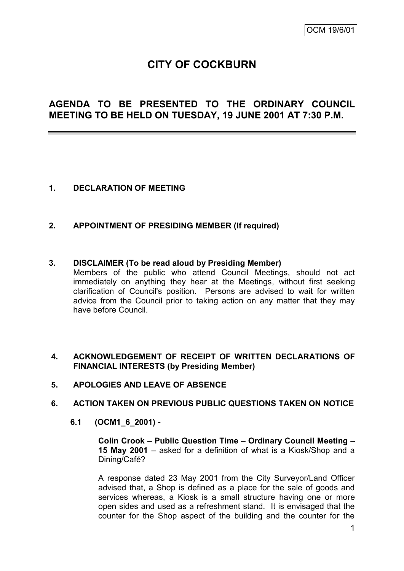# **CITY OF COCKBURN**

# **AGENDA TO BE PRESENTED TO THE ORDINARY COUNCIL MEETING TO BE HELD ON TUESDAY, 19 JUNE 2001 AT 7:30 P.M.**

#### **1. DECLARATION OF MEETING**

#### **2. APPOINTMENT OF PRESIDING MEMBER (If required)**

#### **3. DISCLAIMER (To be read aloud by Presiding Member)**

Members of the public who attend Council Meetings, should not act immediately on anything they hear at the Meetings, without first seeking clarification of Council's position. Persons are advised to wait for written advice from the Council prior to taking action on any matter that they may have before Council.

#### **4. ACKNOWLEDGEMENT OF RECEIPT OF WRITTEN DECLARATIONS OF FINANCIAL INTERESTS (by Presiding Member)**

#### **5. APOLOGIES AND LEAVE OF ABSENCE**

#### **6. ACTION TAKEN ON PREVIOUS PUBLIC QUESTIONS TAKEN ON NOTICE**

#### **6.1 (OCM1\_6\_2001) -**

**Colin Crook – Public Question Time – Ordinary Council Meeting – 15 May 2001** – asked for a definition of what is a Kiosk/Shop and a Dining/Café?

A response dated 23 May 2001 from the City Surveyor/Land Officer advised that, a Shop is defined as a place for the sale of goods and services whereas, a Kiosk is a small structure having one or more open sides and used as a refreshment stand. It is envisaged that the counter for the Shop aspect of the building and the counter for the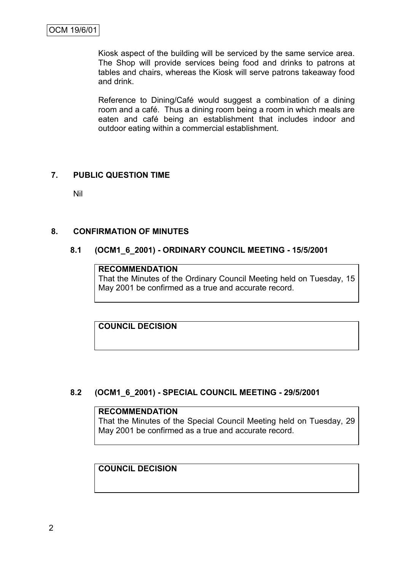Kiosk aspect of the building will be serviced by the same service area. The Shop will provide services being food and drinks to patrons at tables and chairs, whereas the Kiosk will serve patrons takeaway food and drink.

Reference to Dining/Café would suggest a combination of a dining room and a café. Thus a dining room being a room in which meals are eaten and café being an establishment that includes indoor and outdoor eating within a commercial establishment.

# **7. PUBLIC QUESTION TIME**

Nil

# **8. CONFIRMATION OF MINUTES**

# **8.1 (OCM1\_6\_2001) - ORDINARY COUNCIL MEETING - 15/5/2001**

#### **RECOMMENDATION**

That the Minutes of the Ordinary Council Meeting held on Tuesday, 15 May 2001 be confirmed as a true and accurate record.

**COUNCIL DECISION**

# **8.2 (OCM1\_6\_2001) - SPECIAL COUNCIL MEETING - 29/5/2001**

#### **RECOMMENDATION**

That the Minutes of the Special Council Meeting held on Tuesday, 29 May 2001 be confirmed as a true and accurate record.

# **COUNCIL DECISION**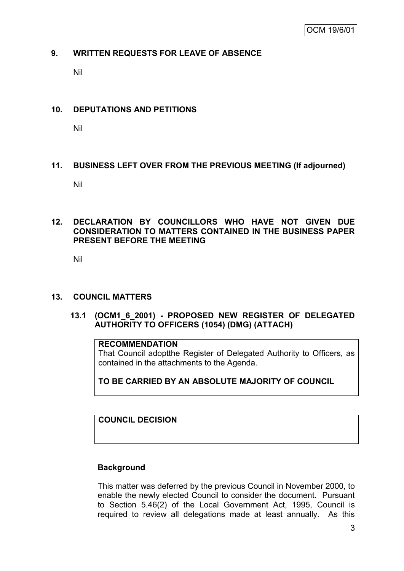#### **9. WRITTEN REQUESTS FOR LEAVE OF ABSENCE**

Nil

## **10. DEPUTATIONS AND PETITIONS**

Nil

# **11. BUSINESS LEFT OVER FROM THE PREVIOUS MEETING (If adjourned)**

Nil

# **12. DECLARATION BY COUNCILLORS WHO HAVE NOT GIVEN DUE CONSIDERATION TO MATTERS CONTAINED IN THE BUSINESS PAPER PRESENT BEFORE THE MEETING**

Nil

#### **13. COUNCIL MATTERS**

# **13.1 (OCM1\_6\_2001) - PROPOSED NEW REGISTER OF DELEGATED AUTHORITY TO OFFICERS (1054) (DMG) (ATTACH)**

# **RECOMMENDATION**

That Council adoptthe Register of Delegated Authority to Officers, as contained in the attachments to the Agenda.

**TO BE CARRIED BY AN ABSOLUTE MAJORITY OF COUNCIL**

**COUNCIL DECISION**

# **Background**

This matter was deferred by the previous Council in November 2000, to enable the newly elected Council to consider the document. Pursuant to Section 5.46(2) of the Local Government Act, 1995, Council is required to review all delegations made at least annually. As this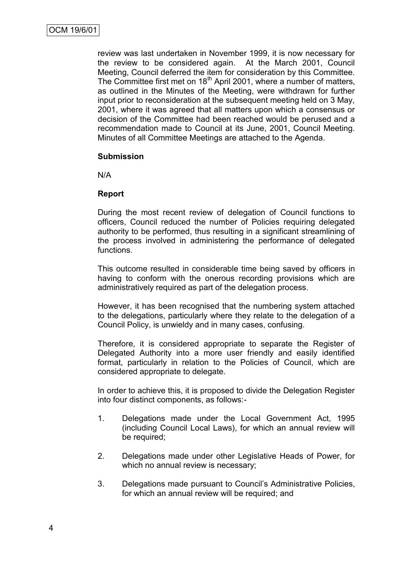review was last undertaken in November 1999, it is now necessary for the review to be considered again. At the March 2001, Council Meeting, Council deferred the item for consideration by this Committee. The Committee first met on 18<sup>th</sup> April 2001, where a number of matters, as outlined in the Minutes of the Meeting, were withdrawn for further input prior to reconsideration at the subsequent meeting held on 3 May, 2001, where it was agreed that all matters upon which a consensus or decision of the Committee had been reached would be perused and a recommendation made to Council at its June, 2001, Council Meeting. Minutes of all Committee Meetings are attached to the Agenda.

#### **Submission**

N/A

#### **Report**

During the most recent review of delegation of Council functions to officers, Council reduced the number of Policies requiring delegated authority to be performed, thus resulting in a significant streamlining of the process involved in administering the performance of delegated functions.

This outcome resulted in considerable time being saved by officers in having to conform with the onerous recording provisions which are administratively required as part of the delegation process.

However, it has been recognised that the numbering system attached to the delegations, particularly where they relate to the delegation of a Council Policy, is unwieldy and in many cases, confusing.

Therefore, it is considered appropriate to separate the Register of Delegated Authority into a more user friendly and easily identified format, particularly in relation to the Policies of Council, which are considered appropriate to delegate.

In order to achieve this, it is proposed to divide the Delegation Register into four distinct components, as follows:-

- 1. Delegations made under the Local Government Act, 1995 (including Council Local Laws), for which an annual review will be required;
- 2. Delegations made under other Legislative Heads of Power, for which no annual review is necessary;
- 3. Delegations made pursuant to Council"s Administrative Policies, for which an annual review will be required; and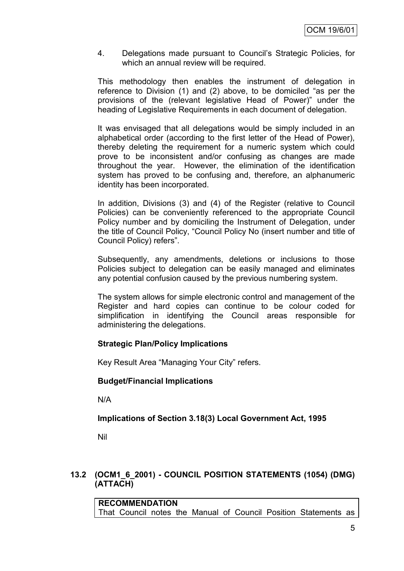4. Delegations made pursuant to Council"s Strategic Policies, for which an annual review will be required.

This methodology then enables the instrument of delegation in reference to Division (1) and (2) above, to be domiciled "as per the provisions of the (relevant legislative Head of Power)" under the heading of Legislative Requirements in each document of delegation.

It was envisaged that all delegations would be simply included in an alphabetical order (according to the first letter of the Head of Power), thereby deleting the requirement for a numeric system which could prove to be inconsistent and/or confusing as changes are made throughout the year. However, the elimination of the identification system has proved to be confusing and, therefore, an alphanumeric identity has been incorporated.

In addition, Divisions (3) and (4) of the Register (relative to Council Policies) can be conveniently referenced to the appropriate Council Policy number and by domiciling the Instrument of Delegation, under the title of Council Policy, "Council Policy No (insert number and title of Council Policy) refers".

Subsequently, any amendments, deletions or inclusions to those Policies subject to delegation can be easily managed and eliminates any potential confusion caused by the previous numbering system.

The system allows for simple electronic control and management of the Register and hard copies can continue to be colour coded for simplification in identifying the Council areas responsible for administering the delegations.

# **Strategic Plan/Policy Implications**

Key Result Area "Managing Your City" refers.

# **Budget/Financial Implications**

N/A

# **Implications of Section 3.18(3) Local Government Act, 1995**

Nil

# **13.2 (OCM1\_6\_2001) - COUNCIL POSITION STATEMENTS (1054) (DMG) (ATTACH)**

**RECOMMENDATION** That Council notes the Manual of Council Position Statements as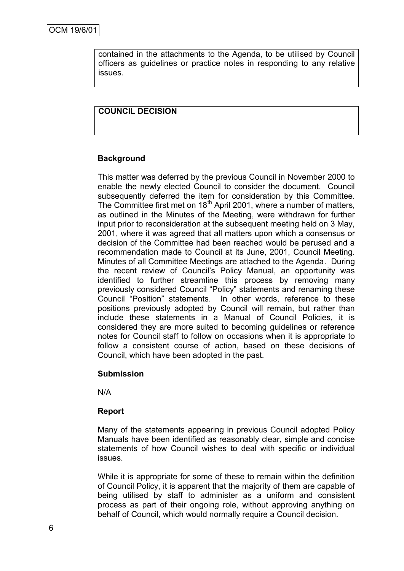contained in the attachments to the Agenda, to be utilised by Council officers as guidelines or practice notes in responding to any relative issues.

# **COUNCIL DECISION**

#### **Background**

This matter was deferred by the previous Council in November 2000 to enable the newly elected Council to consider the document. Council subsequently deferred the item for consideration by this Committee. The Committee first met on 18<sup>th</sup> April 2001, where a number of matters, as outlined in the Minutes of the Meeting, were withdrawn for further input prior to reconsideration at the subsequent meeting held on 3 May, 2001, where it was agreed that all matters upon which a consensus or decision of the Committee had been reached would be perused and a recommendation made to Council at its June, 2001, Council Meeting. Minutes of all Committee Meetings are attached to the Agenda. During the recent review of Council"s Policy Manual, an opportunity was identified to further streamline this process by removing many previously considered Council "Policy" statements and renaming these Council "Position" statements. In other words, reference to these positions previously adopted by Council will remain, but rather than include these statements in a Manual of Council Policies, it is considered they are more suited to becoming guidelines or reference notes for Council staff to follow on occasions when it is appropriate to follow a consistent course of action, based on these decisions of Council, which have been adopted in the past.

#### **Submission**

N/A

# **Report**

Many of the statements appearing in previous Council adopted Policy Manuals have been identified as reasonably clear, simple and concise statements of how Council wishes to deal with specific or individual issues.

While it is appropriate for some of these to remain within the definition of Council Policy, it is apparent that the majority of them are capable of being utilised by staff to administer as a uniform and consistent process as part of their ongoing role, without approving anything on behalf of Council, which would normally require a Council decision.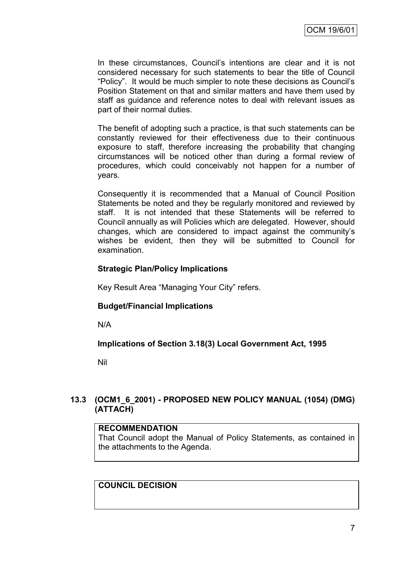In these circumstances, Council"s intentions are clear and it is not considered necessary for such statements to bear the title of Council "Policy". It would be much simpler to note these decisions as Council"s Position Statement on that and similar matters and have them used by staff as guidance and reference notes to deal with relevant issues as part of their normal duties.

The benefit of adopting such a practice, is that such statements can be constantly reviewed for their effectiveness due to their continuous exposure to staff, therefore increasing the probability that changing circumstances will be noticed other than during a formal review of procedures, which could conceivably not happen for a number of years.

Consequently it is recommended that a Manual of Council Position Statements be noted and they be regularly monitored and reviewed by staff. It is not intended that these Statements will be referred to Council annually as will Policies which are delegated. However, should changes, which are considered to impact against the community"s wishes be evident, then they will be submitted to Council for examination.

#### **Strategic Plan/Policy Implications**

Key Result Area "Managing Your City" refers.

# **Budget/Financial Implications**

N/A

**Implications of Section 3.18(3) Local Government Act, 1995**

Nil

# **13.3 (OCM1\_6\_2001) - PROPOSED NEW POLICY MANUAL (1054) (DMG) (ATTACH)**

#### **RECOMMENDATION**

That Council adopt the Manual of Policy Statements, as contained in the attachments to the Agenda.

**COUNCIL DECISION**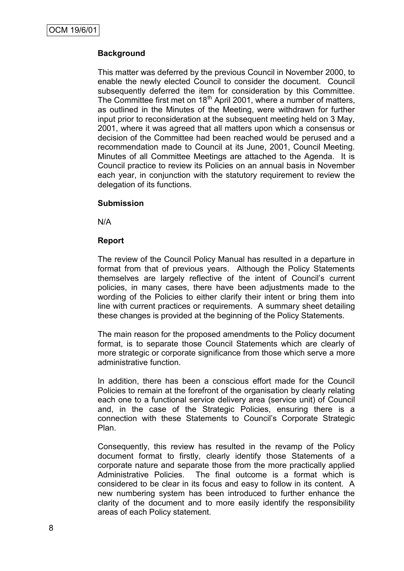# **Background**

This matter was deferred by the previous Council in November 2000, to enable the newly elected Council to consider the document. Council subsequently deferred the item for consideration by this Committee. The Committee first met on 18<sup>th</sup> April 2001, where a number of matters, as outlined in the Minutes of the Meeting, were withdrawn for further input prior to reconsideration at the subsequent meeting held on 3 May, 2001, where it was agreed that all matters upon which a consensus or decision of the Committee had been reached would be perused and a recommendation made to Council at its June, 2001, Council Meeting. Minutes of all Committee Meetings are attached to the Agenda. It is Council practice to review its Policies on an annual basis in November each year, in conjunction with the statutory requirement to review the delegation of its functions.

#### **Submission**

N/A

#### **Report**

The review of the Council Policy Manual has resulted in a departure in format from that of previous years. Although the Policy Statements themselves are largely reflective of the intent of Council"s current policies, in many cases, there have been adjustments made to the wording of the Policies to either clarify their intent or bring them into line with current practices or requirements. A summary sheet detailing these changes is provided at the beginning of the Policy Statements.

The main reason for the proposed amendments to the Policy document format, is to separate those Council Statements which are clearly of more strategic or corporate significance from those which serve a more administrative function.

In addition, there has been a conscious effort made for the Council Policies to remain at the forefront of the organisation by clearly relating each one to a functional service delivery area (service unit) of Council and, in the case of the Strategic Policies, ensuring there is a connection with these Statements to Council"s Corporate Strategic Plan.

Consequently, this review has resulted in the revamp of the Policy document format to firstly, clearly identify those Statements of a corporate nature and separate those from the more practically applied Administrative Policies. The final outcome is a format which is considered to be clear in its focus and easy to follow in its content. A new numbering system has been introduced to further enhance the clarity of the document and to more easily identify the responsibility areas of each Policy statement.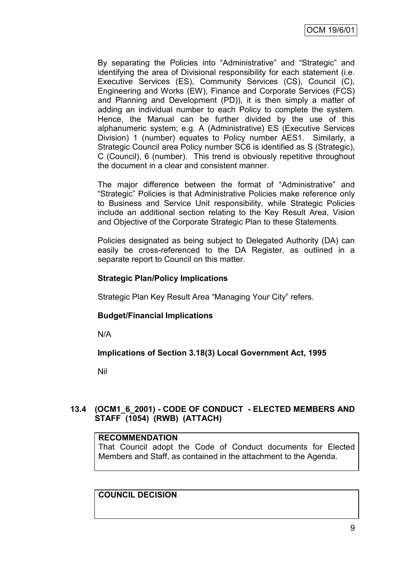By separating the Policies into "Administrative" and "Strategic" and identifying the area of Divisional responsibility for each statement (i.e. Executive Services (ES), Community Services (CS), Council (C), Engineering and Works (EW), Finance and Corporate Services (FCS) and Planning and Development (PD)), it is then simply a matter of adding an individual number to each Policy to complete the system. Hence, the Manual can be further divided by the use of this alphanumeric system; e.g. A (Administrative) ES (Executive Services Division) 1 (number) equates to Policy number AES1. Similarly, a Strategic Council area Policy number SC6 is identified as S (Strategic), C (Council), 6 (number). This trend is obviously repetitive throughout the document in a clear and consistent manner.

The major difference between the format of "Administrative" and "Strategic" Policies is that Administrative Policies make reference only to Business and Service Unit responsibility, while Strategic Policies include an additional section relating to the Key Result Area, Vision and Objective of the Corporate Strategic Plan to these Statements.

Policies designated as being subject to Delegated Authority (DA) can easily be cross-referenced to the DA Register, as outlined in a separate report to Council on this matter.

#### **Strategic Plan/Policy Implications**

Strategic Plan Key Result Area "Managing Your City" refers.

#### **Budget/Financial Implications**

N/A

#### **Implications of Section 3.18(3) Local Government Act, 1995**

Nil

# **13.4 (OCM1\_6\_2001) - CODE OF CONDUCT - ELECTED MEMBERS AND STAFF (1054) (RWB) (ATTACH)**

#### **RECOMMENDATION**

That Council adopt the Code of Conduct documents for Elected Members and Staff, as contained in the attachment to the Agenda.

# **COUNCIL DECISION**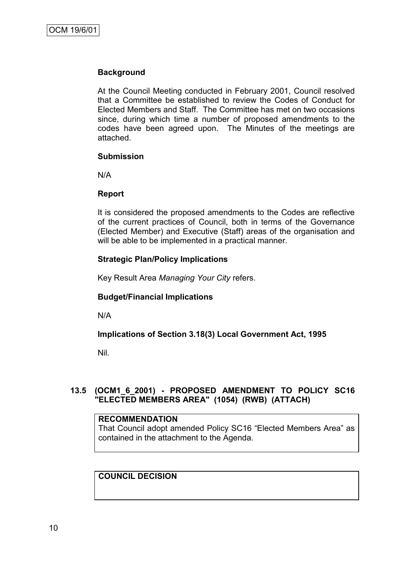## **Background**

At the Council Meeting conducted in February 2001, Council resolved that a Committee be established to review the Codes of Conduct for Elected Members and Staff. The Committee has met on two occasions since, during which time a number of proposed amendments to the codes have been agreed upon. The Minutes of the meetings are attached.

#### **Submission**

N/A

#### **Report**

It is considered the proposed amendments to the Codes are reflective of the current practices of Council, both in terms of the Governance (Elected Member) and Executive (Staff) areas of the organisation and will be able to be implemented in a practical manner.

#### **Strategic Plan/Policy Implications**

Key Result Area *Managing Your City* refers.

#### **Budget/Financial Implications**

N/A

#### **Implications of Section 3.18(3) Local Government Act, 1995**

Nil.

# **13.5 (OCM1\_6\_2001) - PROPOSED AMENDMENT TO POLICY SC16 "ELECTED MEMBERS AREA" (1054) (RWB) (ATTACH)**

# **RECOMMENDATION**

That Council adopt amended Policy SC16 "Elected Members Area" as contained in the attachment to the Agenda.

# **COUNCIL DECISION**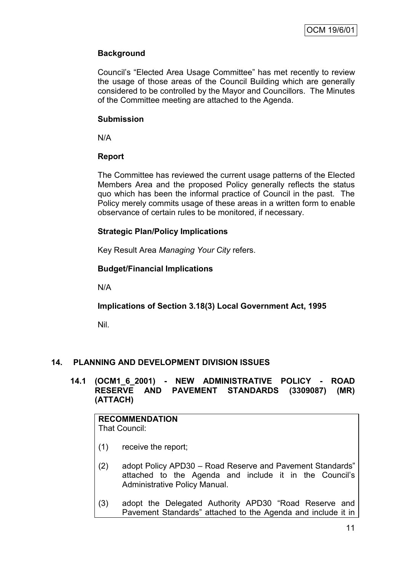# **Background**

Council"s "Elected Area Usage Committee" has met recently to review the usage of those areas of the Council Building which are generally considered to be controlled by the Mayor and Councillors. The Minutes of the Committee meeting are attached to the Agenda.

## **Submission**

N/A

# **Report**

The Committee has reviewed the current usage patterns of the Elected Members Area and the proposed Policy generally reflects the status quo which has been the informal practice of Council in the past. The Policy merely commits usage of these areas in a written form to enable observance of certain rules to be monitored, if necessary.

# **Strategic Plan/Policy Implications**

Key Result Area *Managing Your City* refers.

# **Budget/Financial Implications**

N/A

# **Implications of Section 3.18(3) Local Government Act, 1995**

Nil.

# **14. PLANNING AND DEVELOPMENT DIVISION ISSUES**

**14.1 (OCM1\_6\_2001) - NEW ADMINISTRATIVE POLICY - ROAD RESERVE AND PAVEMENT STANDARDS (3309087) (MR) (ATTACH)**

#### **RECOMMENDATION** That Council:

- (1) receive the report;
- (2) adopt Policy APD30 Road Reserve and Pavement Standards" attached to the Agenda and include it in the Council"s Administrative Policy Manual.
- (3) adopt the Delegated Authority APD30 "Road Reserve and Pavement Standards" attached to the Agenda and include it in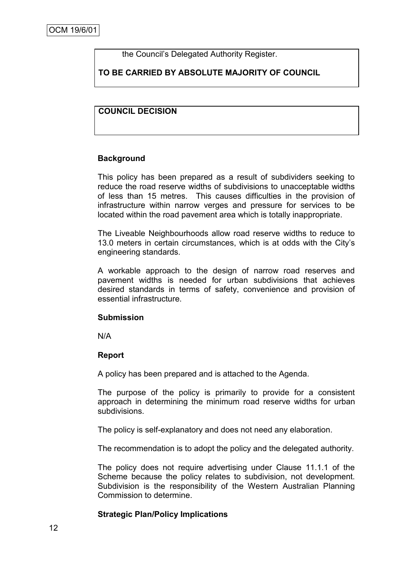the Council"s Delegated Authority Register.

# **TO BE CARRIED BY ABSOLUTE MAJORITY OF COUNCIL**

# **COUNCIL DECISION**

#### **Background**

This policy has been prepared as a result of subdividers seeking to reduce the road reserve widths of subdivisions to unacceptable widths of less than 15 metres. This causes difficulties in the provision of infrastructure within narrow verges and pressure for services to be located within the road pavement area which is totally inappropriate.

The Liveable Neighbourhoods allow road reserve widths to reduce to 13.0 meters in certain circumstances, which is at odds with the City"s engineering standards.

A workable approach to the design of narrow road reserves and pavement widths is needed for urban subdivisions that achieves desired standards in terms of safety, convenience and provision of essential infrastructure.

#### **Submission**

N/A

#### **Report**

A policy has been prepared and is attached to the Agenda.

The purpose of the policy is primarily to provide for a consistent approach in determining the minimum road reserve widths for urban subdivisions.

The policy is self-explanatory and does not need any elaboration.

The recommendation is to adopt the policy and the delegated authority.

The policy does not require advertising under Clause 11.1.1 of the Scheme because the policy relates to subdivision, not development. Subdivision is the responsibility of the Western Australian Planning Commission to determine.

#### **Strategic Plan/Policy Implications**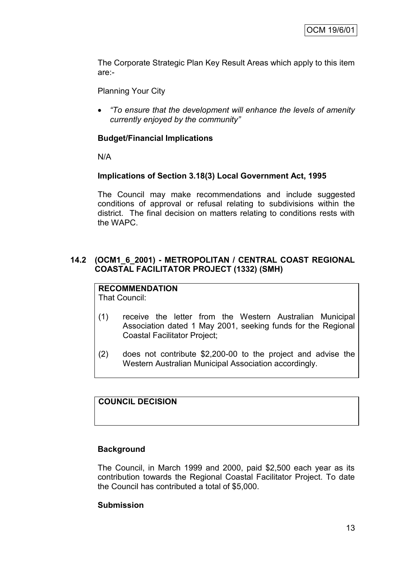The Corporate Strategic Plan Key Result Areas which apply to this item are:-

Planning Your City

 *"To ensure that the development will enhance the levels of amenity currently enjoyed by the community"*

# **Budget/Financial Implications**

N/A

# **Implications of Section 3.18(3) Local Government Act, 1995**

The Council may make recommendations and include suggested conditions of approval or refusal relating to subdivisions within the district. The final decision on matters relating to conditions rests with the WAPC.

## **14.2 (OCM1\_6\_2001) - METROPOLITAN / CENTRAL COAST REGIONAL COASTAL FACILITATOR PROJECT (1332) (SMH)**

# **RECOMMENDATION**

That Council:

- (1) receive the letter from the Western Australian Municipal Association dated 1 May 2001, seeking funds for the Regional Coastal Facilitator Project;
- (2) does not contribute \$2,200-00 to the project and advise the Western Australian Municipal Association accordingly.

# **COUNCIL DECISION**

#### **Background**

The Council, in March 1999 and 2000, paid \$2,500 each year as its contribution towards the Regional Coastal Facilitator Project. To date the Council has contributed a total of \$5,000.

#### **Submission**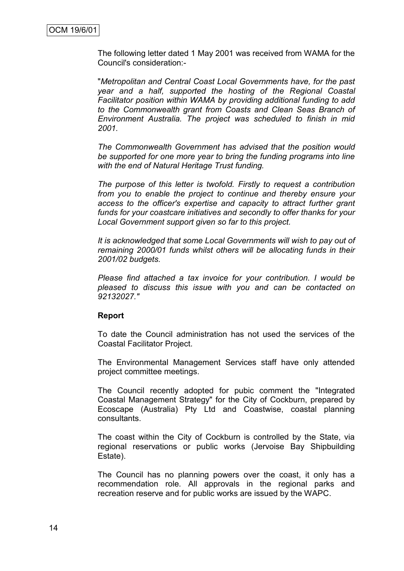The following letter dated 1 May 2001 was received from WAMA for the Council's consideration:-

"*Metropolitan and Central Coast Local Governments have, for the past year and a half, supported the hosting of the Regional Coastal Facilitator position within WAMA by providing additional funding to add to the Commonwealth grant from Coasts and Clean Seas Branch of Environment Australia. The project was scheduled to finish in mid 2001.*

*The Commonwealth Government has advised that the position would be supported for one more year to bring the funding programs into line with the end of Natural Heritage Trust funding.*

*The purpose of this letter is twofold. Firstly to request a contribution from you to enable the project to continue and thereby ensure your access to the officer's expertise and capacity to attract further grant funds for your coastcare initiatives and secondly to offer thanks for your Local Government support given so far to this project.*

*It is acknowledged that some Local Governments will wish to pay out of remaining 2000/01 funds whilst others will be allocating funds in their 2001/02 budgets.*

*Please find attached a tax invoice for your contribution. I would be pleased to discuss this issue with you and can be contacted on 92132027."*

#### **Report**

To date the Council administration has not used the services of the Coastal Facilitator Project.

The Environmental Management Services staff have only attended project committee meetings.

The Council recently adopted for pubic comment the "Integrated Coastal Management Strategy" for the City of Cockburn, prepared by Ecoscape (Australia) Pty Ltd and Coastwise, coastal planning consultants.

The coast within the City of Cockburn is controlled by the State, via regional reservations or public works (Jervoise Bay Shipbuilding Estate).

The Council has no planning powers over the coast, it only has a recommendation role. All approvals in the regional parks and recreation reserve and for public works are issued by the WAPC.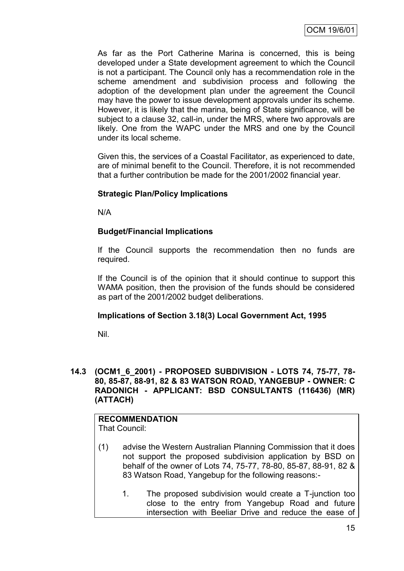As far as the Port Catherine Marina is concerned, this is being developed under a State development agreement to which the Council is not a participant. The Council only has a recommendation role in the scheme amendment and subdivision process and following the adoption of the development plan under the agreement the Council may have the power to issue development approvals under its scheme. However, it is likely that the marina, being of State significance, will be subject to a clause 32, call-in, under the MRS, where two approvals are likely. One from the WAPC under the MRS and one by the Council under its local scheme.

Given this, the services of a Coastal Facilitator, as experienced to date, are of minimal benefit to the Council. Therefore, it is not recommended that a further contribution be made for the 2001/2002 financial year.

# **Strategic Plan/Policy Implications**

N/A

# **Budget/Financial Implications**

If the Council supports the recommendation then no funds are required.

If the Council is of the opinion that it should continue to support this WAMA position, then the provision of the funds should be considered as part of the 2001/2002 budget deliberations.

#### **Implications of Section 3.18(3) Local Government Act, 1995**

Nil.

#### **14.3 (OCM1\_6\_2001) - PROPOSED SUBDIVISION - LOTS 74, 75-77, 78- 80, 85-87, 88-91, 82 & 83 WATSON ROAD, YANGEBUP - OWNER: C RADONICH - APPLICANT: BSD CONSULTANTS (116436) (MR) (ATTACH)**

# **RECOMMENDATION**

- That Council:
- (1) advise the Western Australian Planning Commission that it does not support the proposed subdivision application by BSD on behalf of the owner of Lots 74, 75-77, 78-80, 85-87, 88-91, 82 & 83 Watson Road, Yangebup for the following reasons:-
	- 1. The proposed subdivision would create a T-junction too close to the entry from Yangebup Road and future intersection with Beeliar Drive and reduce the ease of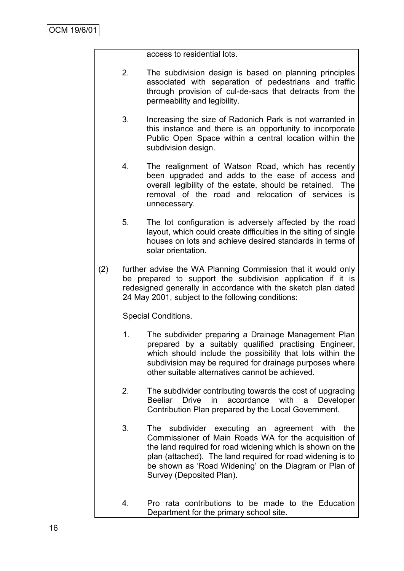access to residential lots.

- 2. The subdivision design is based on planning principles associated with separation of pedestrians and traffic through provision of cul-de-sacs that detracts from the permeability and legibility.
- 3. Increasing the size of Radonich Park is not warranted in this instance and there is an opportunity to incorporate Public Open Space within a central location within the subdivision design.
- 4. The realignment of Watson Road, which has recently been upgraded and adds to the ease of access and overall legibility of the estate, should be retained. The removal of the road and relocation of services is unnecessary.
- 5. The lot configuration is adversely affected by the road layout, which could create difficulties in the siting of single houses on lots and achieve desired standards in terms of solar orientation.
- (2) further advise the WA Planning Commission that it would only be prepared to support the subdivision application if it is redesigned generally in accordance with the sketch plan dated 24 May 2001, subject to the following conditions:

Special Conditions.

- 1. The subdivider preparing a Drainage Management Plan prepared by a suitably qualified practising Engineer, which should include the possibility that lots within the subdivision may be required for drainage purposes where other suitable alternatives cannot be achieved.
- 2. The subdivider contributing towards the cost of upgrading Beeliar Drive in accordance with a Developer Contribution Plan prepared by the Local Government.
- 3. The subdivider executing an agreement with the Commissioner of Main Roads WA for the acquisition of the land required for road widening which is shown on the plan (attached). The land required for road widening is to be shown as "Road Widening" on the Diagram or Plan of Survey (Deposited Plan).
- 4. Pro rata contributions to be made to the Education Department for the primary school site.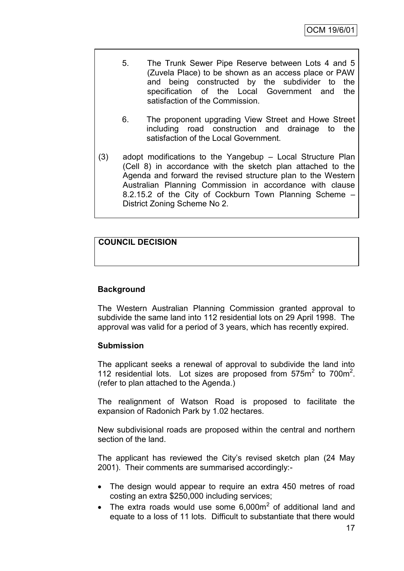- 5. The Trunk Sewer Pipe Reserve between Lots 4 and 5 (Zuvela Place) to be shown as an access place or PAW and being constructed by the subdivider to the specification of the Local Government and the satisfaction of the Commission.
- 6. The proponent upgrading View Street and Howe Street including road construction and drainage to the satisfaction of the Local Government.
- (3) adopt modifications to the Yangebup Local Structure Plan (Cell 8) in accordance with the sketch plan attached to the Agenda and forward the revised structure plan to the Western Australian Planning Commission in accordance with clause 8.2.15.2 of the City of Cockburn Town Planning Scheme – District Zoning Scheme No 2.

# **COUNCIL DECISION**

# **Background**

The Western Australian Planning Commission granted approval to subdivide the same land into 112 residential lots on 29 April 1998. The approval was valid for a period of 3 years, which has recently expired.

# **Submission**

The applicant seeks a renewal of approval to subdivide the land into 112 residential lots. Lot sizes are proposed from  $575m<sup>2</sup>$  to  $700m<sup>2</sup>$ . (refer to plan attached to the Agenda.)

The realignment of Watson Road is proposed to facilitate the expansion of Radonich Park by 1.02 hectares.

New subdivisional roads are proposed within the central and northern section of the land.

The applicant has reviewed the City"s revised sketch plan (24 May 2001). Their comments are summarised accordingly:-

- The design would appear to require an extra 450 metres of road costing an extra \$250,000 including services;
- The extra roads would use some  $6,000m^2$  of additional land and equate to a loss of 11 lots. Difficult to substantiate that there would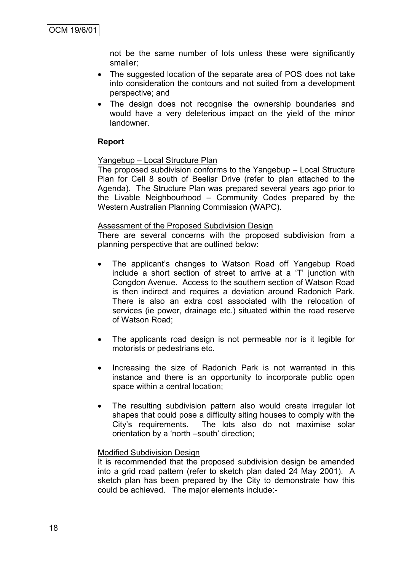not be the same number of lots unless these were significantly smaller;

- The suggested location of the separate area of POS does not take into consideration the contours and not suited from a development perspective; and
- The design does not recognise the ownership boundaries and would have a very deleterious impact on the yield of the minor landowner.

#### **Report**

#### Yangebup – Local Structure Plan

The proposed subdivision conforms to the Yangebup – Local Structure Plan for Cell 8 south of Beeliar Drive (refer to plan attached to the Agenda). The Structure Plan was prepared several years ago prior to the Livable Neighbourhood – Community Codes prepared by the Western Australian Planning Commission (WAPC).

#### Assessment of the Proposed Subdivision Design

There are several concerns with the proposed subdivision from a planning perspective that are outlined below:

- The applicant's changes to Watson Road off Yangebup Road include a short section of street to arrive at a "T" junction with Congdon Avenue. Access to the southern section of Watson Road is then indirect and requires a deviation around Radonich Park. There is also an extra cost associated with the relocation of services (ie power, drainage etc.) situated within the road reserve of Watson Road;
- The applicants road design is not permeable nor is it legible for motorists or pedestrians etc.
- Increasing the size of Radonich Park is not warranted in this instance and there is an opportunity to incorporate public open space within a central location;
- The resulting subdivision pattern also would create irregular lot shapes that could pose a difficulty siting houses to comply with the City"s requirements. The lots also do not maximise solar orientation by a "north –south" direction;

#### Modified Subdivision Design

It is recommended that the proposed subdivision design be amended into a grid road pattern (refer to sketch plan dated 24 May 2001). A sketch plan has been prepared by the City to demonstrate how this could be achieved. The major elements include:-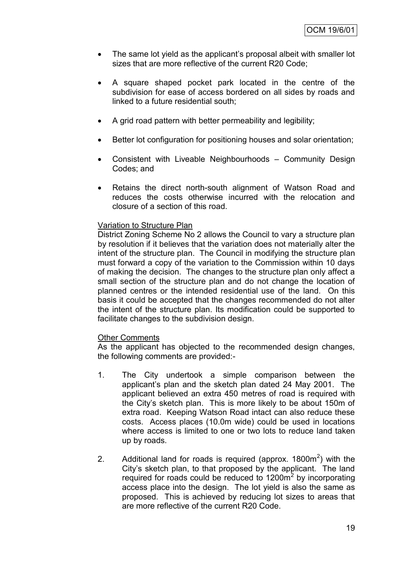- The same lot yield as the applicant"s proposal albeit with smaller lot sizes that are more reflective of the current R20 Code;
- A square shaped pocket park located in the centre of the subdivision for ease of access bordered on all sides by roads and linked to a future residential south;
- A grid road pattern with better permeability and legibility;
- Better lot configuration for positioning houses and solar orientation;
- Consistent with Liveable Neighbourhoods Community Design Codes; and
- Retains the direct north-south alignment of Watson Road and reduces the costs otherwise incurred with the relocation and closure of a section of this road.

#### Variation to Structure Plan

District Zoning Scheme No 2 allows the Council to vary a structure plan by resolution if it believes that the variation does not materially alter the intent of the structure plan. The Council in modifying the structure plan must forward a copy of the variation to the Commission within 10 days of making the decision. The changes to the structure plan only affect a small section of the structure plan and do not change the location of planned centres or the intended residential use of the land. On this basis it could be accepted that the changes recommended do not alter the intent of the structure plan. Its modification could be supported to facilitate changes to the subdivision design.

#### Other Comments

As the applicant has objected to the recommended design changes, the following comments are provided:-

- 1. The City undertook a simple comparison between the applicant"s plan and the sketch plan dated 24 May 2001. The applicant believed an extra 450 metres of road is required with the City"s sketch plan. This is more likely to be about 150m of extra road. Keeping Watson Road intact can also reduce these costs. Access places (10.0m wide) could be used in locations where access is limited to one or two lots to reduce land taken up by roads.
- 2. Additional land for roads is required (approx.  $1800m^2$ ) with the City"s sketch plan, to that proposed by the applicant. The land required for roads could be reduced to  $1200m^2$  by incorporating access place into the design. The lot yield is also the same as proposed. This is achieved by reducing lot sizes to areas that are more reflective of the current R20 Code.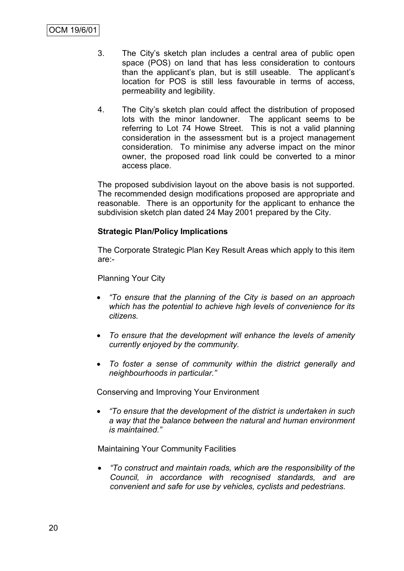- 3. The City"s sketch plan includes a central area of public open space (POS) on land that has less consideration to contours than the applicant"s plan, but is still useable. The applicant"s location for POS is still less favourable in terms of access, permeability and legibility.
- 4. The City"s sketch plan could affect the distribution of proposed lots with the minor landowner. The applicant seems to be referring to Lot 74 Howe Street. This is not a valid planning consideration in the assessment but is a project management consideration. To minimise any adverse impact on the minor owner, the proposed road link could be converted to a minor access place.

The proposed subdivision layout on the above basis is not supported. The recommended design modifications proposed are appropriate and reasonable. There is an opportunity for the applicant to enhance the subdivision sketch plan dated 24 May 2001 prepared by the City.

#### **Strategic Plan/Policy Implications**

The Corporate Strategic Plan Key Result Areas which apply to this item are:-

Planning Your City

- *"To ensure that the planning of the City is based on an approach which has the potential to achieve high levels of convenience for its citizens.*
- *To ensure that the development will enhance the levels of amenity currently enjoyed by the community.*
- *To foster a sense of community within the district generally and neighbourhoods in particular."*

Conserving and Improving Your Environment

 *"To ensure that the development of the district is undertaken in such a way that the balance between the natural and human environment is maintained."*

Maintaining Your Community Facilities

 *"To construct and maintain roads, which are the responsibility of the Council, in accordance with recognised standards, and are convenient and safe for use by vehicles, cyclists and pedestrians.*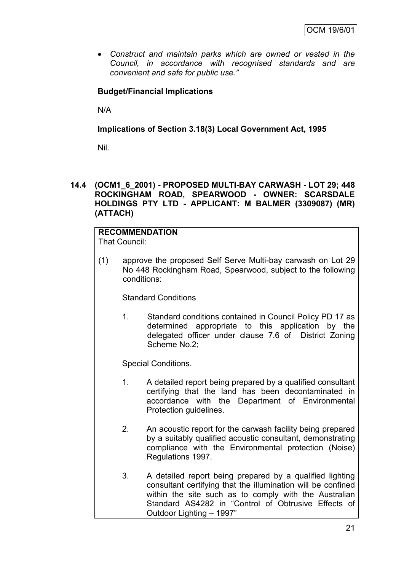*Construct and maintain parks which are owned or vested in the Council, in accordance with recognised standards and are convenient and safe for public use."*

# **Budget/Financial Implications**

N/A

**Implications of Section 3.18(3) Local Government Act, 1995**

Nil.

#### **14.4 (OCM1\_6\_2001) - PROPOSED MULTI-BAY CARWASH - LOT 29; 448 ROCKINGHAM ROAD, SPEARWOOD - OWNER: SCARSDALE HOLDINGS PTY LTD - APPLICANT: M BALMER (3309087) (MR) (ATTACH)**

# **RECOMMENDATION**

That Council:

(1) approve the proposed Self Serve Multi-bay carwash on Lot 29 No 448 Rockingham Road, Spearwood, subject to the following conditions:

Standard Conditions

1. Standard conditions contained in Council Policy PD 17 as determined appropriate to this application by the delegated officer under clause 7.6 of District Zoning Scheme No.2;

Special Conditions.

- 1. A detailed report being prepared by a qualified consultant certifying that the land has been decontaminated in accordance with the Department of Environmental Protection guidelines.
- 2. An acoustic report for the carwash facility being prepared by a suitably qualified acoustic consultant, demonstrating compliance with the Environmental protection (Noise) Regulations 1997.
- 3. A detailed report being prepared by a qualified lighting consultant certifying that the illumination will be confined within the site such as to comply with the Australian Standard AS4282 in "Control of Obtrusive Effects of Outdoor Lighting – 1997"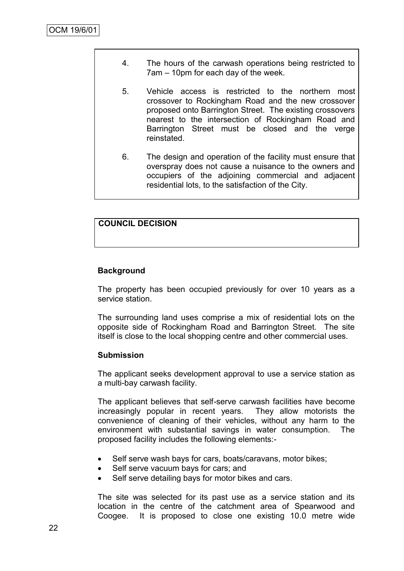- 4. The hours of the carwash operations being restricted to 7am – 10pm for each day of the week.
- 5. Vehicle access is restricted to the northern most crossover to Rockingham Road and the new crossover proposed onto Barrington Street. The existing crossovers nearest to the intersection of Rockingham Road and Barrington Street must be closed and the verge reinstated.
- 6. The design and operation of the facility must ensure that overspray does not cause a nuisance to the owners and occupiers of the adjoining commercial and adjacent residential lots, to the satisfaction of the City.

# **COUNCIL DECISION**

# **Background**

The property has been occupied previously for over 10 years as a service station.

The surrounding land uses comprise a mix of residential lots on the opposite side of Rockingham Road and Barrington Street. The site itself is close to the local shopping centre and other commercial uses.

#### **Submission**

The applicant seeks development approval to use a service station as a multi-bay carwash facility.

The applicant believes that self-serve carwash facilities have become increasingly popular in recent years. They allow motorists the convenience of cleaning of their vehicles, without any harm to the environment with substantial savings in water consumption. The proposed facility includes the following elements:-

- Self serve wash bays for cars, boats/caravans, motor bikes;
- Self serve vacuum bays for cars; and
- Self serve detailing bays for motor bikes and cars.

The site was selected for its past use as a service station and its location in the centre of the catchment area of Spearwood and Coogee. It is proposed to close one existing 10.0 metre wide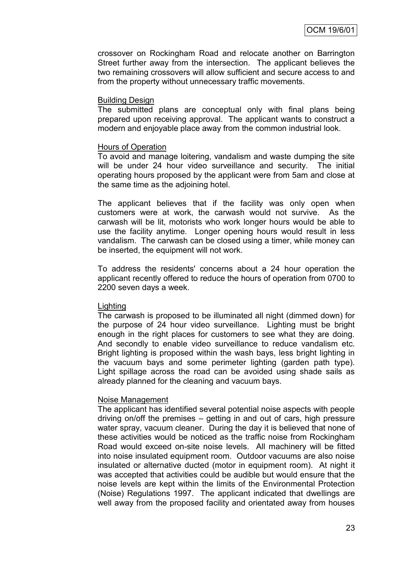crossover on Rockingham Road and relocate another on Barrington Street further away from the intersection. The applicant believes the two remaining crossovers will allow sufficient and secure access to and from the property without unnecessary traffic movements.

#### Building Design

The submitted plans are conceptual only with final plans being prepared upon receiving approval. The applicant wants to construct a modern and enjoyable place away from the common industrial look.

#### Hours of Operation

To avoid and manage loitering, vandalism and waste dumping the site will be under 24 hour video surveillance and security. The initial operating hours proposed by the applicant were from 5am and close at the same time as the adjoining hotel.

The applicant believes that if the facility was only open when customers were at work, the carwash would not survive. As the carwash will be lit, motorists who work longer hours would be able to use the facility anytime. Longer opening hours would result in less vandalism. The carwash can be closed using a timer, while money can be inserted, the equipment will not work.

To address the residents' concerns about a 24 hour operation the applicant recently offered to reduce the hours of operation from 0700 to 2200 seven days a week.

#### Lighting

The carwash is proposed to be illuminated all night (dimmed down) for the purpose of 24 hour video surveillance. Lighting must be bright enough in the right places for customers to see what they are doing. And secondly to enable video surveillance to reduce vandalism etc. Bright lighting is proposed within the wash bays, less bright lighting in the vacuum bays and some perimeter lighting (garden path type). Light spillage across the road can be avoided using shade sails as already planned for the cleaning and vacuum bays.

#### Noise Management

The applicant has identified several potential noise aspects with people driving on/off the premises – getting in and out of cars, high pressure water spray, vacuum cleaner. During the day it is believed that none of these activities would be noticed as the traffic noise from Rockingham Road would exceed on-site noise levels. All machinery will be fitted into noise insulated equipment room. Outdoor vacuums are also noise insulated or alternative ducted (motor in equipment room). At night it was accepted that activities could be audible but would ensure that the noise levels are kept within the limits of the Environmental Protection (Noise) Regulations 1997. The applicant indicated that dwellings are well away from the proposed facility and orientated away from houses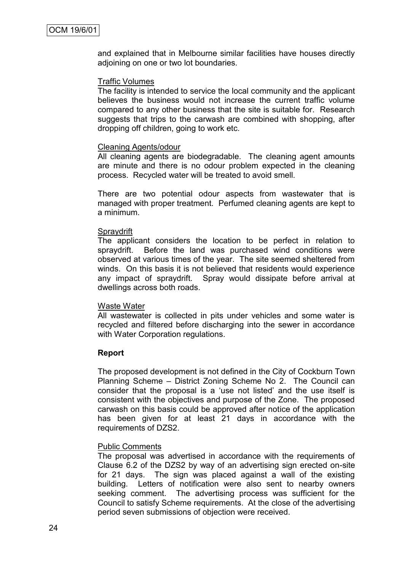and explained that in Melbourne similar facilities have houses directly adjoining on one or two lot boundaries.

#### Traffic Volumes

The facility is intended to service the local community and the applicant believes the business would not increase the current traffic volume compared to any other business that the site is suitable for. Research suggests that trips to the carwash are combined with shopping, after dropping off children, going to work etc.

#### Cleaning Agents/odour

All cleaning agents are biodegradable. The cleaning agent amounts are minute and there is no odour problem expected in the cleaning process. Recycled water will be treated to avoid smell.

There are two potential odour aspects from wastewater that is managed with proper treatment. Perfumed cleaning agents are kept to a minimum.

#### **Spraydrift**

The applicant considers the location to be perfect in relation to spraydrift. Before the land was purchased wind conditions were observed at various times of the year. The site seemed sheltered from winds. On this basis it is not believed that residents would experience any impact of spraydrift. Spray would dissipate before arrival at dwellings across both roads.

#### Waste Water

All wastewater is collected in pits under vehicles and some water is recycled and filtered before discharging into the sewer in accordance with Water Corporation regulations.

#### **Report**

The proposed development is not defined in the City of Cockburn Town Planning Scheme – District Zoning Scheme No 2. The Council can consider that the proposal is a "use not listed" and the use itself is consistent with the objectives and purpose of the Zone. The proposed carwash on this basis could be approved after notice of the application has been given for at least 21 days in accordance with the requirements of DZS2.

#### Public Comments

The proposal was advertised in accordance with the requirements of Clause 6.2 of the DZS2 by way of an advertising sign erected on-site for 21 days. The sign was placed against a wall of the existing building. Letters of notification were also sent to nearby owners seeking comment. The advertising process was sufficient for the Council to satisfy Scheme requirements. At the close of the advertising period seven submissions of objection were received.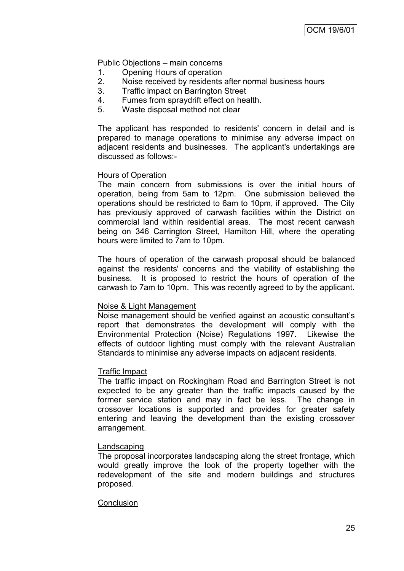Public Objections – main concerns

- 1. Opening Hours of operation
- 2. Noise received by residents after normal business hours
- 3. Traffic impact on Barrington Street
- 4. Fumes from spraydrift effect on health.
- 5. Waste disposal method not clear

The applicant has responded to residents' concern in detail and is prepared to manage operations to minimise any adverse impact on adjacent residents and businesses. The applicant's undertakings are discussed as follows:-

#### Hours of Operation

The main concern from submissions is over the initial hours of operation, being from 5am to 12pm. One submission believed the operations should be restricted to 6am to 10pm, if approved. The City has previously approved of carwash facilities within the District on commercial land within residential areas. The most recent carwash being on 346 Carrington Street, Hamilton Hill, where the operating hours were limited to 7am to 10pm.

The hours of operation of the carwash proposal should be balanced against the residents' concerns and the viability of establishing the business. It is proposed to restrict the hours of operation of the carwash to 7am to 10pm. This was recently agreed to by the applicant.

#### Noise & Light Management

Noise management should be verified against an acoustic consultant"s report that demonstrates the development will comply with the Environmental Protection (Noise) Regulations 1997. Likewise the effects of outdoor lighting must comply with the relevant Australian Standards to minimise any adverse impacts on adjacent residents.

#### Traffic Impact

The traffic impact on Rockingham Road and Barrington Street is not expected to be any greater than the traffic impacts caused by the former service station and may in fact be less. The change in crossover locations is supported and provides for greater safety entering and leaving the development than the existing crossover arrangement.

#### Landscaping

The proposal incorporates landscaping along the street frontage, which would greatly improve the look of the property together with the redevelopment of the site and modern buildings and structures proposed.

#### **Conclusion**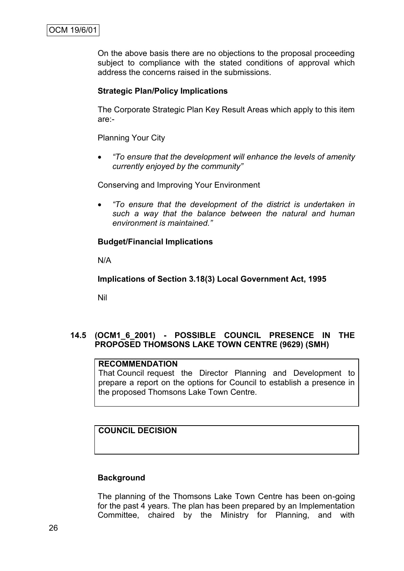On the above basis there are no objections to the proposal proceeding subject to compliance with the stated conditions of approval which address the concerns raised in the submissions.

#### **Strategic Plan/Policy Implications**

The Corporate Strategic Plan Key Result Areas which apply to this item are:-

Planning Your City

 *"To ensure that the development will enhance the levels of amenity currently enjoyed by the community"*

Conserving and Improving Your Environment

 *"To ensure that the development of the district is undertaken in such a way that the balance between the natural and human environment is maintained."*

#### **Budget/Financial Implications**

N/A

**Implications of Section 3.18(3) Local Government Act, 1995**

Nil

# **14.5 (OCM1\_6\_2001) - POSSIBLE COUNCIL PRESENCE IN THE PROPOSED THOMSONS LAKE TOWN CENTRE (9629) (SMH)**

#### **RECOMMENDATION**

That Council request the Director Planning and Development to prepare a report on the options for Council to establish a presence in the proposed Thomsons Lake Town Centre.

# **COUNCIL DECISION**

#### **Background**

The planning of the Thomsons Lake Town Centre has been on-going for the past 4 years. The plan has been prepared by an Implementation Committee, chaired by the Ministry for Planning, and with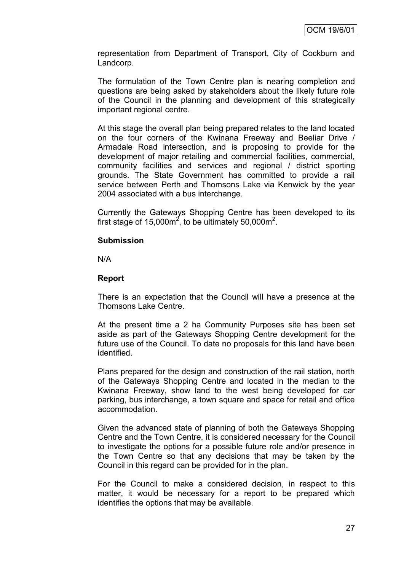representation from Department of Transport, City of Cockburn and Landcorp.

The formulation of the Town Centre plan is nearing completion and questions are being asked by stakeholders about the likely future role of the Council in the planning and development of this strategically important regional centre.

At this stage the overall plan being prepared relates to the land located on the four corners of the Kwinana Freeway and Beeliar Drive / Armadale Road intersection, and is proposing to provide for the development of major retailing and commercial facilities, commercial, community facilities and services and regional / district sporting grounds. The State Government has committed to provide a rail service between Perth and Thomsons Lake via Kenwick by the year 2004 associated with a bus interchange.

Currently the Gateways Shopping Centre has been developed to its first stage of 15,000 $m^2$ , to be ultimately 50,000 $m^2$ .

#### **Submission**

N/A

#### **Report**

There is an expectation that the Council will have a presence at the Thomsons Lake Centre.

At the present time a 2 ha Community Purposes site has been set aside as part of the Gateways Shopping Centre development for the future use of the Council. To date no proposals for this land have been identified.

Plans prepared for the design and construction of the rail station, north of the Gateways Shopping Centre and located in the median to the Kwinana Freeway, show land to the west being developed for car parking, bus interchange, a town square and space for retail and office accommodation.

Given the advanced state of planning of both the Gateways Shopping Centre and the Town Centre, it is considered necessary for the Council to investigate the options for a possible future role and/or presence in the Town Centre so that any decisions that may be taken by the Council in this regard can be provided for in the plan.

For the Council to make a considered decision, in respect to this matter, it would be necessary for a report to be prepared which identifies the options that may be available.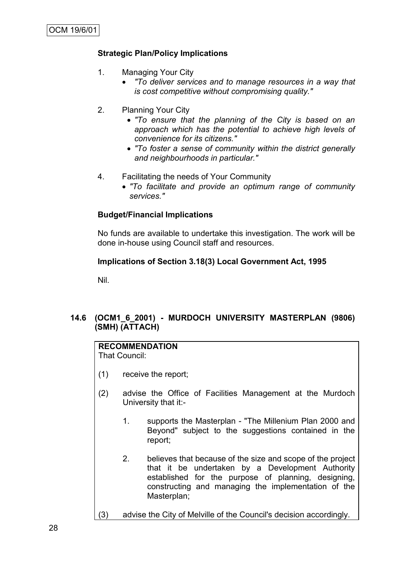# **Strategic Plan/Policy Implications**

- 1. Managing Your City
	- *"To deliver services and to manage resources in a way that is cost competitive without compromising quality."*
- 2. Planning Your City
	- *"To ensure that the planning of the City is based on an approach which has the potential to achieve high levels of convenience for its citizens."*
	- *"To foster a sense of community within the district generally and neighbourhoods in particular."*
- 4. Facilitating the needs of Your Community
	- *"To facilitate and provide an optimum range of community services."*

# **Budget/Financial Implications**

No funds are available to undertake this investigation. The work will be done in-house using Council staff and resources.

# **Implications of Section 3.18(3) Local Government Act, 1995**

Nil.

# **14.6 (OCM1\_6\_2001) - MURDOCH UNIVERSITY MASTERPLAN (9806) (SMH) (ATTACH)**

# **RECOMMENDATION**

That Council:

- (1) receive the report;
- (2) advise the Office of Facilities Management at the Murdoch University that it:-
	- 1. supports the Masterplan "The Millenium Plan 2000 and Beyond" subject to the suggestions contained in the report;
	- 2. believes that because of the size and scope of the project that it be undertaken by a Development Authority established for the purpose of planning, designing, constructing and managing the implementation of the Masterplan;
- (3) advise the City of Melville of the Council's decision accordingly.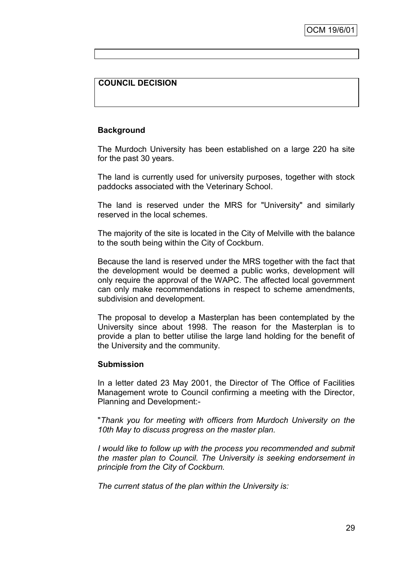# **COUNCIL DECISION**

#### **Background**

The Murdoch University has been established on a large 220 ha site for the past 30 years.

The land is currently used for university purposes, together with stock paddocks associated with the Veterinary School.

The land is reserved under the MRS for "University" and similarly reserved in the local schemes.

The majority of the site is located in the City of Melville with the balance to the south being within the City of Cockburn.

Because the land is reserved under the MRS together with the fact that the development would be deemed a public works, development will only require the approval of the WAPC. The affected local government can only make recommendations in respect to scheme amendments, subdivision and development.

The proposal to develop a Masterplan has been contemplated by the University since about 1998. The reason for the Masterplan is to provide a plan to better utilise the large land holding for the benefit of the University and the community.

#### **Submission**

In a letter dated 23 May 2001, the Director of The Office of Facilities Management wrote to Council confirming a meeting with the Director, Planning and Development:-

"*Thank you for meeting with officers from Murdoch University on the 10th May to discuss progress on the master plan.*

*I* would like to follow up with the process you recommended and submit *the master plan to Council. The University is seeking endorsement in principle from the City of Cockburn.*

*The current status of the plan within the University is:*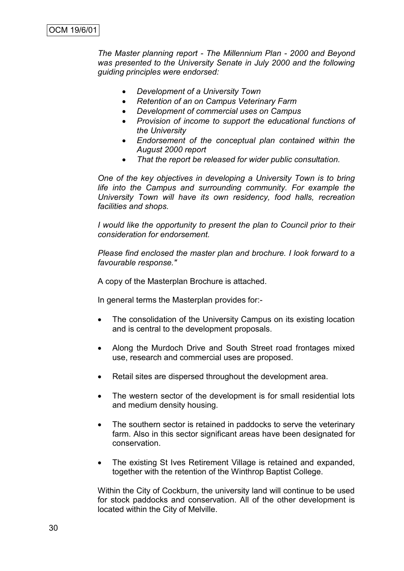*The Master planning report - The Millennium Plan - 2000 and Beyond was presented to the University Senate in July 2000 and the following guiding principles were endorsed:*

- *Development of a University Town*
- *Retention of an on Campus Veterinary Farm*
- *Development of commercial uses on Campus*
- *Provision of income to support the educational functions of the University*
- *Endorsement of the conceptual plan contained within the August 2000 report*
- *That the report be released for wider public consultation.*

*One of the key objectives in developing a University Town is to bring life into the Campus and surrounding community. For example the University Town will have its own residency, food halls, recreation facilities and shops.*

*I would like the opportunity to present the plan to Council prior to their consideration for endorsement.*

*Please find enclosed the master plan and brochure. I look forward to a favourable response."*

A copy of the Masterplan Brochure is attached.

In general terms the Masterplan provides for:-

- The consolidation of the University Campus on its existing location and is central to the development proposals.
- Along the Murdoch Drive and South Street road frontages mixed use, research and commercial uses are proposed.
- Retail sites are dispersed throughout the development area.
- The western sector of the development is for small residential lots and medium density housing.
- The southern sector is retained in paddocks to serve the veterinary farm. Also in this sector significant areas have been designated for conservation.
- The existing St Ives Retirement Village is retained and expanded, together with the retention of the Winthrop Baptist College.

Within the City of Cockburn, the university land will continue to be used for stock paddocks and conservation. All of the other development is located within the City of Melville.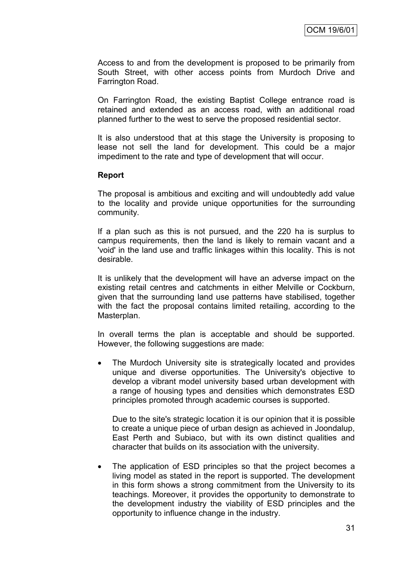Access to and from the development is proposed to be primarily from South Street, with other access points from Murdoch Drive and Farrington Road.

On Farrington Road, the existing Baptist College entrance road is retained and extended as an access road, with an additional road planned further to the west to serve the proposed residential sector.

It is also understood that at this stage the University is proposing to lease not sell the land for development. This could be a major impediment to the rate and type of development that will occur.

### **Report**

The proposal is ambitious and exciting and will undoubtedly add value to the locality and provide unique opportunities for the surrounding community.

If a plan such as this is not pursued, and the 220 ha is surplus to campus requirements, then the land is likely to remain vacant and a 'void' in the land use and traffic linkages within this locality. This is not desirable.

It is unlikely that the development will have an adverse impact on the existing retail centres and catchments in either Melville or Cockburn, given that the surrounding land use patterns have stabilised, together with the fact the proposal contains limited retailing, according to the Masterplan.

In overall terms the plan is acceptable and should be supported. However, the following suggestions are made:

 The Murdoch University site is strategically located and provides unique and diverse opportunities. The University's objective to develop a vibrant model university based urban development with a range of housing types and densities which demonstrates ESD principles promoted through academic courses is supported.

Due to the site's strategic location it is our opinion that it is possible to create a unique piece of urban design as achieved in Joondalup, East Perth and Subiaco, but with its own distinct qualities and character that builds on its association with the university.

• The application of ESD principles so that the project becomes a living model as stated in the report is supported. The development in this form shows a strong commitment from the University to its teachings. Moreover, it provides the opportunity to demonstrate to the development industry the viability of ESD principles and the opportunity to influence change in the industry.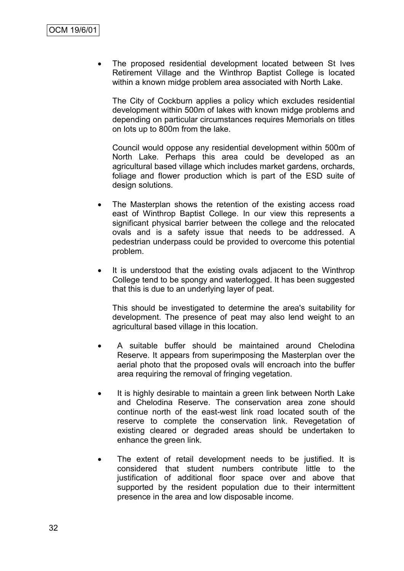The proposed residential development located between St Ives Retirement Village and the Winthrop Baptist College is located within a known midge problem area associated with North Lake.

The City of Cockburn applies a policy which excludes residential development within 500m of lakes with known midge problems and depending on particular circumstances requires Memorials on titles on lots up to 800m from the lake.

Council would oppose any residential development within 500m of North Lake. Perhaps this area could be developed as an agricultural based village which includes market gardens, orchards, foliage and flower production which is part of the ESD suite of design solutions.

- The Masterplan shows the retention of the existing access road east of Winthrop Baptist College. In our view this represents a significant physical barrier between the college and the relocated ovals and is a safety issue that needs to be addressed. A pedestrian underpass could be provided to overcome this potential problem.
- It is understood that the existing ovals adjacent to the Winthrop College tend to be spongy and waterlogged. It has been suggested that this is due to an underlying layer of peat.

This should be investigated to determine the area's suitability for development. The presence of peat may also lend weight to an agricultural based village in this location.

- A suitable buffer should be maintained around Chelodina Reserve. It appears from superimposing the Masterplan over the aerial photo that the proposed ovals will encroach into the buffer area requiring the removal of fringing vegetation.
- It is highly desirable to maintain a green link between North Lake and Chelodina Reserve. The conservation area zone should continue north of the east-west link road located south of the reserve to complete the conservation link. Revegetation of existing cleared or degraded areas should be undertaken to enhance the green link.
- The extent of retail development needs to be justified. It is considered that student numbers contribute little to the justification of additional floor space over and above that supported by the resident population due to their intermittent presence in the area and low disposable income.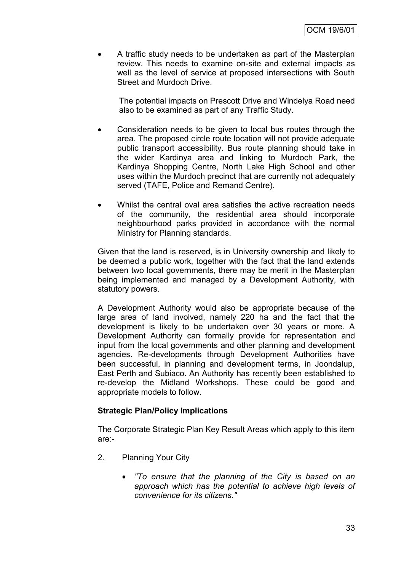A traffic study needs to be undertaken as part of the Masterplan review. This needs to examine on-site and external impacts as well as the level of service at proposed intersections with South Street and Murdoch Drive.

The potential impacts on Prescott Drive and Windelya Road need also to be examined as part of any Traffic Study.

- Consideration needs to be given to local bus routes through the area. The proposed circle route location will not provide adequate public transport accessibility. Bus route planning should take in the wider Kardinya area and linking to Murdoch Park, the Kardinya Shopping Centre, North Lake High School and other uses within the Murdoch precinct that are currently not adequately served (TAFE, Police and Remand Centre).
- Whilst the central oval area satisfies the active recreation needs of the community, the residential area should incorporate neighbourhood parks provided in accordance with the normal Ministry for Planning standards.

Given that the land is reserved, is in University ownership and likely to be deemed a public work, together with the fact that the land extends between two local governments, there may be merit in the Masterplan being implemented and managed by a Development Authority, with statutory powers.

A Development Authority would also be appropriate because of the large area of land involved, namely 220 ha and the fact that the development is likely to be undertaken over 30 years or more. A Development Authority can formally provide for representation and input from the local governments and other planning and development agencies. Re-developments through Development Authorities have been successful, in planning and development terms, in Joondalup, East Perth and Subiaco. An Authority has recently been established to re-develop the Midland Workshops. These could be good and appropriate models to follow.

## **Strategic Plan/Policy Implications**

The Corporate Strategic Plan Key Result Areas which apply to this item are:-

- 2. Planning Your City
	- *"To ensure that the planning of the City is based on an approach which has the potential to achieve high levels of convenience for its citizens."*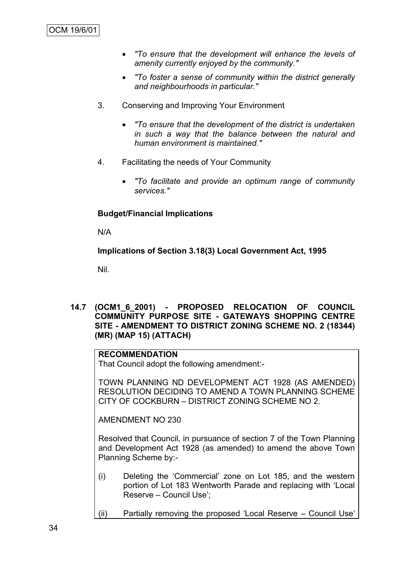- *"To ensure that the development will enhance the levels of amenity currently enjoyed by the community."*
- *"To foster a sense of community within the district generally and neighbourhoods in particular."*
- 3. Conserving and Improving Your Environment
	- *"To ensure that the development of the district is undertaken in such a way that the balance between the natural and human environment is maintained."*
- 4. Facilitating the needs of Your Community
	- *"To facilitate and provide an optimum range of community services."*

## **Budget/Financial Implications**

N/A

**Implications of Section 3.18(3) Local Government Act, 1995**

Nil.

**14.7 (OCM1\_6\_2001) - PROPOSED RELOCATION OF COUNCIL COMMUNITY PURPOSE SITE - GATEWAYS SHOPPING CENTRE SITE - AMENDMENT TO DISTRICT ZONING SCHEME NO. 2 (18344) (MR) (MAP 15) (ATTACH)**

# **RECOMMENDATION**

That Council adopt the following amendment:-

TOWN PLANNING ND DEVELOPMENT ACT 1928 (AS AMENDED) RESOLUTION DECIDING TO AMEND A TOWN PLANNING SCHEME CITY OF COCKBURN – DISTRICT ZONING SCHEME NO 2.

AMENDMENT NO 230

Resolved that Council, in pursuance of section 7 of the Town Planning and Development Act 1928 (as amended) to amend the above Town Planning Scheme by:-

- (i) Deleting the "Commercial" zone on Lot 185, and the western portion of Lot 183 Wentworth Parade and replacing with "Local Reserve – Council Use";
- (ii) Partially removing the proposed "Local Reserve Council Use"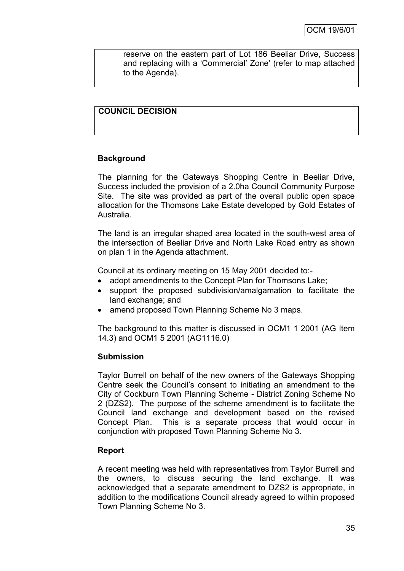reserve on the eastern part of Lot 186 Beeliar Drive, Success and replacing with a "Commercial" Zone" (refer to map attached to the Agenda).

# **COUNCIL DECISION**

## **Background**

The planning for the Gateways Shopping Centre in Beeliar Drive, Success included the provision of a 2.0ha Council Community Purpose Site. The site was provided as part of the overall public open space allocation for the Thomsons Lake Estate developed by Gold Estates of Australia.

The land is an irregular shaped area located in the south-west area of the intersection of Beeliar Drive and North Lake Road entry as shown on plan 1 in the Agenda attachment.

Council at its ordinary meeting on 15 May 2001 decided to:-

- adopt amendments to the Concept Plan for Thomsons Lake;
- support the proposed subdivision/amalgamation to facilitate the land exchange; and
- amend proposed Town Planning Scheme No 3 maps.

The background to this matter is discussed in OCM1 1 2001 (AG Item 14.3) and OCM1 5 2001 (AG1116.0)

## **Submission**

Taylor Burrell on behalf of the new owners of the Gateways Shopping Centre seek the Council"s consent to initiating an amendment to the City of Cockburn Town Planning Scheme - District Zoning Scheme No 2 (DZS2). The purpose of the scheme amendment is to facilitate the Council land exchange and development based on the revised Concept Plan. This is a separate process that would occur in conjunction with proposed Town Planning Scheme No 3.

## **Report**

A recent meeting was held with representatives from Taylor Burrell and the owners, to discuss securing the land exchange. It was acknowledged that a separate amendment to DZS2 is appropriate, in addition to the modifications Council already agreed to within proposed Town Planning Scheme No 3.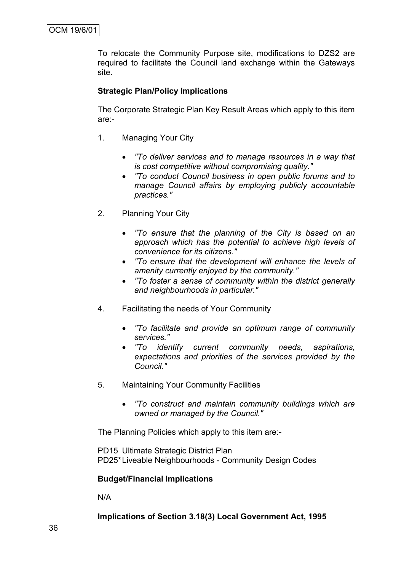To relocate the Community Purpose site, modifications to DZS2 are required to facilitate the Council land exchange within the Gateways site.

# **Strategic Plan/Policy Implications**

The Corporate Strategic Plan Key Result Areas which apply to this item are:-

- 1. Managing Your City
	- *"To deliver services and to manage resources in a way that is cost competitive without compromising quality."*
	- *"To conduct Council business in open public forums and to manage Council affairs by employing publicly accountable practices."*
- 2. Planning Your City
	- *"To ensure that the planning of the City is based on an approach which has the potential to achieve high levels of convenience for its citizens."*
	- *"To ensure that the development will enhance the levels of amenity currently enjoyed by the community."*
	- *"To foster a sense of community within the district generally and neighbourhoods in particular."*
- 4. Facilitating the needs of Your Community
	- *"To facilitate and provide an optimum range of community services."*
	- *"To identify current community needs, aspirations, expectations and priorities of the services provided by the Council."*
- 5. Maintaining Your Community Facilities
	- *"To construct and maintain community buildings which are owned or managed by the Council."*

The Planning Policies which apply to this item are:-

PD15 Ultimate Strategic District Plan PD25\*Liveable Neighbourhoods - Community Design Codes

## **Budget/Financial Implications**

N/A

**Implications of Section 3.18(3) Local Government Act, 1995**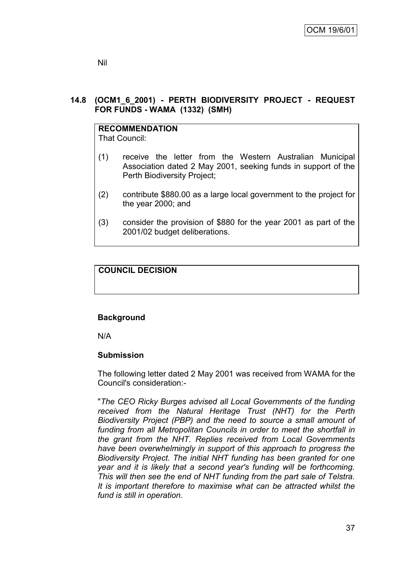# **14.8 (OCM1\_6\_2001) - PERTH BIODIVERSITY PROJECT - REQUEST FOR FUNDS - WAMA (1332) (SMH)**

# **RECOMMENDATION**

That Council:

- (1) receive the letter from the Western Australian Municipal Association dated 2 May 2001, seeking funds in support of the Perth Biodiversity Project;
- (2) contribute \$880.00 as a large local government to the project for the year 2000; and
- (3) consider the provision of \$880 for the year 2001 as part of the 2001/02 budget deliberations.

# **COUNCIL DECISION**

# **Background**

N/A

# **Submission**

The following letter dated 2 May 2001 was received from WAMA for the Council's consideration:-

"*The CEO Ricky Burges advised all Local Governments of the funding received from the Natural Heritage Trust (NHT) for the Perth Biodiversity Project (PBP) and the need to source a small amount of funding from all Metropolitan Councils in order to meet the shortfall in the grant from the NHT. Replies received from Local Governments have been overwhelmingly in support of this approach to progress the Biodiversity Project. The initial NHT funding has been granted for one year and it is likely that a second year's funding will be forthcoming. This will then see the end of NHT funding from the part sale of Telstra. It is important therefore to maximise what can be attracted whilst the fund is still in operation.*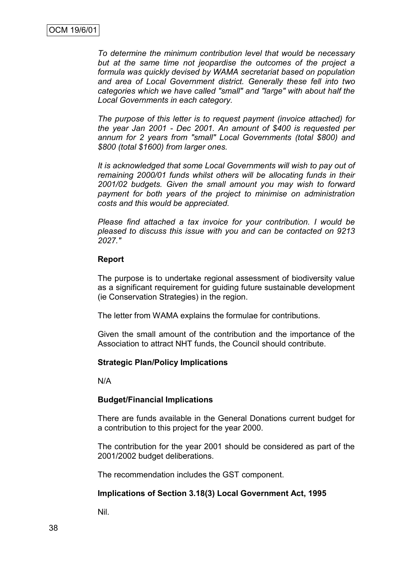*To determine the minimum contribution level that would be necessary but at the same time not jeopardise the outcomes of the project a formula was quickly devised by WAMA secretariat based on population and area of Local Government district. Generally these fell into two categories which we have called "small" and "large" with about half the Local Governments in each category.*

*The purpose of this letter is to request payment (invoice attached) for the year Jan 2001 - Dec 2001. An amount of \$400 is requested per annum for 2 years from "small" Local Governments (total \$800) and \$800 (total \$1600) from larger ones.*

*It is acknowledged that some Local Governments will wish to pay out of remaining 2000/01 funds whilst others will be allocating funds in their 2001/02 budgets. Given the small amount you may wish to forward payment for both years of the project to minimise on administration costs and this would be appreciated.*

*Please find attached a tax invoice for your contribution. I would be pleased to discuss this issue with you and can be contacted on 9213 2027."*

### **Report**

The purpose is to undertake regional assessment of biodiversity value as a significant requirement for guiding future sustainable development (ie Conservation Strategies) in the region.

The letter from WAMA explains the formulae for contributions.

Given the small amount of the contribution and the importance of the Association to attract NHT funds, the Council should contribute.

### **Strategic Plan/Policy Implications**

N/A

## **Budget/Financial Implications**

There are funds available in the General Donations current budget for a contribution to this project for the year 2000.

The contribution for the year 2001 should be considered as part of the 2001/2002 budget deliberations.

The recommendation includes the GST component.

## **Implications of Section 3.18(3) Local Government Act, 1995**

Nil.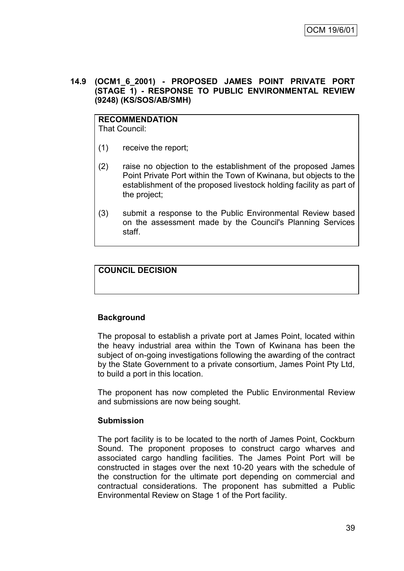## **14.9 (OCM1\_6\_2001) - PROPOSED JAMES POINT PRIVATE PORT (STAGE 1) - RESPONSE TO PUBLIC ENVIRONMENTAL REVIEW (9248) (KS/SOS/AB/SMH)**

**RECOMMENDATION** That Council:

- (1) receive the report;
- (2) raise no objection to the establishment of the proposed James Point Private Port within the Town of Kwinana, but objects to the establishment of the proposed livestock holding facility as part of the project;
- (3) submit a response to the Public Environmental Review based on the assessment made by the Council's Planning Services staff.

# **COUNCIL DECISION**

## **Background**

The proposal to establish a private port at James Point, located within the heavy industrial area within the Town of Kwinana has been the subject of on-going investigations following the awarding of the contract by the State Government to a private consortium, James Point Pty Ltd, to build a port in this location.

The proponent has now completed the Public Environmental Review and submissions are now being sought.

### **Submission**

The port facility is to be located to the north of James Point, Cockburn Sound. The proponent proposes to construct cargo wharves and associated cargo handling facilities. The James Point Port will be constructed in stages over the next 10-20 years with the schedule of the construction for the ultimate port depending on commercial and contractual considerations. The proponent has submitted a Public Environmental Review on Stage 1 of the Port facility.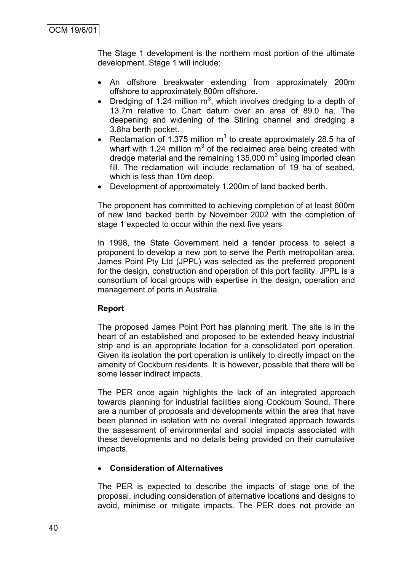The Stage 1 development is the northern most portion of the ultimate development. Stage 1 will include:

- An offshore breakwater extending from approximately 200m offshore to approximately 800m offshore.
- Dredging of 1.24 million  $m^3$ , which involves dredging to a depth of 13.7m relative to Chart datum over an area of 89.0 ha. The deepening and widening of the Stirling channel and dredging a 3.8ha berth pocket.
- Reclamation of 1.375 million  $m^3$  to create approximately 28.5 ha of wharf with 1.24 million  $m^3$  of the reclaimed area being created with dredge material and the remaining 135,000  $m<sup>3</sup>$  using imported clean fill. The reclamation will include reclamation of 19 ha of seabed, which is less than 10m deep.
- Development of approximately 1.200m of land backed berth.

The proponent has committed to achieving completion of at least 600m of new land backed berth by November 2002 with the completion of stage 1 expected to occur within the next five years

In 1998, the State Government held a tender process to select a proponent to develop a new port to serve the Perth metropolitan area. James Point Pty Ltd (JPPL) was selected as the preferred proponent for the design, construction and operation of this port facility. JPPL is a consortium of local groups with expertise in the design, operation and management of ports in Australia.

# **Report**

The proposed James Point Port has planning merit. The site is in the heart of an established and proposed to be extended heavy industrial strip and is an appropriate location for a consolidated port operation. Given its isolation the port operation is unlikely to directly impact on the amenity of Cockburn residents. It is however, possible that there will be some lesser indirect impacts.

The PER once again highlights the lack of an integrated approach towards planning for industrial facilities along Cockburn Sound. There are a number of proposals and developments within the area that have been planned in isolation with no overall integrated approach towards the assessment of environmental and social impacts associated with these developments and no details being provided on their cumulative impacts.

## **Consideration of Alternatives**

The PER is expected to describe the impacts of stage one of the proposal, including consideration of alternative locations and designs to avoid, minimise or mitigate impacts. The PER does not provide an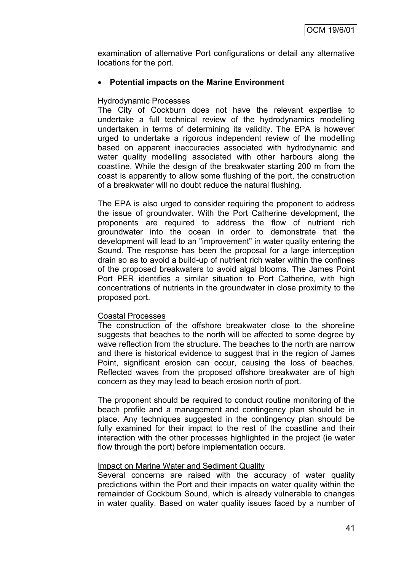examination of alternative Port configurations or detail any alternative locations for the port.

# **Potential impacts on the Marine Environment**

## Hydrodynamic Processes

The City of Cockburn does not have the relevant expertise to undertake a full technical review of the hydrodynamics modelling undertaken in terms of determining its validity. The EPA is however urged to undertake a rigorous independent review of the modelling based on apparent inaccuracies associated with hydrodynamic and water quality modelling associated with other harbours along the coastline. While the design of the breakwater starting 200 m from the coast is apparently to allow some flushing of the port, the construction of a breakwater will no doubt reduce the natural flushing.

The EPA is also urged to consider requiring the proponent to address the issue of groundwater. With the Port Catherine development, the proponents are required to address the flow of nutrient rich groundwater into the ocean in order to demonstrate that the development will lead to an "improvement" in water quality entering the Sound. The response has been the proposal for a large interception drain so as to avoid a build-up of nutrient rich water within the confines of the proposed breakwaters to avoid algal blooms. The James Point Port PER identifies a similar situation to Port Catherine, with high concentrations of nutrients in the groundwater in close proximity to the proposed port.

## Coastal Processes

The construction of the offshore breakwater close to the shoreline suggests that beaches to the north will be affected to some degree by wave reflection from the structure. The beaches to the north are narrow and there is historical evidence to suggest that in the region of James Point, significant erosion can occur, causing the loss of beaches. Reflected waves from the proposed offshore breakwater are of high concern as they may lead to beach erosion north of port.

The proponent should be required to conduct routine monitoring of the beach profile and a management and contingency plan should be in place. Any techniques suggested in the contingency plan should be fully examined for their impact to the rest of the coastline and their interaction with the other processes highlighted in the project (ie water flow through the port) before implementation occurs.

## Impact on Marine Water and Sediment Quality

Several concerns are raised with the accuracy of water quality predictions within the Port and their impacts on water quality within the remainder of Cockburn Sound, which is already vulnerable to changes in water quality. Based on water quality issues faced by a number of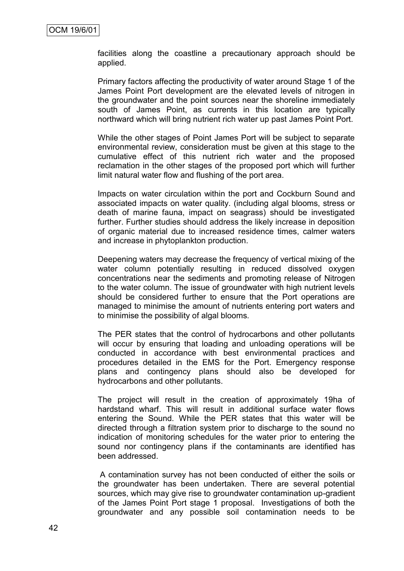facilities along the coastline a precautionary approach should be applied.

Primary factors affecting the productivity of water around Stage 1 of the James Point Port development are the elevated levels of nitrogen in the groundwater and the point sources near the shoreline immediately south of James Point, as currents in this location are typically northward which will bring nutrient rich water up past James Point Port.

While the other stages of Point James Port will be subject to separate environmental review, consideration must be given at this stage to the cumulative effect of this nutrient rich water and the proposed reclamation in the other stages of the proposed port which will further limit natural water flow and flushing of the port area.

Impacts on water circulation within the port and Cockburn Sound and associated impacts on water quality. (including algal blooms, stress or death of marine fauna, impact on seagrass) should be investigated further. Further studies should address the likely increase in deposition of organic material due to increased residence times, calmer waters and increase in phytoplankton production.

Deepening waters may decrease the frequency of vertical mixing of the water column potentially resulting in reduced dissolved oxygen concentrations near the sediments and promoting release of Nitrogen to the water column. The issue of groundwater with high nutrient levels should be considered further to ensure that the Port operations are managed to minimise the amount of nutrients entering port waters and to minimise the possibility of algal blooms.

The PER states that the control of hydrocarbons and other pollutants will occur by ensuring that loading and unloading operations will be conducted in accordance with best environmental practices and procedures detailed in the EMS for the Port. Emergency response plans and contingency plans should also be developed for hydrocarbons and other pollutants.

The project will result in the creation of approximately 19ha of hardstand wharf. This will result in additional surface water flows entering the Sound. While the PER states that this water will be directed through a filtration system prior to discharge to the sound no indication of monitoring schedules for the water prior to entering the sound nor contingency plans if the contaminants are identified has been addressed.

A contamination survey has not been conducted of either the soils or the groundwater has been undertaken. There are several potential sources, which may give rise to groundwater contamination up-gradient of the James Point Port stage 1 proposal. Investigations of both the groundwater and any possible soil contamination needs to be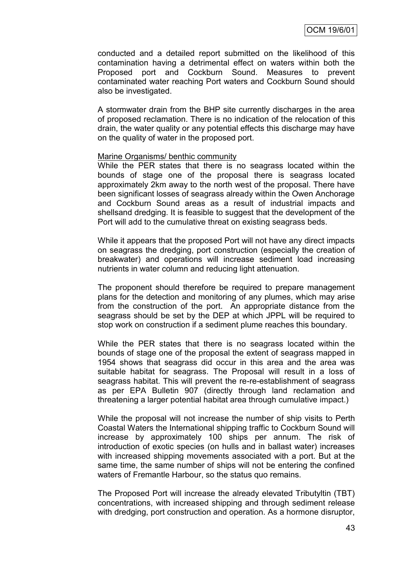conducted and a detailed report submitted on the likelihood of this contamination having a detrimental effect on waters within both the Proposed port and Cockburn Sound. Measures to prevent contaminated water reaching Port waters and Cockburn Sound should also be investigated.

A stormwater drain from the BHP site currently discharges in the area of proposed reclamation. There is no indication of the relocation of this drain, the water quality or any potential effects this discharge may have on the quality of water in the proposed port.

### Marine Organisms/ benthic community

While the PER states that there is no seagrass located within the bounds of stage one of the proposal there is seagrass located approximately 2km away to the north west of the proposal. There have been significant losses of seagrass already within the Owen Anchorage and Cockburn Sound areas as a result of industrial impacts and shellsand dredging. It is feasible to suggest that the development of the Port will add to the cumulative threat on existing seagrass beds.

While it appears that the proposed Port will not have any direct impacts on seagrass the dredging, port construction (especially the creation of breakwater) and operations will increase sediment load increasing nutrients in water column and reducing light attenuation.

The proponent should therefore be required to prepare management plans for the detection and monitoring of any plumes, which may arise from the construction of the port. An appropriate distance from the seagrass should be set by the DEP at which JPPL will be required to stop work on construction if a sediment plume reaches this boundary.

While the PER states that there is no seagrass located within the bounds of stage one of the proposal the extent of seagrass mapped in 1954 shows that seagrass did occur in this area and the area was suitable habitat for seagrass. The Proposal will result in a loss of seagrass habitat. This will prevent the re-re-establishment of seagrass as per EPA Bulletin 907 (directly through land reclamation and threatening a larger potential habitat area through cumulative impact.)

While the proposal will not increase the number of ship visits to Perth Coastal Waters the International shipping traffic to Cockburn Sound will increase by approximately 100 ships per annum. The risk of introduction of exotic species (on hulls and in ballast water) increases with increased shipping movements associated with a port. But at the same time, the same number of ships will not be entering the confined waters of Fremantle Harbour, so the status quo remains.

The Proposed Port will increase the already elevated Tributyltin (TBT) concentrations, with increased shipping and through sediment release with dredging, port construction and operation. As a hormone disruptor,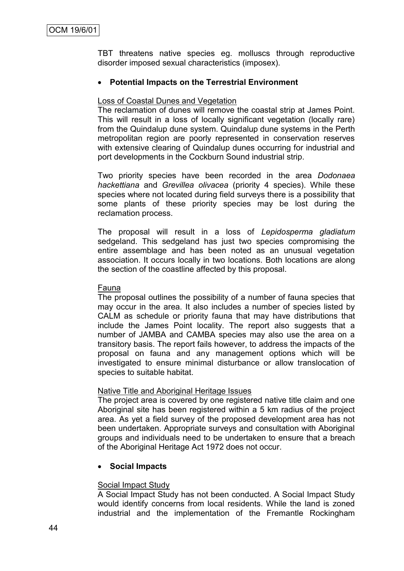TBT threatens native species eg. molluscs through reproductive disorder imposed sexual characteristics (imposex).

## **Potential Impacts on the Terrestrial Environment**

### Loss of Coastal Dunes and Vegetation

The reclamation of dunes will remove the coastal strip at James Point. This will result in a loss of locally significant vegetation (locally rare) from the Quindalup dune system. Quindalup dune systems in the Perth metropolitan region are poorly represented in conservation reserves with extensive clearing of Quindalup dunes occurring for industrial and port developments in the Cockburn Sound industrial strip.

Two priority species have been recorded in the area *Dodonaea hackettiana* and *Grevillea olivacea* (priority 4 species). While these species where not located during field surveys there is a possibility that some plants of these priority species may be lost during the reclamation process.

The proposal will result in a loss of *Lepidosperma gladiatum* sedgeland. This sedgeland has just two species compromising the entire assemblage and has been noted as an unusual vegetation association. It occurs locally in two locations. Both locations are along the section of the coastline affected by this proposal.

### Fauna

The proposal outlines the possibility of a number of fauna species that may occur in the area. It also includes a number of species listed by CALM as schedule or priority fauna that may have distributions that include the James Point locality. The report also suggests that a number of JAMBA and CAMBA species may also use the area on a transitory basis. The report fails however, to address the impacts of the proposal on fauna and any management options which will be investigated to ensure minimal disturbance or allow translocation of species to suitable habitat.

## Native Title and Aboriginal Heritage Issues

The project area is covered by one registered native title claim and one Aboriginal site has been registered within a 5 km radius of the project area. As yet a field survey of the proposed development area has not been undertaken. Appropriate surveys and consultation with Aboriginal groups and individuals need to be undertaken to ensure that a breach of the Aboriginal Heritage Act 1972 does not occur.

## **Social Impacts**

## Social Impact Study

A Social Impact Study has not been conducted. A Social Impact Study would identify concerns from local residents. While the land is zoned industrial and the implementation of the Fremantle Rockingham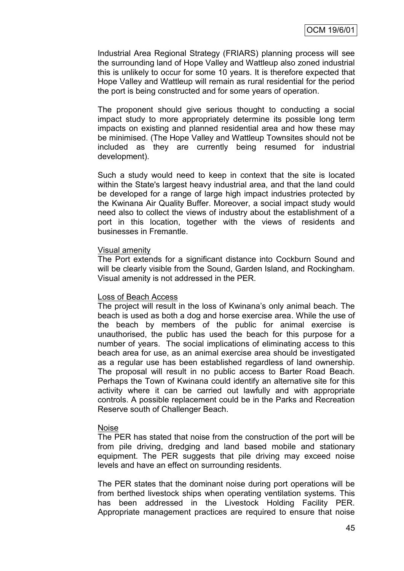Industrial Area Regional Strategy (FRIARS) planning process will see the surrounding land of Hope Valley and Wattleup also zoned industrial this is unlikely to occur for some 10 years. It is therefore expected that Hope Valley and Wattleup will remain as rural residential for the period the port is being constructed and for some years of operation.

The proponent should give serious thought to conducting a social impact study to more appropriately determine its possible long term impacts on existing and planned residential area and how these may be minimised. (The Hope Valley and Wattleup Townsites should not be included as they are currently being resumed for industrial development).

Such a study would need to keep in context that the site is located within the State's largest heavy industrial area, and that the land could be developed for a range of large high impact industries protected by the Kwinana Air Quality Buffer. Moreover, a social impact study would need also to collect the views of industry about the establishment of a port in this location, together with the views of residents and businesses in Fremantle.

### Visual amenity

The Port extends for a significant distance into Cockburn Sound and will be clearly visible from the Sound, Garden Island, and Rockingham. Visual amenity is not addressed in the PER.

## Loss of Beach Access

The project will result in the loss of Kwinana"s only animal beach. The beach is used as both a dog and horse exercise area. While the use of the beach by members of the public for animal exercise is unauthorised, the public has used the beach for this purpose for a number of years. The social implications of eliminating access to this beach area for use, as an animal exercise area should be investigated as a regular use has been established regardless of land ownership. The proposal will result in no public access to Barter Road Beach. Perhaps the Town of Kwinana could identify an alternative site for this activity where it can be carried out lawfully and with appropriate controls. A possible replacement could be in the Parks and Recreation Reserve south of Challenger Beach.

## Noise

The PER has stated that noise from the construction of the port will be from pile driving, dredging and land based mobile and stationary equipment. The PER suggests that pile driving may exceed noise levels and have an effect on surrounding residents.

The PER states that the dominant noise during port operations will be from berthed livestock ships when operating ventilation systems. This has been addressed in the Livestock Holding Facility PER. Appropriate management practices are required to ensure that noise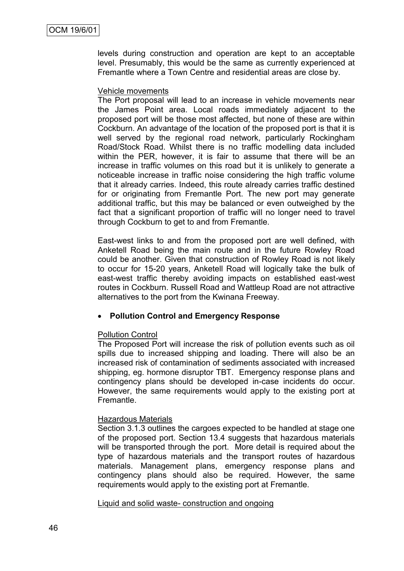levels during construction and operation are kept to an acceptable level. Presumably, this would be the same as currently experienced at Fremantle where a Town Centre and residential areas are close by.

### Vehicle movements

The Port proposal will lead to an increase in vehicle movements near the James Point area. Local roads immediately adjacent to the proposed port will be those most affected, but none of these are within Cockburn. An advantage of the location of the proposed port is that it is well served by the regional road network, particularly Rockingham Road/Stock Road. Whilst there is no traffic modelling data included within the PER, however, it is fair to assume that there will be an increase in traffic volumes on this road but it is unlikely to generate a noticeable increase in traffic noise considering the high traffic volume that it already carries. Indeed, this route already carries traffic destined for or originating from Fremantle Port. The new port may generate additional traffic, but this may be balanced or even outweighed by the fact that a significant proportion of traffic will no longer need to travel through Cockburn to get to and from Fremantle.

East-west links to and from the proposed port are well defined, with Anketell Road being the main route and in the future Rowley Road could be another. Given that construction of Rowley Road is not likely to occur for 15-20 years, Anketell Road will logically take the bulk of east-west traffic thereby avoiding impacts on established east-west routes in Cockburn. Russell Road and Wattleup Road are not attractive alternatives to the port from the Kwinana Freeway.

## **Pollution Control and Emergency Response**

## Pollution Control

The Proposed Port will increase the risk of pollution events such as oil spills due to increased shipping and loading. There will also be an increased risk of contamination of sediments associated with increased shipping, eg. hormone disruptor TBT. Emergency response plans and contingency plans should be developed in-case incidents do occur. However, the same requirements would apply to the existing port at Fremantle.

## Hazardous Materials

Section 3.1.3 outlines the cargoes expected to be handled at stage one of the proposed port. Section 13.4 suggests that hazardous materials will be transported through the port. More detail is required about the type of hazardous materials and the transport routes of hazardous materials. Management plans, emergency response plans and contingency plans should also be required. However, the same requirements would apply to the existing port at Fremantle.

### Liquid and solid waste- construction and ongoing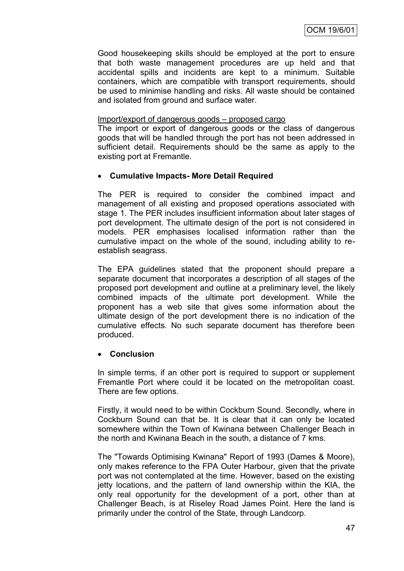Good housekeeping skills should be employed at the port to ensure that both waste management procedures are up held and that accidental spills and incidents are kept to a minimum. Suitable containers, which are compatible with transport requirements, should be used to minimise handling and risks. All waste should be contained and isolated from ground and surface water.

### Import/export of dangerous goods – proposed cargo

The import or export of dangerous goods or the class of dangerous goods that will be handled through the port has not been addressed in sufficient detail. Requirements should be the same as apply to the existing port at Fremantle.

# **Cumulative Impacts- More Detail Required**

The PER is required to consider the combined impact and management of all existing and proposed operations associated with stage 1. The PER includes insufficient information about later stages of port development. The ultimate design of the port is not considered in models. PER emphasises localised information rather than the cumulative impact on the whole of the sound, including ability to reestablish seagrass.

The EPA guidelines stated that the proponent should prepare a separate document that incorporates a description of all stages of the proposed port development and outline at a preliminary level, the likely combined impacts of the ultimate port development. While the proponent has a web site that gives some information about the ultimate design of the port development there is no indication of the cumulative effects. No such separate document has therefore been produced.

## **Conclusion**

In simple terms, if an other port is required to support or supplement Fremantle Port where could it be located on the metropolitan coast. There are few options.

Firstly, it would need to be within Cockburn Sound. Secondly, where in Cockburn Sound can that be. It is clear that it can only be located somewhere within the Town of Kwinana between Challenger Beach in the north and Kwinana Beach in the south, a distance of 7 kms.

The "Towards Optimising Kwinana" Report of 1993 (Dames & Moore), only makes reference to the FPA Outer Harbour, given that the private port was not contemplated at the time. However, based on the existing jetty locations, and the pattern of land ownership within the KIA, the only real opportunity for the development of a port, other than at Challenger Beach, is at Riseley Road James Point. Here the land is primarily under the control of the State, through Landcorp.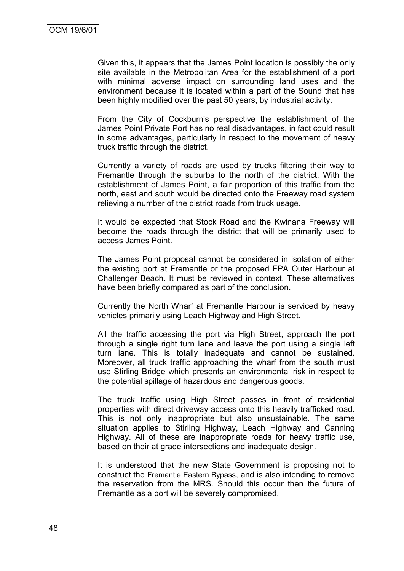Given this, it appears that the James Point location is possibly the only site available in the Metropolitan Area for the establishment of a port with minimal adverse impact on surrounding land uses and the environment because it is located within a part of the Sound that has been highly modified over the past 50 years, by industrial activity.

From the City of Cockburn's perspective the establishment of the James Point Private Port has no real disadvantages, in fact could result in some advantages, particularly in respect to the movement of heavy truck traffic through the district.

Currently a variety of roads are used by trucks filtering their way to Fremantle through the suburbs to the north of the district. With the establishment of James Point, a fair proportion of this traffic from the north, east and south would be directed onto the Freeway road system relieving a number of the district roads from truck usage.

It would be expected that Stock Road and the Kwinana Freeway will become the roads through the district that will be primarily used to access James Point.

The James Point proposal cannot be considered in isolation of either the existing port at Fremantle or the proposed FPA Outer Harbour at Challenger Beach. It must be reviewed in context. These alternatives have been briefly compared as part of the conclusion.

Currently the North Wharf at Fremantle Harbour is serviced by heavy vehicles primarily using Leach Highway and High Street.

All the traffic accessing the port via High Street, approach the port through a single right turn lane and leave the port using a single left turn lane. This is totally inadequate and cannot be sustained. Moreover, all truck traffic approaching the wharf from the south must use Stirling Bridge which presents an environmental risk in respect to the potential spillage of hazardous and dangerous goods.

The truck traffic using High Street passes in front of residential properties with direct driveway access onto this heavily trafficked road. This is not only inappropriate but also unsustainable. The same situation applies to Stirling Highway, Leach Highway and Canning Highway. All of these are inappropriate roads for heavy traffic use, based on their at grade intersections and inadequate design.

It is understood that the new State Government is proposing not to construct the Fremantle Eastern Bypass, and is also intending to remove the reservation from the MRS. Should this occur then the future of Fremantle as a port will be severely compromised.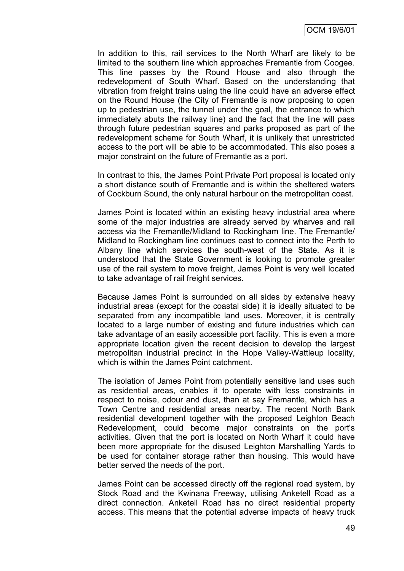In addition to this, rail services to the North Wharf are likely to be limited to the southern line which approaches Fremantle from Coogee. This line passes by the Round House and also through the redevelopment of South Wharf. Based on the understanding that vibration from freight trains using the line could have an adverse effect on the Round House (the City of Fremantle is now proposing to open up to pedestrian use, the tunnel under the goal, the entrance to which immediately abuts the railway line) and the fact that the line will pass through future pedestrian squares and parks proposed as part of the redevelopment scheme for South Wharf, it is unlikely that unrestricted access to the port will be able to be accommodated. This also poses a major constraint on the future of Fremantle as a port.

In contrast to this, the James Point Private Port proposal is located only a short distance south of Fremantle and is within the sheltered waters of Cockburn Sound, the only natural harbour on the metropolitan coast.

James Point is located within an existing heavy industrial area where some of the major industries are already served by wharves and rail access via the Fremantle/Midland to Rockingham line. The Fremantle/ Midland to Rockingham line continues east to connect into the Perth to Albany line which services the south-west of the State. As it is understood that the State Government is looking to promote greater use of the rail system to move freight, James Point is very well located to take advantage of rail freight services.

Because James Point is surrounded on all sides by extensive heavy industrial areas (except for the coastal side) it is ideally situated to be separated from any incompatible land uses. Moreover, it is centrally located to a large number of existing and future industries which can take advantage of an easily accessible port facility. This is even a more appropriate location given the recent decision to develop the largest metropolitan industrial precinct in the Hope Valley-Wattleup locality, which is within the James Point catchment.

The isolation of James Point from potentially sensitive land uses such as residential areas, enables it to operate with less constraints in respect to noise, odour and dust, than at say Fremantle, which has a Town Centre and residential areas nearby. The recent North Bank residential development together with the proposed Leighton Beach Redevelopment, could become major constraints on the port's activities. Given that the port is located on North Wharf it could have been more appropriate for the disused Leighton Marshalling Yards to be used for container storage rather than housing. This would have better served the needs of the port.

James Point can be accessed directly off the regional road system, by Stock Road and the Kwinana Freeway, utilising Anketell Road as a direct connection. Anketell Road has no direct residential property access. This means that the potential adverse impacts of heavy truck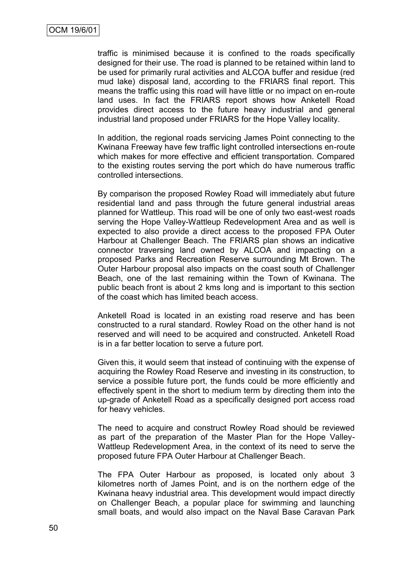traffic is minimised because it is confined to the roads specifically designed for their use. The road is planned to be retained within land to be used for primarily rural activities and ALCOA buffer and residue (red mud lake) disposal land, according to the FRIARS final report. This means the traffic using this road will have little or no impact on en-route land uses. In fact the FRIARS report shows how Anketell Road provides direct access to the future heavy industrial and general industrial land proposed under FRIARS for the Hope Valley locality.

In addition, the regional roads servicing James Point connecting to the Kwinana Freeway have few traffic light controlled intersections en-route which makes for more effective and efficient transportation. Compared to the existing routes serving the port which do have numerous traffic controlled intersections.

By comparison the proposed Rowley Road will immediately abut future residential land and pass through the future general industrial areas planned for Wattleup. This road will be one of only two east-west roads serving the Hope Valley-Wattleup Redevelopment Area and as well is expected to also provide a direct access to the proposed FPA Outer Harbour at Challenger Beach. The FRIARS plan shows an indicative connector traversing land owned by ALCOA and impacting on a proposed Parks and Recreation Reserve surrounding Mt Brown. The Outer Harbour proposal also impacts on the coast south of Challenger Beach, one of the last remaining within the Town of Kwinana. The public beach front is about 2 kms long and is important to this section of the coast which has limited beach access.

Anketell Road is located in an existing road reserve and has been constructed to a rural standard. Rowley Road on the other hand is not reserved and will need to be acquired and constructed. Anketell Road is in a far better location to serve a future port.

Given this, it would seem that instead of continuing with the expense of acquiring the Rowley Road Reserve and investing in its construction, to service a possible future port, the funds could be more efficiently and effectively spent in the short to medium term by directing them into the up-grade of Anketell Road as a specifically designed port access road for heavy vehicles.

The need to acquire and construct Rowley Road should be reviewed as part of the preparation of the Master Plan for the Hope Valley-Wattleup Redevelopment Area, in the context of its need to serve the proposed future FPA Outer Harbour at Challenger Beach.

The FPA Outer Harbour as proposed, is located only about 3 kilometres north of James Point, and is on the northern edge of the Kwinana heavy industrial area. This development would impact directly on Challenger Beach, a popular place for swimming and launching small boats, and would also impact on the Naval Base Caravan Park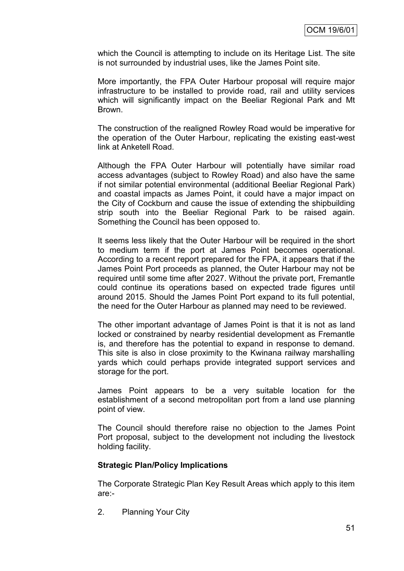which the Council is attempting to include on its Heritage List. The site is not surrounded by industrial uses, like the James Point site.

More importantly, the FPA Outer Harbour proposal will require major infrastructure to be installed to provide road, rail and utility services which will significantly impact on the Beeliar Regional Park and Mt Brown.

The construction of the realigned Rowley Road would be imperative for the operation of the Outer Harbour, replicating the existing east-west link at Anketell Road.

Although the FPA Outer Harbour will potentially have similar road access advantages (subject to Rowley Road) and also have the same if not similar potential environmental (additional Beeliar Regional Park) and coastal impacts as James Point, it could have a major impact on the City of Cockburn and cause the issue of extending the shipbuilding strip south into the Beeliar Regional Park to be raised again. Something the Council has been opposed to.

It seems less likely that the Outer Harbour will be required in the short to medium term if the port at James Point becomes operational. According to a recent report prepared for the FPA, it appears that if the James Point Port proceeds as planned, the Outer Harbour may not be required until some time after 2027. Without the private port, Fremantle could continue its operations based on expected trade figures until around 2015. Should the James Point Port expand to its full potential, the need for the Outer Harbour as planned may need to be reviewed.

The other important advantage of James Point is that it is not as land locked or constrained by nearby residential development as Fremantle is, and therefore has the potential to expand in response to demand. This site is also in close proximity to the Kwinana railway marshalling yards which could perhaps provide integrated support services and storage for the port.

James Point appears to be a very suitable location for the establishment of a second metropolitan port from a land use planning point of view.

The Council should therefore raise no objection to the James Point Port proposal, subject to the development not including the livestock holding facility.

## **Strategic Plan/Policy Implications**

The Corporate Strategic Plan Key Result Areas which apply to this item are:-

2. Planning Your City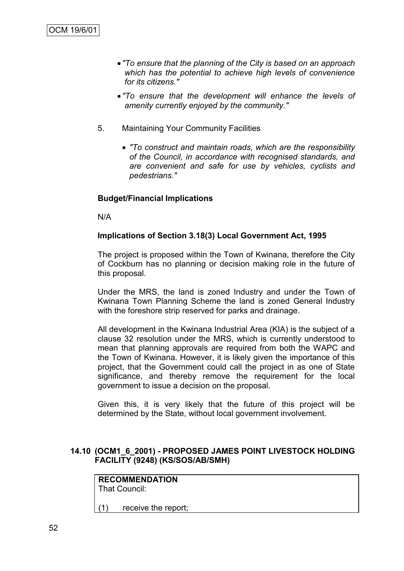- *"To ensure that the planning of the City is based on an approach which has the potential to achieve high levels of convenience for its citizens."*
- *"To ensure that the development will enhance the levels of amenity currently enjoyed by the community."*
- 5. Maintaining Your Community Facilities
	- *"To construct and maintain roads, which are the responsibility of the Council, in accordance with recognised standards, and are convenient and safe for use by vehicles, cyclists and pedestrians."*

## **Budget/Financial Implications**

N/A

### **Implications of Section 3.18(3) Local Government Act, 1995**

The project is proposed within the Town of Kwinana, therefore the City of Cockburn has no planning or decision making role in the future of this proposal.

Under the MRS, the land is zoned Industry and under the Town of Kwinana Town Planning Scheme the land is zoned General Industry with the foreshore strip reserved for parks and drainage.

All development in the Kwinana Industrial Area (KIA) is the subject of a clause 32 resolution under the MRS, which is currently understood to mean that planning approvals are required from both the WAPC and the Town of Kwinana. However, it is likely given the importance of this project, that the Government could call the project in as one of State significance, and thereby remove the requirement for the local government to issue a decision on the proposal.

Given this, it is very likely that the future of this project will be determined by the State, without local government involvement.

### **14.10 (OCM1\_6\_2001) - PROPOSED JAMES POINT LIVESTOCK HOLDING FACILITY (9248) (KS/SOS/AB/SMH)**

#### **RECOMMENDATION** That Council:

(1) receive the report;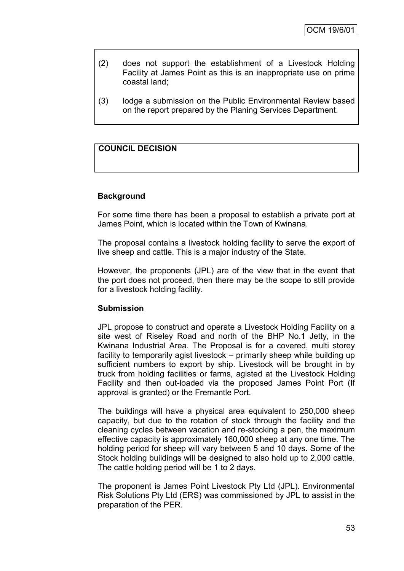- (2) does not support the establishment of a Livestock Holding Facility at James Point as this is an inappropriate use on prime coastal land;
- (3) lodge a submission on the Public Environmental Review based on the report prepared by the Planing Services Department.

# **COUNCIL DECISION**

### **Background**

For some time there has been a proposal to establish a private port at James Point, which is located within the Town of Kwinana.

The proposal contains a livestock holding facility to serve the export of live sheep and cattle. This is a major industry of the State.

However, the proponents (JPL) are of the view that in the event that the port does not proceed, then there may be the scope to still provide for a livestock holding facility.

### **Submission**

JPL propose to construct and operate a Livestock Holding Facility on a site west of Riseley Road and north of the BHP No.1 Jetty, in the Kwinana Industrial Area. The Proposal is for a covered, multi storey facility to temporarily agist livestock – primarily sheep while building up sufficient numbers to export by ship. Livestock will be brought in by truck from holding facilities or farms, agisted at the Livestock Holding Facility and then out-loaded via the proposed James Point Port (If approval is granted) or the Fremantle Port.

The buildings will have a physical area equivalent to 250,000 sheep capacity, but due to the rotation of stock through the facility and the cleaning cycles between vacation and re-stocking a pen, the maximum effective capacity is approximately 160,000 sheep at any one time. The holding period for sheep will vary between 5 and 10 days. Some of the Stock holding buildings will be designed to also hold up to 2,000 cattle. The cattle holding period will be 1 to 2 days.

The proponent is James Point Livestock Pty Ltd (JPL). Environmental Risk Solutions Pty Ltd (ERS) was commissioned by JPL to assist in the preparation of the PER.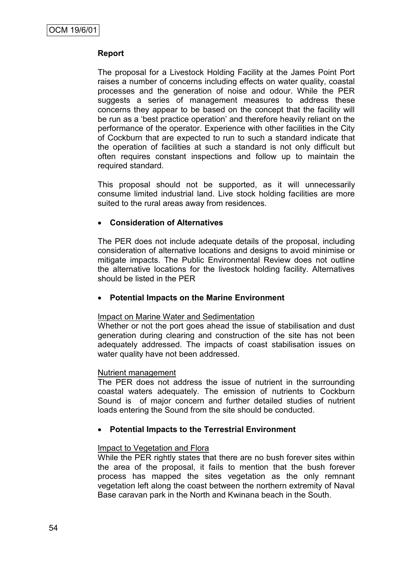## **Report**

The proposal for a Livestock Holding Facility at the James Point Port raises a number of concerns including effects on water quality, coastal processes and the generation of noise and odour. While the PER suggests a series of management measures to address these concerns they appear to be based on the concept that the facility will be run as a "best practice operation" and therefore heavily reliant on the performance of the operator. Experience with other facilities in the City of Cockburn that are expected to run to such a standard indicate that the operation of facilities at such a standard is not only difficult but often requires constant inspections and follow up to maintain the required standard.

This proposal should not be supported, as it will unnecessarily consume limited industrial land. Live stock holding facilities are more suited to the rural areas away from residences.

## **Consideration of Alternatives**

The PER does not include adequate details of the proposal, including consideration of alternative locations and designs to avoid minimise or mitigate impacts. The Public Environmental Review does not outline the alternative locations for the livestock holding facility. Alternatives should be listed in the PER

## **Potential Impacts on the Marine Environment**

### Impact on Marine Water and Sedimentation

Whether or not the port goes ahead the issue of stabilisation and dust generation during clearing and construction of the site has not been adequately addressed. The impacts of coast stabilisation issues on water quality have not been addressed.

### Nutrient management

The PER does not address the issue of nutrient in the surrounding coastal waters adequately. The emission of nutrients to Cockburn Sound is of major concern and further detailed studies of nutrient loads entering the Sound from the site should be conducted.

## **Potential Impacts to the Terrestrial Environment**

### Impact to Vegetation and Flora

While the PER rightly states that there are no bush forever sites within the area of the proposal, it fails to mention that the bush forever process has mapped the sites vegetation as the only remnant vegetation left along the coast between the northern extremity of Naval Base caravan park in the North and Kwinana beach in the South.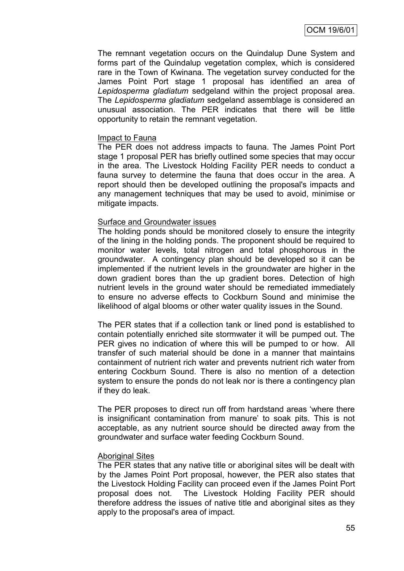The remnant vegetation occurs on the Quindalup Dune System and forms part of the Quindalup vegetation complex, which is considered rare in the Town of Kwinana. The vegetation survey conducted for the James Point Port stage 1 proposal has identified an area of *Lepidosperma gladiatum* sedgeland within the project proposal area. The *Lepidosperma gladiatum* sedgeland assemblage is considered an unusual association. The PER indicates that there will be little opportunity to retain the remnant vegetation.

### Impact to Fauna

The PER does not address impacts to fauna. The James Point Port stage 1 proposal PER has briefly outlined some species that may occur in the area. The Livestock Holding Facility PER needs to conduct a fauna survey to determine the fauna that does occur in the area. A report should then be developed outlining the proposal's impacts and any management techniques that may be used to avoid, minimise or mitigate impacts.

### Surface and Groundwater issues

The holding ponds should be monitored closely to ensure the integrity of the lining in the holding ponds. The proponent should be required to monitor water levels, total nitrogen and total phosphorous in the groundwater. A contingency plan should be developed so it can be implemented if the nutrient levels in the groundwater are higher in the down gradient bores than the up gradient bores. Detection of high nutrient levels in the ground water should be remediated immediately to ensure no adverse effects to Cockburn Sound and minimise the likelihood of algal blooms or other water quality issues in the Sound.

The PER states that if a collection tank or lined pond is established to contain potentially enriched site stormwater it will be pumped out. The PER gives no indication of where this will be pumped to or how. All transfer of such material should be done in a manner that maintains containment of nutrient rich water and prevents nutrient rich water from entering Cockburn Sound. There is also no mention of a detection system to ensure the ponds do not leak nor is there a contingency plan if they do leak.

The PER proposes to direct run off from hardstand areas "where there is insignificant contamination from manure' to soak pits. This is not acceptable, as any nutrient source should be directed away from the groundwater and surface water feeding Cockburn Sound.

### Aboriginal Sites

The PER states that any native title or aboriginal sites will be dealt with by the James Point Port proposal, however, the PER also states that the Livestock Holding Facility can proceed even if the James Point Port proposal does not. The Livestock Holding Facility PER should therefore address the issues of native title and aboriginal sites as they apply to the proposal's area of impact.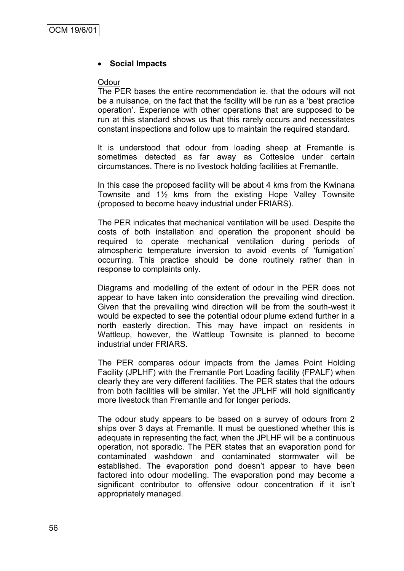## **Social Impacts**

### **Odour**

The PER bases the entire recommendation ie. that the odours will not be a nuisance, on the fact that the facility will be run as a "best practice operation". Experience with other operations that are supposed to be run at this standard shows us that this rarely occurs and necessitates constant inspections and follow ups to maintain the required standard.

It is understood that odour from loading sheep at Fremantle is sometimes detected as far away as Cottesloe under certain circumstances. There is no livestock holding facilities at Fremantle.

In this case the proposed facility will be about 4 kms from the Kwinana Townsite and 1½ kms from the existing Hope Valley Townsite (proposed to become heavy industrial under FRIARS).

The PER indicates that mechanical ventilation will be used. Despite the costs of both installation and operation the proponent should be required to operate mechanical ventilation during periods of atmospheric temperature inversion to avoid events of "fumigation" occurring. This practice should be done routinely rather than in response to complaints only.

Diagrams and modelling of the extent of odour in the PER does not appear to have taken into consideration the prevailing wind direction. Given that the prevailing wind direction will be from the south-west it would be expected to see the potential odour plume extend further in a north easterly direction. This may have impact on residents in Wattleup, however, the Wattleup Townsite is planned to become industrial under FRIARS.

The PER compares odour impacts from the James Point Holding Facility (JPLHF) with the Fremantle Port Loading facility (FPALF) when clearly they are very different facilities. The PER states that the odours from both facilities will be similar. Yet the JPLHF will hold significantly more livestock than Fremantle and for longer periods.

The odour study appears to be based on a survey of odours from 2 ships over 3 days at Fremantle. It must be questioned whether this is adequate in representing the fact, when the JPLHF will be a continuous operation, not sporadic. The PER states that an evaporation pond for contaminated washdown and contaminated stormwater will be established. The evaporation pond doesn"t appear to have been factored into odour modelling. The evaporation pond may become a significant contributor to offensive odour concentration if it isn"t appropriately managed.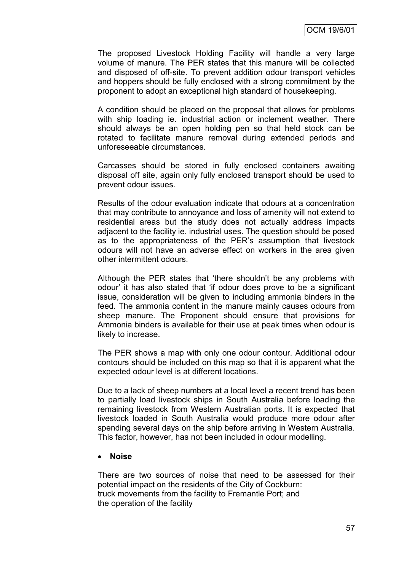The proposed Livestock Holding Facility will handle a very large volume of manure. The PER states that this manure will be collected and disposed of off-site. To prevent addition odour transport vehicles and hoppers should be fully enclosed with a strong commitment by the proponent to adopt an exceptional high standard of housekeeping.

A condition should be placed on the proposal that allows for problems with ship loading ie. industrial action or inclement weather. There should always be an open holding pen so that held stock can be rotated to facilitate manure removal during extended periods and unforeseeable circumstances.

Carcasses should be stored in fully enclosed containers awaiting disposal off site, again only fully enclosed transport should be used to prevent odour issues.

Results of the odour evaluation indicate that odours at a concentration that may contribute to annoyance and loss of amenity will not extend to residential areas but the study does not actually address impacts adjacent to the facility ie. industrial uses. The question should be posed as to the appropriateness of the PER"s assumption that livestock odours will not have an adverse effect on workers in the area given other intermittent odours.

Although the PER states that "there shouldn"t be any problems with odour" it has also stated that "if odour does prove to be a significant issue, consideration will be given to including ammonia binders in the feed. The ammonia content in the manure mainly causes odours from sheep manure. The Proponent should ensure that provisions for Ammonia binders is available for their use at peak times when odour is likely to increase.

The PER shows a map with only one odour contour. Additional odour contours should be included on this map so that it is apparent what the expected odour level is at different locations.

Due to a lack of sheep numbers at a local level a recent trend has been to partially load livestock ships in South Australia before loading the remaining livestock from Western Australian ports. It is expected that livestock loaded in South Australia would produce more odour after spending several days on the ship before arriving in Western Australia. This factor, however, has not been included in odour modelling.

**Noise**

There are two sources of noise that need to be assessed for their potential impact on the residents of the City of Cockburn: truck movements from the facility to Fremantle Port; and the operation of the facility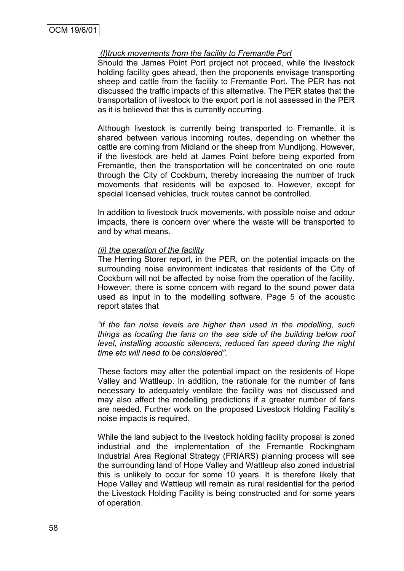### *(I)truck movements from the facility to Fremantle Port*

Should the James Point Port project not proceed, while the livestock holding facility goes ahead, then the proponents envisage transporting sheep and cattle from the facility to Fremantle Port. The PER has not discussed the traffic impacts of this alternative. The PER states that the transportation of livestock to the export port is not assessed in the PER as it is believed that this is currently occurring.

Although livestock is currently being transported to Fremantle, it is shared between various incoming routes, depending on whether the cattle are coming from Midland or the sheep from Mundijong. However, if the livestock are held at James Point before being exported from Fremantle, then the transportation will be concentrated on one route through the City of Cockburn, thereby increasing the number of truck movements that residents will be exposed to. However, except for special licensed vehicles, truck routes cannot be controlled.

In addition to livestock truck movements, with possible noise and odour impacts, there is concern over where the waste will be transported to and by what means.

### *(ii) the operation of the facility*

The Herring Storer report, in the PER, on the potential impacts on the surrounding noise environment indicates that residents of the City of Cockburn will not be affected by noise from the operation of the facility. However, there is some concern with regard to the sound power data used as input in to the modelling software. Page 5 of the acoustic report states that

*"if the fan noise levels are higher than used in the modelling, such things as locating the fans on the sea side of the building below roof level, installing acoustic silencers, reduced fan speed during the night time etc will need to be considered".*

These factors may alter the potential impact on the residents of Hope Valley and Wattleup. In addition, the rationale for the number of fans necessary to adequately ventilate the facility was not discussed and may also affect the modelling predictions if a greater number of fans are needed. Further work on the proposed Livestock Holding Facility"s noise impacts is required.

While the land subject to the livestock holding facility proposal is zoned industrial and the implementation of the Fremantle Rockingham Industrial Area Regional Strategy (FRIARS) planning process will see the surrounding land of Hope Valley and Wattleup also zoned industrial this is unlikely to occur for some 10 years. It is therefore likely that Hope Valley and Wattleup will remain as rural residential for the period the Livestock Holding Facility is being constructed and for some years of operation.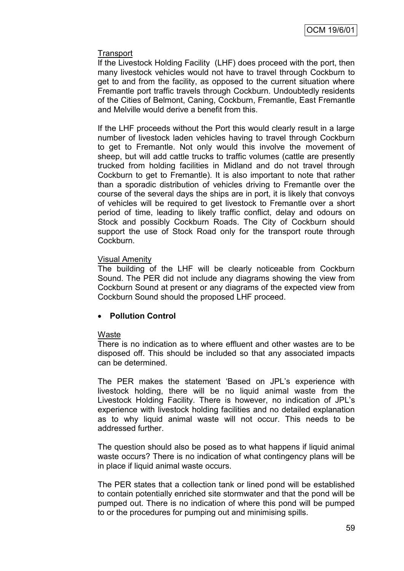## **Transport**

If the Livestock Holding Facility (LHF) does proceed with the port, then many livestock vehicles would not have to travel through Cockburn to get to and from the facility, as opposed to the current situation where Fremantle port traffic travels through Cockburn. Undoubtedly residents of the Cities of Belmont, Caning, Cockburn, Fremantle, East Fremantle and Melville would derive a benefit from this.

If the LHF proceeds without the Port this would clearly result in a large number of livestock laden vehicles having to travel through Cockburn to get to Fremantle. Not only would this involve the movement of sheep, but will add cattle trucks to traffic volumes (cattle are presently trucked from holding facilities in Midland and do not travel through Cockburn to get to Fremantle). It is also important to note that rather than a sporadic distribution of vehicles driving to Fremantle over the course of the several days the ships are in port, it is likely that convoys of vehicles will be required to get livestock to Fremantle over a short period of time, leading to likely traffic conflict, delay and odours on Stock and possibly Cockburn Roads. The City of Cockburn should support the use of Stock Road only for the transport route through Cockburn.

### Visual Amenity

The building of the LHF will be clearly noticeable from Cockburn Sound. The PER did not include any diagrams showing the view from Cockburn Sound at present or any diagrams of the expected view from Cockburn Sound should the proposed LHF proceed.

## **Pollution Control**

## Waste

There is no indication as to where effluent and other wastes are to be disposed off. This should be included so that any associated impacts can be determined.

The PER makes the statement "Based on JPL"s experience with livestock holding, there will be no liquid animal waste from the Livestock Holding Facility. There is however, no indication of JPL"s experience with livestock holding facilities and no detailed explanation as to why liquid animal waste will not occur. This needs to be addressed further.

The question should also be posed as to what happens if liquid animal waste occurs? There is no indication of what contingency plans will be in place if liquid animal waste occurs.

The PER states that a collection tank or lined pond will be established to contain potentially enriched site stormwater and that the pond will be pumped out. There is no indication of where this pond will be pumped to or the procedures for pumping out and minimising spills.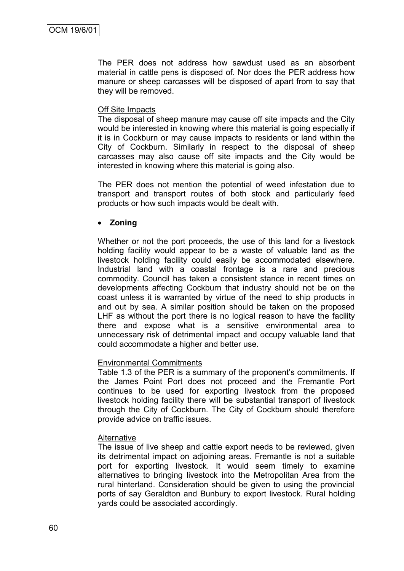The PER does not address how sawdust used as an absorbent material in cattle pens is disposed of. Nor does the PER address how manure or sheep carcasses will be disposed of apart from to say that they will be removed.

### Off Site Impacts

The disposal of sheep manure may cause off site impacts and the City would be interested in knowing where this material is going especially if it is in Cockburn or may cause impacts to residents or land within the City of Cockburn. Similarly in respect to the disposal of sheep carcasses may also cause off site impacts and the City would be interested in knowing where this material is going also.

The PER does not mention the potential of weed infestation due to transport and transport routes of both stock and particularly feed products or how such impacts would be dealt with.

### **Zoning**

Whether or not the port proceeds, the use of this land for a livestock holding facility would appear to be a waste of valuable land as the livestock holding facility could easily be accommodated elsewhere. Industrial land with a coastal frontage is a rare and precious commodity. Council has taken a consistent stance in recent times on developments affecting Cockburn that industry should not be on the coast unless it is warranted by virtue of the need to ship products in and out by sea. A similar position should be taken on the proposed LHF as without the port there is no logical reason to have the facility there and expose what is a sensitive environmental area to unnecessary risk of detrimental impact and occupy valuable land that could accommodate a higher and better use.

## Environmental Commitments

Table 1.3 of the PER is a summary of the proponent's commitments. If the James Point Port does not proceed and the Fremantle Port continues to be used for exporting livestock from the proposed livestock holding facility there will be substantial transport of livestock through the City of Cockburn. The City of Cockburn should therefore provide advice on traffic issues.

### Alternative

The issue of live sheep and cattle export needs to be reviewed, given its detrimental impact on adjoining areas. Fremantle is not a suitable port for exporting livestock. It would seem timely to examine alternatives to bringing livestock into the Metropolitan Area from the rural hinterland. Consideration should be given to using the provincial ports of say Geraldton and Bunbury to export livestock. Rural holding yards could be associated accordingly.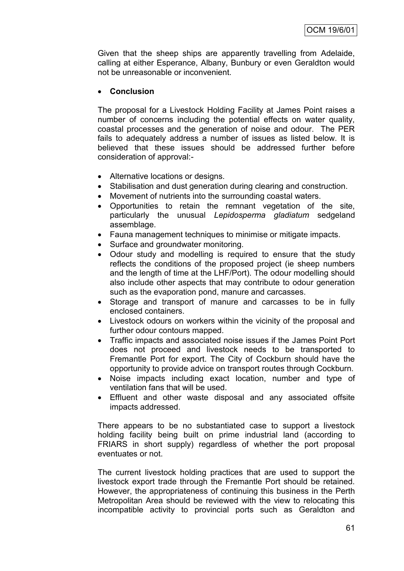Given that the sheep ships are apparently travelling from Adelaide, calling at either Esperance, Albany, Bunbury or even Geraldton would not be unreasonable or inconvenient.

## **Conclusion**

The proposal for a Livestock Holding Facility at James Point raises a number of concerns including the potential effects on water quality, coastal processes and the generation of noise and odour. The PER fails to adequately address a number of issues as listed below. It is believed that these issues should be addressed further before consideration of approval:-

- Alternative locations or designs.
- Stabilisation and dust generation during clearing and construction.
- Movement of nutrients into the surrounding coastal waters.
- Opportunities to retain the remnant vegetation of the site, particularly the unusual *Lepidosperma gladiatum* sedgeland assemblage.
- Fauna management techniques to minimise or mitigate impacts.
- Surface and groundwater monitoring.
- Odour study and modelling is required to ensure that the study reflects the conditions of the proposed project (ie sheep numbers and the length of time at the LHF/Port). The odour modelling should also include other aspects that may contribute to odour generation such as the evaporation pond, manure and carcasses.
- Storage and transport of manure and carcasses to be in fully enclosed containers.
- Livestock odours on workers within the vicinity of the proposal and further odour contours mapped.
- Traffic impacts and associated noise issues if the James Point Port does not proceed and livestock needs to be transported to Fremantle Port for export. The City of Cockburn should have the opportunity to provide advice on transport routes through Cockburn.
- Noise impacts including exact location, number and type of ventilation fans that will be used.
- Effluent and other waste disposal and any associated offsite impacts addressed.

There appears to be no substantiated case to support a livestock holding facility being built on prime industrial land (according to FRIARS in short supply) regardless of whether the port proposal eventuates or not.

The current livestock holding practices that are used to support the livestock export trade through the Fremantle Port should be retained. However, the appropriateness of continuing this business in the Perth Metropolitan Area should be reviewed with the view to relocating this incompatible activity to provincial ports such as Geraldton and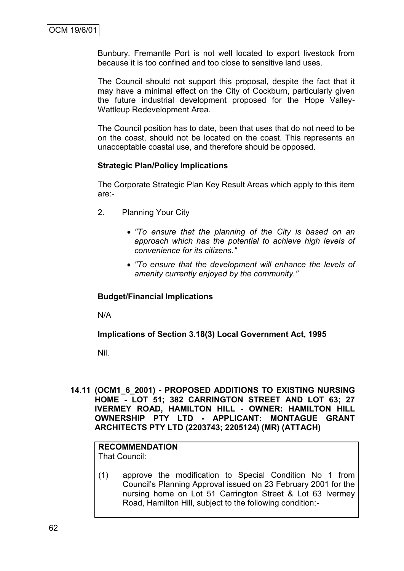Bunbury. Fremantle Port is not well located to export livestock from because it is too confined and too close to sensitive land uses.

The Council should not support this proposal, despite the fact that it may have a minimal effect on the City of Cockburn, particularly given the future industrial development proposed for the Hope Valley-Wattleup Redevelopment Area.

The Council position has to date, been that uses that do not need to be on the coast, should not be located on the coast. This represents an unacceptable coastal use, and therefore should be opposed.

## **Strategic Plan/Policy Implications**

The Corporate Strategic Plan Key Result Areas which apply to this item are:-

- 2. Planning Your City
	- *"To ensure that the planning of the City is based on an approach which has the potential to achieve high levels of convenience for its citizens."*
	- *"To ensure that the development will enhance the levels of amenity currently enjoyed by the community."*

## **Budget/Financial Implications**

N/A

**Implications of Section 3.18(3) Local Government Act, 1995**

Nil.

**14.11 (OCM1\_6\_2001) - PROPOSED ADDITIONS TO EXISTING NURSING HOME - LOT 51; 382 CARRINGTON STREET AND LOT 63; 27 IVERMEY ROAD, HAMILTON HILL - OWNER: HAMILTON HILL OWNERSHIP PTY LTD - APPLICANT: MONTAGUE GRANT ARCHITECTS PTY LTD (2203743; 2205124) (MR) (ATTACH)**

#### **RECOMMENDATION** That Council:

(1) approve the modification to Special Condition No 1 from Council"s Planning Approval issued on 23 February 2001 for the nursing home on Lot 51 Carrington Street & Lot 63 Ivermey Road, Hamilton Hill, subject to the following condition:-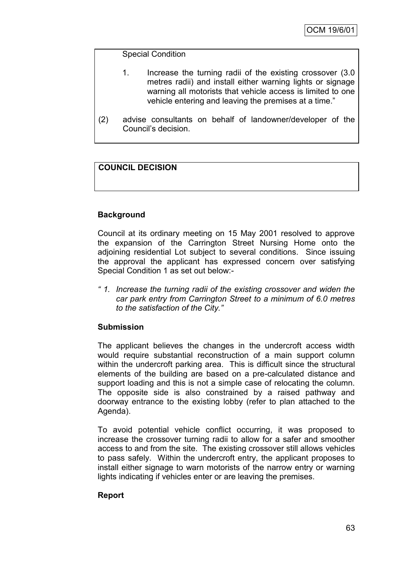## Special Condition

- 1. Increase the turning radii of the existing crossover (3.0 metres radii) and install either warning lights or signage warning all motorists that vehicle access is limited to one vehicle entering and leaving the premises at a time."
- (2) advise consultants on behalf of landowner/developer of the Council"s decision.

# **COUNCIL DECISION**

# **Background**

Council at its ordinary meeting on 15 May 2001 resolved to approve the expansion of the Carrington Street Nursing Home onto the adjoining residential Lot subject to several conditions. Since issuing the approval the applicant has expressed concern over satisfying Special Condition 1 as set out below:-

*" 1. Increase the turning radii of the existing crossover and widen the car park entry from Carrington Street to a minimum of 6.0 metres to the satisfaction of the City."*

# **Submission**

The applicant believes the changes in the undercroft access width would require substantial reconstruction of a main support column within the undercroft parking area. This is difficult since the structural elements of the building are based on a pre-calculated distance and support loading and this is not a simple case of relocating the column. The opposite side is also constrained by a raised pathway and doorway entrance to the existing lobby (refer to plan attached to the Agenda).

To avoid potential vehicle conflict occurring, it was proposed to increase the crossover turning radii to allow for a safer and smoother access to and from the site. The existing crossover still allows vehicles to pass safely. Within the undercroft entry, the applicant proposes to install either signage to warn motorists of the narrow entry or warning lights indicating if vehicles enter or are leaving the premises.

## **Report**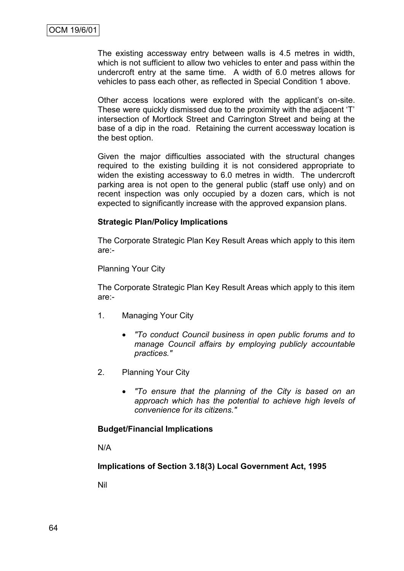The existing accessway entry between walls is 4.5 metres in width, which is not sufficient to allow two vehicles to enter and pass within the undercroft entry at the same time. A width of 6.0 metres allows for vehicles to pass each other, as reflected in Special Condition 1 above.

Other access locations were explored with the applicant's on-site. These were quickly dismissed due to the proximity with the adjacent "T" intersection of Mortlock Street and Carrington Street and being at the base of a dip in the road. Retaining the current accessway location is the best option.

Given the major difficulties associated with the structural changes required to the existing building it is not considered appropriate to widen the existing accessway to 6.0 metres in width. The undercroft parking area is not open to the general public (staff use only) and on recent inspection was only occupied by a dozen cars, which is not expected to significantly increase with the approved expansion plans.

### **Strategic Plan/Policy Implications**

The Corporate Strategic Plan Key Result Areas which apply to this item are:-

Planning Your City

The Corporate Strategic Plan Key Result Areas which apply to this item are:-

- 1. Managing Your City
	- *"To conduct Council business in open public forums and to manage Council affairs by employing publicly accountable practices."*
- 2. Planning Your City
	- *"To ensure that the planning of the City is based on an approach which has the potential to achieve high levels of convenience for its citizens."*

### **Budget/Financial Implications**

N/A

**Implications of Section 3.18(3) Local Government Act, 1995**

Nil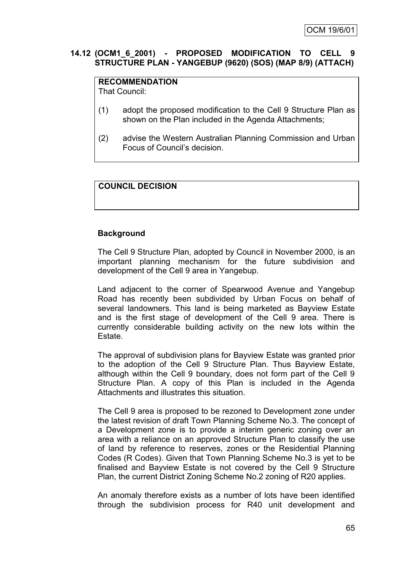## **14.12 (OCM1\_6\_2001) - PROPOSED MODIFICATION TO CELL 9 STRUCTURE PLAN - YANGEBUP (9620) (SOS) (MAP 8/9) (ATTACH)**

# **RECOMMENDATION**

That Council:

- (1) adopt the proposed modification to the Cell 9 Structure Plan as shown on the Plan included in the Agenda Attachments;
- (2) advise the Western Australian Planning Commission and Urban Focus of Council"s decision.

# **COUNCIL DECISION**

# **Background**

The Cell 9 Structure Plan, adopted by Council in November 2000, is an important planning mechanism for the future subdivision and development of the Cell 9 area in Yangebup.

Land adjacent to the corner of Spearwood Avenue and Yangebup Road has recently been subdivided by Urban Focus on behalf of several landowners. This land is being marketed as Bayview Estate and is the first stage of development of the Cell 9 area. There is currently considerable building activity on the new lots within the Estate.

The approval of subdivision plans for Bayview Estate was granted prior to the adoption of the Cell 9 Structure Plan. Thus Bayview Estate, although within the Cell 9 boundary, does not form part of the Cell 9 Structure Plan. A copy of this Plan is included in the Agenda Attachments and illustrates this situation.

The Cell 9 area is proposed to be rezoned to Development zone under the latest revision of draft Town Planning Scheme No.3. The concept of a Development zone is to provide a interim generic zoning over an area with a reliance on an approved Structure Plan to classify the use of land by reference to reserves, zones or the Residential Planning Codes (R Codes). Given that Town Planning Scheme No.3 is yet to be finalised and Bayview Estate is not covered by the Cell 9 Structure Plan, the current District Zoning Scheme No.2 zoning of R20 applies.

An anomaly therefore exists as a number of lots have been identified through the subdivision process for R40 unit development and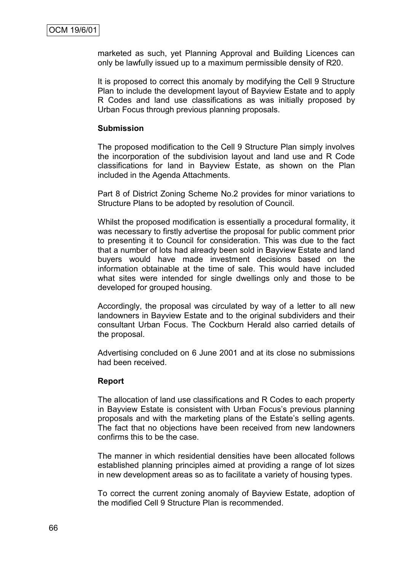marketed as such, yet Planning Approval and Building Licences can only be lawfully issued up to a maximum permissible density of R20.

It is proposed to correct this anomaly by modifying the Cell 9 Structure Plan to include the development layout of Bayview Estate and to apply R Codes and land use classifications as was initially proposed by Urban Focus through previous planning proposals.

#### **Submission**

The proposed modification to the Cell 9 Structure Plan simply involves the incorporation of the subdivision layout and land use and R Code classifications for land in Bayview Estate, as shown on the Plan included in the Agenda Attachments.

Part 8 of District Zoning Scheme No.2 provides for minor variations to Structure Plans to be adopted by resolution of Council.

Whilst the proposed modification is essentially a procedural formality, it was necessary to firstly advertise the proposal for public comment prior to presenting it to Council for consideration. This was due to the fact that a number of lots had already been sold in Bayview Estate and land buyers would have made investment decisions based on the information obtainable at the time of sale. This would have included what sites were intended for single dwellings only and those to be developed for grouped housing.

Accordingly, the proposal was circulated by way of a letter to all new landowners in Bayview Estate and to the original subdividers and their consultant Urban Focus. The Cockburn Herald also carried details of the proposal.

Advertising concluded on 6 June 2001 and at its close no submissions had been received.

#### **Report**

The allocation of land use classifications and R Codes to each property in Bayview Estate is consistent with Urban Focus's previous planning proposals and with the marketing plans of the Estate"s selling agents. The fact that no objections have been received from new landowners confirms this to be the case.

The manner in which residential densities have been allocated follows established planning principles aimed at providing a range of lot sizes in new development areas so as to facilitate a variety of housing types.

To correct the current zoning anomaly of Bayview Estate, adoption of the modified Cell 9 Structure Plan is recommended.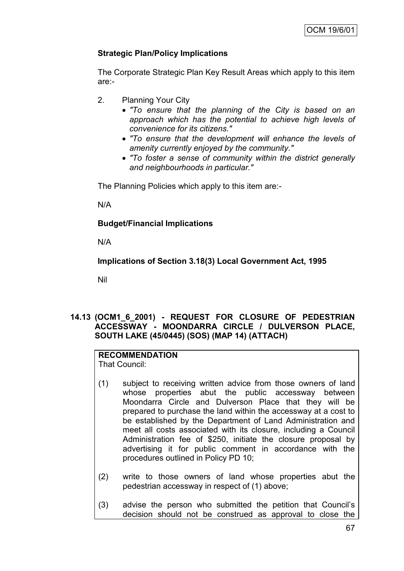# **Strategic Plan/Policy Implications**

The Corporate Strategic Plan Key Result Areas which apply to this item are:-

- 2. Planning Your City
	- *"To ensure that the planning of the City is based on an approach which has the potential to achieve high levels of convenience for its citizens."*
	- *"To ensure that the development will enhance the levels of amenity currently enjoyed by the community."*
	- *"To foster a sense of community within the district generally and neighbourhoods in particular."*

The Planning Policies which apply to this item are:-

N/A

## **Budget/Financial Implications**

N/A

**Implications of Section 3.18(3) Local Government Act, 1995**

Nil

### **14.13 (OCM1\_6\_2001) - REQUEST FOR CLOSURE OF PEDESTRIAN ACCESSWAY - MOONDARRA CIRCLE / DULVERSON PLACE, SOUTH LAKE (45/0445) (SOS) (MAP 14) (ATTACH)**

# **RECOMMENDATION**

That Council:

- (1) subject to receiving written advice from those owners of land whose properties abut the public accessway between Moondarra Circle and Dulverson Place that they will be prepared to purchase the land within the accessway at a cost to be established by the Department of Land Administration and meet all costs associated with its closure, including a Council Administration fee of \$250, initiate the closure proposal by advertising it for public comment in accordance with the procedures outlined in Policy PD 10;
- (2) write to those owners of land whose properties abut the pedestrian accessway in respect of (1) above;
- (3) advise the person who submitted the petition that Council"s decision should not be construed as approval to close the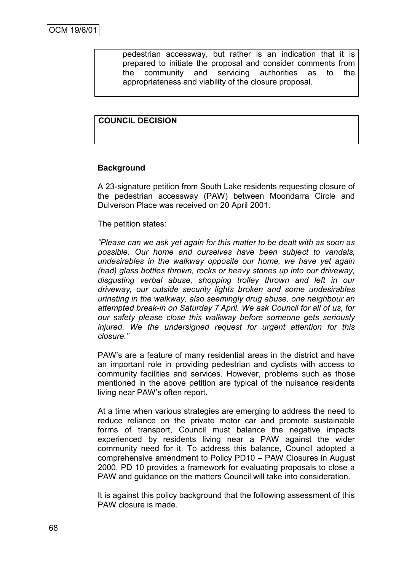pedestrian accessway, but rather is an indication that it is prepared to initiate the proposal and consider comments from the community and servicing authorities as to the appropriateness and viability of the closure proposal.

### **COUNCIL DECISION**

### **Background**

A 23-signature petition from South Lake residents requesting closure of the pedestrian accessway (PAW) between Moondarra Circle and Dulverson Place was received on 20 April 2001.

The petition states:

*"Please can we ask yet again for this matter to be dealt with as soon as possible. Our home and ourselves have been subject to vandals, undesirables in the walkway opposite our home, we have yet again (had) glass bottles thrown, rocks or heavy stones up into our driveway, disgusting verbal abuse, shopping trolley thrown and left in our driveway, our outside security lights broken and some undesirables urinating in the walkway, also seemingly drug abuse, one neighbour an attempted break-in on Saturday 7 April. We ask Council for all of us, for our safety please close this walkway before someone gets seriously injured. We the undersigned request for urgent attention for this closure."* 

PAW"s are a feature of many residential areas in the district and have an important role in providing pedestrian and cyclists with access to community facilities and services. However, problems such as those mentioned in the above petition are typical of the nuisance residents living near PAW"s often report.

At a time when various strategies are emerging to address the need to reduce reliance on the private motor car and promote sustainable forms of transport, Council must balance the negative impacts experienced by residents living near a PAW against the wider community need for it. To address this balance, Council adopted a comprehensive amendment to Policy PD10 – PAW Closures in August 2000. PD 10 provides a framework for evaluating proposals to close a PAW and guidance on the matters Council will take into consideration.

It is against this policy background that the following assessment of this PAW closure is made.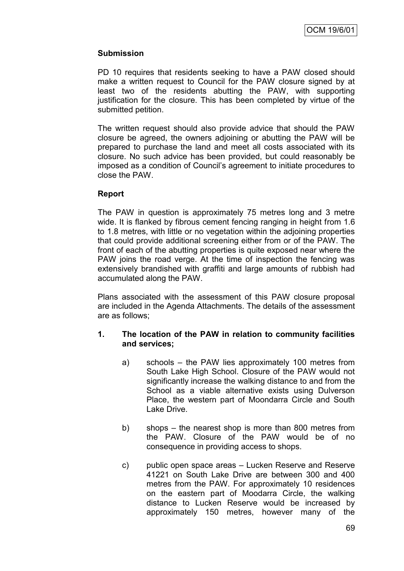### **Submission**

PD 10 requires that residents seeking to have a PAW closed should make a written request to Council for the PAW closure signed by at least two of the residents abutting the PAW, with supporting justification for the closure. This has been completed by virtue of the submitted petition.

The written request should also provide advice that should the PAW closure be agreed, the owners adjoining or abutting the PAW will be prepared to purchase the land and meet all costs associated with its closure. No such advice has been provided, but could reasonably be imposed as a condition of Council"s agreement to initiate procedures to close the PAW.

### **Report**

The PAW in question is approximately 75 metres long and 3 metre wide. It is flanked by fibrous cement fencing ranging in height from 1.6 to 1.8 metres, with little or no vegetation within the adjoining properties that could provide additional screening either from or of the PAW. The front of each of the abutting properties is quite exposed near where the PAW joins the road verge. At the time of inspection the fencing was extensively brandished with graffiti and large amounts of rubbish had accumulated along the PAW.

Plans associated with the assessment of this PAW closure proposal are included in the Agenda Attachments. The details of the assessment are as follows;

### **1. The location of the PAW in relation to community facilities and services;**

- a) schools the PAW lies approximately 100 metres from South Lake High School. Closure of the PAW would not significantly increase the walking distance to and from the School as a viable alternative exists using Dulverson Place, the western part of Moondarra Circle and South Lake Drive.
- b) shops the nearest shop is more than 800 metres from the PAW. Closure of the PAW would be of no consequence in providing access to shops.
- c) public open space areas Lucken Reserve and Reserve 41221 on South Lake Drive are between 300 and 400 metres from the PAW. For approximately 10 residences on the eastern part of Moodarra Circle, the walking distance to Lucken Reserve would be increased by approximately 150 metres, however many of the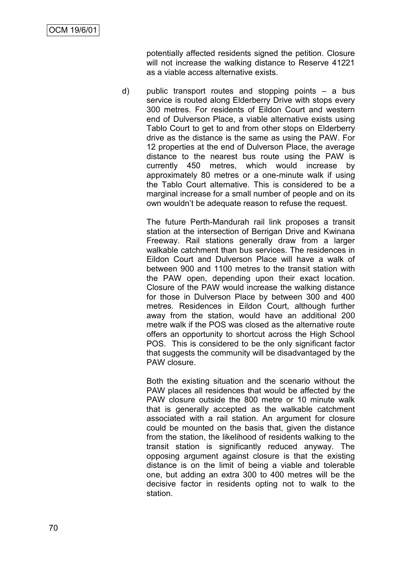potentially affected residents signed the petition. Closure will not increase the walking distance to Reserve 41221 as a viable access alternative exists.

d) public transport routes and stopping points – a bus service is routed along Elderberry Drive with stops every 300 metres. For residents of Eildon Court and western end of Dulverson Place, a viable alternative exists using Tablo Court to get to and from other stops on Elderberry drive as the distance is the same as using the PAW. For 12 properties at the end of Dulverson Place, the average distance to the nearest bus route using the PAW is currently 450 metres, which would increase by approximately 80 metres or a one-minute walk if using the Tablo Court alternative. This is considered to be a marginal increase for a small number of people and on its own wouldn"t be adequate reason to refuse the request.

> The future Perth-Mandurah rail link proposes a transit station at the intersection of Berrigan Drive and Kwinana Freeway. Rail stations generally draw from a larger walkable catchment than bus services. The residences in Eildon Court and Dulverson Place will have a walk of between 900 and 1100 metres to the transit station with the PAW open, depending upon their exact location. Closure of the PAW would increase the walking distance for those in Dulverson Place by between 300 and 400 metres. Residences in Eildon Court, although further away from the station, would have an additional 200 metre walk if the POS was closed as the alternative route offers an opportunity to shortcut across the High School POS. This is considered to be the only significant factor that suggests the community will be disadvantaged by the PAW closure.

> Both the existing situation and the scenario without the PAW places all residences that would be affected by the PAW closure outside the 800 metre or 10 minute walk that is generally accepted as the walkable catchment associated with a rail station. An argument for closure could be mounted on the basis that, given the distance from the station, the likelihood of residents walking to the transit station is significantly reduced anyway. The opposing argument against closure is that the existing distance is on the limit of being a viable and tolerable one, but adding an extra 300 to 400 metres will be the decisive factor in residents opting not to walk to the station.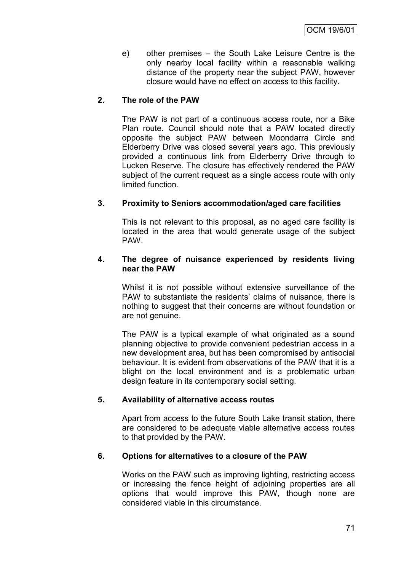e) other premises – the South Lake Leisure Centre is the only nearby local facility within a reasonable walking distance of the property near the subject PAW, however closure would have no effect on access to this facility.

### **2. The role of the PAW**

The PAW is not part of a continuous access route, nor a Bike Plan route. Council should note that a PAW located directly opposite the subject PAW between Moondarra Circle and Elderberry Drive was closed several years ago. This previously provided a continuous link from Elderberry Drive through to Lucken Reserve. The closure has effectively rendered the PAW subject of the current request as a single access route with only limited function.

### **3. Proximity to Seniors accommodation/aged care facilities**

This is not relevant to this proposal, as no aged care facility is located in the area that would generate usage of the subject PAW.

#### **4. The degree of nuisance experienced by residents living near the PAW**

Whilst it is not possible without extensive surveillance of the PAW to substantiate the residents' claims of nuisance, there is nothing to suggest that their concerns are without foundation or are not genuine.

The PAW is a typical example of what originated as a sound planning objective to provide convenient pedestrian access in a new development area, but has been compromised by antisocial behaviour. It is evident from observations of the PAW that it is a blight on the local environment and is a problematic urban design feature in its contemporary social setting.

### **5. Availability of alternative access routes**

Apart from access to the future South Lake transit station, there are considered to be adequate viable alternative access routes to that provided by the PAW.

### **6. Options for alternatives to a closure of the PAW**

Works on the PAW such as improving lighting, restricting access or increasing the fence height of adjoining properties are all options that would improve this PAW, though none are considered viable in this circumstance.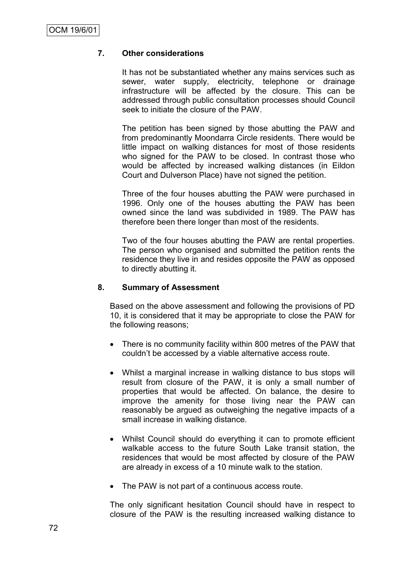### **7. Other considerations**

It has not be substantiated whether any mains services such as sewer, water supply, electricity, telephone or drainage infrastructure will be affected by the closure. This can be addressed through public consultation processes should Council seek to initiate the closure of the PAW.

The petition has been signed by those abutting the PAW and from predominantly Moondarra Circle residents. There would be little impact on walking distances for most of those residents who signed for the PAW to be closed. In contrast those who would be affected by increased walking distances (in Eildon Court and Dulverson Place) have not signed the petition.

Three of the four houses abutting the PAW were purchased in 1996. Only one of the houses abutting the PAW has been owned since the land was subdivided in 1989. The PAW has therefore been there longer than most of the residents.

Two of the four houses abutting the PAW are rental properties. The person who organised and submitted the petition rents the residence they live in and resides opposite the PAW as opposed to directly abutting it.

### **8. Summary of Assessment**

Based on the above assessment and following the provisions of PD 10, it is considered that it may be appropriate to close the PAW for the following reasons;

- There is no community facility within 800 metres of the PAW that couldn"t be accessed by a viable alternative access route.
- Whilst a marginal increase in walking distance to bus stops will result from closure of the PAW, it is only a small number of properties that would be affected. On balance, the desire to improve the amenity for those living near the PAW can reasonably be argued as outweighing the negative impacts of a small increase in walking distance.
- Whilst Council should do everything it can to promote efficient walkable access to the future South Lake transit station, the residences that would be most affected by closure of the PAW are already in excess of a 10 minute walk to the station.
- The PAW is not part of a continuous access route.

The only significant hesitation Council should have in respect to closure of the PAW is the resulting increased walking distance to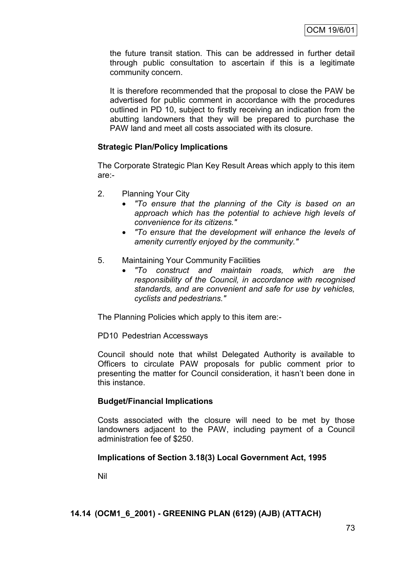the future transit station. This can be addressed in further detail through public consultation to ascertain if this is a legitimate community concern.

It is therefore recommended that the proposal to close the PAW be advertised for public comment in accordance with the procedures outlined in PD 10, subject to firstly receiving an indication from the abutting landowners that they will be prepared to purchase the PAW land and meet all costs associated with its closure.

### **Strategic Plan/Policy Implications**

The Corporate Strategic Plan Key Result Areas which apply to this item are:-

- 2. Planning Your City
	- *"To ensure that the planning of the City is based on an approach which has the potential to achieve high levels of convenience for its citizens."*
	- *"To ensure that the development will enhance the levels of amenity currently enjoyed by the community."*
- 5. Maintaining Your Community Facilities
	- *"To construct and maintain roads, which are the responsibility of the Council, in accordance with recognised standards, and are convenient and safe for use by vehicles, cyclists and pedestrians."*

The Planning Policies which apply to this item are:-

PD10 Pedestrian Accessways

Council should note that whilst Delegated Authority is available to Officers to circulate PAW proposals for public comment prior to presenting the matter for Council consideration, it hasn"t been done in this instance.

### **Budget/Financial Implications**

Costs associated with the closure will need to be met by those landowners adjacent to the PAW, including payment of a Council administration fee of \$250.

### **Implications of Section 3.18(3) Local Government Act, 1995**

Nil

### **14.14 (OCM1\_6\_2001) - GREENING PLAN (6129) (AJB) (ATTACH)**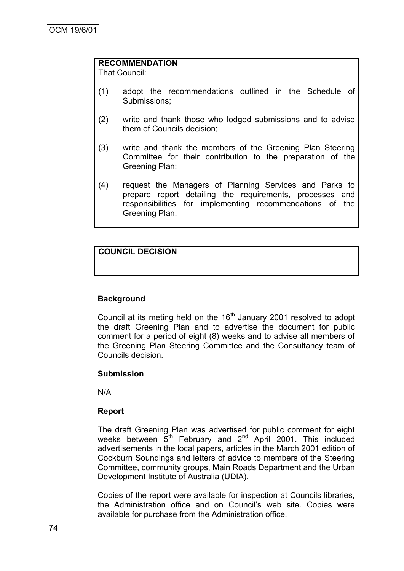### **RECOMMENDATION**

That Council:

- (1) adopt the recommendations outlined in the Schedule of Submissions;
- (2) write and thank those who lodged submissions and to advise them of Councils decision;
- (3) write and thank the members of the Greening Plan Steering Committee for their contribution to the preparation of the Greening Plan;
- (4) request the Managers of Planning Services and Parks to prepare report detailing the requirements, processes and responsibilities for implementing recommendations of the Greening Plan.

# **COUNCIL DECISION**

## **Background**

Council at its meting held on the  $16<sup>th</sup>$  January 2001 resolved to adopt the draft Greening Plan and to advertise the document for public comment for a period of eight (8) weeks and to advise all members of the Greening Plan Steering Committee and the Consultancy team of Councils decision.

### **Submission**

N/A

## **Report**

The draft Greening Plan was advertised for public comment for eight weeks between  $5<sup>th</sup>$  February and  $2<sup>nd</sup>$  April 2001. This included advertisements in the local papers, articles in the March 2001 edition of Cockburn Soundings and letters of advice to members of the Steering Committee, community groups, Main Roads Department and the Urban Development Institute of Australia (UDIA).

Copies of the report were available for inspection at Councils libraries, the Administration office and on Council"s web site. Copies were available for purchase from the Administration office.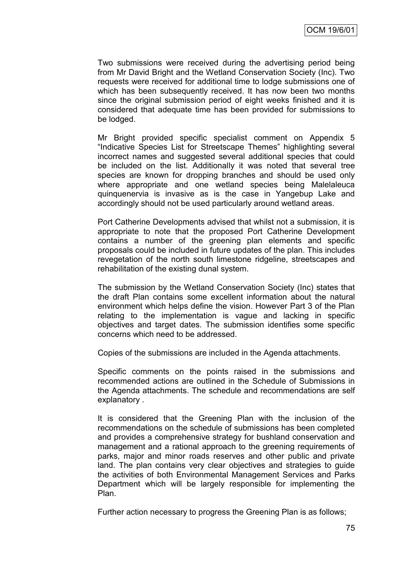Two submissions were received during the advertising period being from Mr David Bright and the Wetland Conservation Society (Inc). Two requests were received for additional time to lodge submissions one of which has been subsequently received. It has now been two months since the original submission period of eight weeks finished and it is considered that adequate time has been provided for submissions to be lodged.

Mr Bright provided specific specialist comment on Appendix 5 "Indicative Species List for Streetscape Themes" highlighting several incorrect names and suggested several additional species that could be included on the list. Additionally it was noted that several tree species are known for dropping branches and should be used only where appropriate and one wetland species being Malelaleuca quinquenervia is invasive as is the case in Yangebup Lake and accordingly should not be used particularly around wetland areas.

Port Catherine Developments advised that whilst not a submission, it is appropriate to note that the proposed Port Catherine Development contains a number of the greening plan elements and specific proposals could be included in future updates of the plan. This includes revegetation of the north south limestone ridgeline, streetscapes and rehabilitation of the existing dunal system.

The submission by the Wetland Conservation Society (Inc) states that the draft Plan contains some excellent information about the natural environment which helps define the vision. However Part 3 of the Plan relating to the implementation is vague and lacking in specific objectives and target dates. The submission identifies some specific concerns which need to be addressed.

Copies of the submissions are included in the Agenda attachments.

Specific comments on the points raised in the submissions and recommended actions are outlined in the Schedule of Submissions in the Agenda attachments. The schedule and recommendations are self explanatory .

It is considered that the Greening Plan with the inclusion of the recommendations on the schedule of submissions has been completed and provides a comprehensive strategy for bushland conservation and management and a rational approach to the greening requirements of parks, major and minor roads reserves and other public and private land. The plan contains very clear objectives and strategies to guide the activities of both Environmental Management Services and Parks Department which will be largely responsible for implementing the Plan.

Further action necessary to progress the Greening Plan is as follows;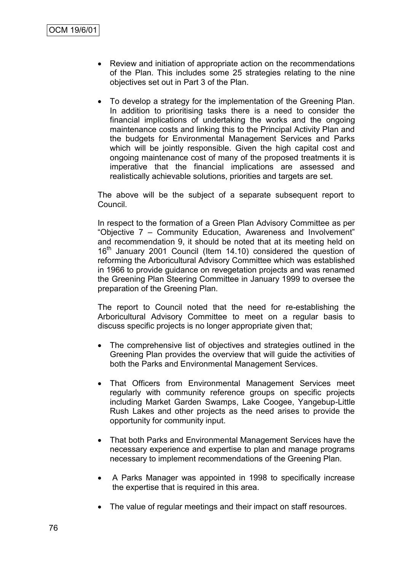- Review and initiation of appropriate action on the recommendations of the Plan. This includes some 25 strategies relating to the nine objectives set out in Part 3 of the Plan.
- To develop a strategy for the implementation of the Greening Plan. In addition to prioritising tasks there is a need to consider the financial implications of undertaking the works and the ongoing maintenance costs and linking this to the Principal Activity Plan and the budgets for Environmental Management Services and Parks which will be jointly responsible. Given the high capital cost and ongoing maintenance cost of many of the proposed treatments it is imperative that the financial implications are assessed and realistically achievable solutions, priorities and targets are set.

The above will be the subject of a separate subsequent report to Council.

In respect to the formation of a Green Plan Advisory Committee as per "Objective 7 – Community Education, Awareness and Involvement" and recommendation 9, it should be noted that at its meeting held on 16<sup>th</sup> January 2001 Council (Item 14.10) considered the question of reforming the Arboricultural Advisory Committee which was established in 1966 to provide guidance on revegetation projects and was renamed the Greening Plan Steering Committee in January 1999 to oversee the preparation of the Greening Plan.

The report to Council noted that the need for re-establishing the Arboricultural Advisory Committee to meet on a regular basis to discuss specific projects is no longer appropriate given that;

- The comprehensive list of objectives and strategies outlined in the Greening Plan provides the overview that will guide the activities of both the Parks and Environmental Management Services.
- That Officers from Environmental Management Services meet regularly with community reference groups on specific projects including Market Garden Swamps, Lake Coogee, Yangebup-Little Rush Lakes and other projects as the need arises to provide the opportunity for community input.
- That both Parks and Environmental Management Services have the necessary experience and expertise to plan and manage programs necessary to implement recommendations of the Greening Plan.
- A Parks Manager was appointed in 1998 to specifically increase the expertise that is required in this area.
- The value of regular meetings and their impact on staff resources.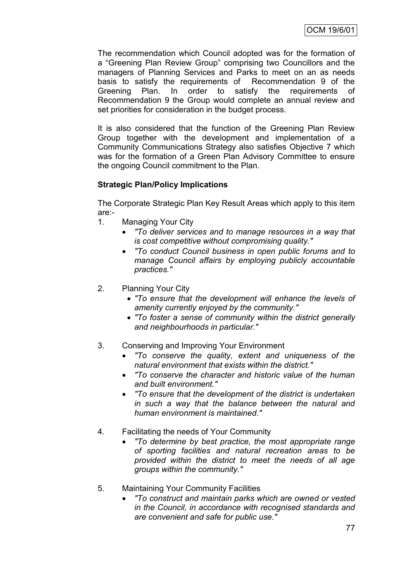The recommendation which Council adopted was for the formation of a "Greening Plan Review Group" comprising two Councillors and the managers of Planning Services and Parks to meet on an as needs basis to satisfy the requirements of Recommendation 9 of the Greening Plan. In order to satisfy the requirements of Recommendation 9 the Group would complete an annual review and set priorities for consideration in the budget process.

It is also considered that the function of the Greening Plan Review Group together with the development and implementation of a Community Communications Strategy also satisfies Objective 7 which was for the formation of a Green Plan Advisory Committee to ensure the ongoing Council commitment to the Plan.

## **Strategic Plan/Policy Implications**

The Corporate Strategic Plan Key Result Areas which apply to this item are:-

- 1. Managing Your City
	- *"To deliver services and to manage resources in a way that is cost competitive without compromising quality."*
	- *"To conduct Council business in open public forums and to manage Council affairs by employing publicly accountable practices."*
- 2. Planning Your City
	- *"To ensure that the development will enhance the levels of amenity currently enjoyed by the community."*
	- *"To foster a sense of community within the district generally and neighbourhoods in particular."*
- 3. Conserving and Improving Your Environment
	- *"To conserve the quality, extent and uniqueness of the natural environment that exists within the district."*
	- *"To conserve the character and historic value of the human and built environment."*
	- *"To ensure that the development of the district is undertaken in such a way that the balance between the natural and human environment is maintained."*
- 4. Facilitating the needs of Your Community
	- *"To determine by best practice, the most appropriate range of sporting facilities and natural recreation areas to be provided within the district to meet the needs of all age groups within the community."*
- 5. Maintaining Your Community Facilities
	- *"To construct and maintain parks which are owned or vested in the Council, in accordance with recognised standards and are convenient and safe for public use."*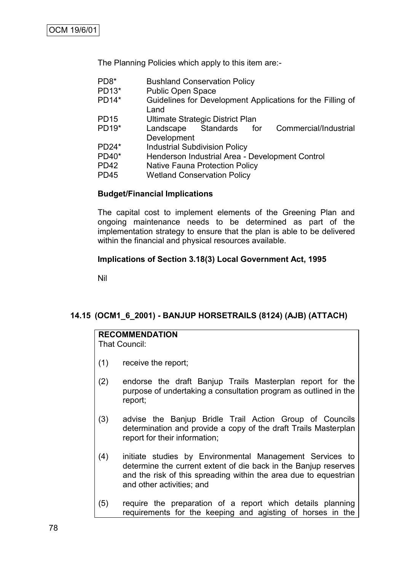The Planning Policies which apply to this item are:-

| <b>Bushland Conservation Policy</b> |
|-------------------------------------|
|                                     |

- PD13\* Public Open Space
- PD14\* Guidelines for Development Applications for the Filling of Land
- PD15 Ultimate Strategic District Plan
- PD19\* Landscape Standards for Commercial/Industrial Development
- PD24\* Industrial Subdivision Policy
- PD40\* Henderson Industrial Area Development Control
- PD42 Native Fauna Protection Policy
- PD45 Wetland Conservation Policy

#### **Budget/Financial Implications**

The capital cost to implement elements of the Greening Plan and ongoing maintenance needs to be determined as part of the implementation strategy to ensure that the plan is able to be delivered within the financial and physical resources available.

### **Implications of Section 3.18(3) Local Government Act, 1995**

Nil

### **14.15 (OCM1\_6\_2001) - BANJUP HORSETRAILS (8124) (AJB) (ATTACH)**

# **RECOMMENDATION**

That Council:

- (1) receive the report;
- (2) endorse the draft Banjup Trails Masterplan report for the purpose of undertaking a consultation program as outlined in the report;
- (3) advise the Banjup Bridle Trail Action Group of Councils determination and provide a copy of the draft Trails Masterplan report for their information;
- (4) initiate studies by Environmental Management Services to determine the current extent of die back in the Banjup reserves and the risk of this spreading within the area due to equestrian and other activities; and
- (5) require the preparation of a report which details planning requirements for the keeping and agisting of horses in the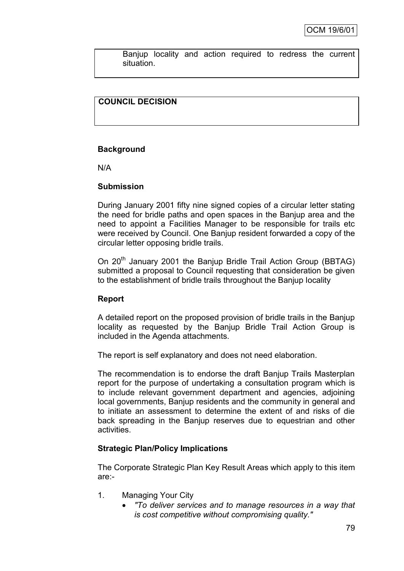Banjup locality and action required to redress the current situation.

## **COUNCIL DECISION**

### **Background**

N/A

### **Submission**

During January 2001 fifty nine signed copies of a circular letter stating the need for bridle paths and open spaces in the Banjup area and the need to appoint a Facilities Manager to be responsible for trails etc were received by Council. One Banjup resident forwarded a copy of the circular letter opposing bridle trails.

On 20<sup>th</sup> January 2001 the Banjup Bridle Trail Action Group (BBTAG) submitted a proposal to Council requesting that consideration be given to the establishment of bridle trails throughout the Banjup locality

### **Report**

A detailed report on the proposed provision of bridle trails in the Banjup locality as requested by the Banjup Bridle Trail Action Group is included in the Agenda attachments.

The report is self explanatory and does not need elaboration.

The recommendation is to endorse the draft Banjup Trails Masterplan report for the purpose of undertaking a consultation program which is to include relevant government department and agencies, adjoining local governments, Banjup residents and the community in general and to initiate an assessment to determine the extent of and risks of die back spreading in the Banjup reserves due to equestrian and other activities.

### **Strategic Plan/Policy Implications**

The Corporate Strategic Plan Key Result Areas which apply to this item are:-

- 1. Managing Your City
	- *"To deliver services and to manage resources in a way that is cost competitive without compromising quality."*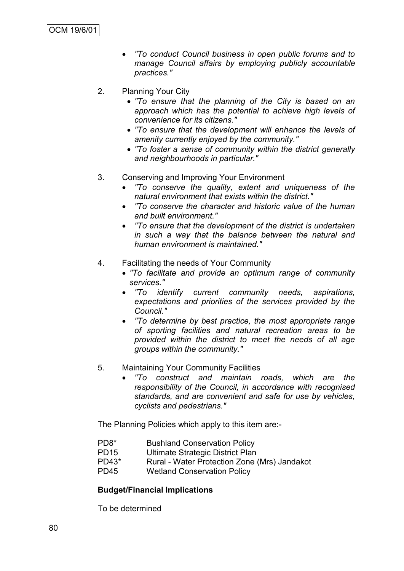- *"To conduct Council business in open public forums and to manage Council affairs by employing publicly accountable practices."*
- 2. Planning Your City
	- *"To ensure that the planning of the City is based on an approach which has the potential to achieve high levels of convenience for its citizens."*
	- *"To ensure that the development will enhance the levels of amenity currently enjoyed by the community."*
	- *"To foster a sense of community within the district generally and neighbourhoods in particular."*
- 3. Conserving and Improving Your Environment
	- *"To conserve the quality, extent and uniqueness of the natural environment that exists within the district."*
	- *"To conserve the character and historic value of the human and built environment."*
	- *"To ensure that the development of the district is undertaken in such a way that the balance between the natural and human environment is maintained."*
- 4. Facilitating the needs of Your Community
	- *"To facilitate and provide an optimum range of community services."*
	- *"To identify current community needs, aspirations, expectations and priorities of the services provided by the Council."*
	- *"To determine by best practice, the most appropriate range of sporting facilities and natural recreation areas to be provided within the district to meet the needs of all age groups within the community."*
- 5. Maintaining Your Community Facilities
	- *"To construct and maintain roads, which are the responsibility of the Council, in accordance with recognised standards, and are convenient and safe for use by vehicles, cyclists and pedestrians."*

The Planning Policies which apply to this item are:-

- PD8\* Bushland Conservation Policy
- PD15 Ultimate Strategic District Plan
- PD43\* Rural Water Protection Zone (Mrs) Jandakot
- PD45 Wetland Conservation Policy

### **Budget/Financial Implications**

To be determined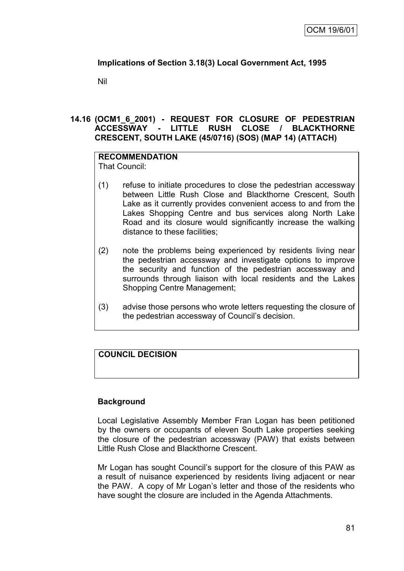# **Implications of Section 3.18(3) Local Government Act, 1995**

Nil

### **14.16 (OCM1\_6\_2001) - REQUEST FOR CLOSURE OF PEDESTRIAN ACCESSWAY - LITTLE RUSH CLOSE / BLACKTHORNE CRESCENT, SOUTH LAKE (45/0716) (SOS) (MAP 14) (ATTACH)**

#### **RECOMMENDATION** That Council:

- (1) refuse to initiate procedures to close the pedestrian accessway between Little Rush Close and Blackthorne Crescent, South Lake as it currently provides convenient access to and from the Lakes Shopping Centre and bus services along North Lake Road and its closure would significantly increase the walking distance to these facilities;
- (2) note the problems being experienced by residents living near the pedestrian accessway and investigate options to improve the security and function of the pedestrian accessway and surrounds through liaison with local residents and the Lakes Shopping Centre Management;
- (3) advise those persons who wrote letters requesting the closure of the pedestrian accessway of Council"s decision.

# **COUNCIL DECISION**

## **Background**

Local Legislative Assembly Member Fran Logan has been petitioned by the owners or occupants of eleven South Lake properties seeking the closure of the pedestrian accessway (PAW) that exists between Little Rush Close and Blackthorne Crescent.

Mr Logan has sought Council"s support for the closure of this PAW as a result of nuisance experienced by residents living adjacent or near the PAW. A copy of Mr Logan"s letter and those of the residents who have sought the closure are included in the Agenda Attachments.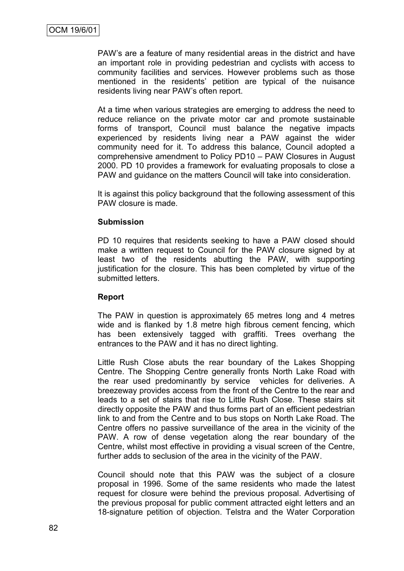PAW"s are a feature of many residential areas in the district and have an important role in providing pedestrian and cyclists with access to community facilities and services. However problems such as those mentioned in the residents' petition are typical of the nuisance residents living near PAW"s often report.

At a time when various strategies are emerging to address the need to reduce reliance on the private motor car and promote sustainable forms of transport, Council must balance the negative impacts experienced by residents living near a PAW against the wider community need for it. To address this balance, Council adopted a comprehensive amendment to Policy PD10 – PAW Closures in August 2000. PD 10 provides a framework for evaluating proposals to close a PAW and guidance on the matters Council will take into consideration.

It is against this policy background that the following assessment of this PAW closure is made.

#### **Submission**

PD 10 requires that residents seeking to have a PAW closed should make a written request to Council for the PAW closure signed by at least two of the residents abutting the PAW, with supporting justification for the closure. This has been completed by virtue of the submitted letters.

### **Report**

The PAW in question is approximately 65 metres long and 4 metres wide and is flanked by 1.8 metre high fibrous cement fencing, which has been extensively tagged with graffiti. Trees overhang the entrances to the PAW and it has no direct lighting.

Little Rush Close abuts the rear boundary of the Lakes Shopping Centre. The Shopping Centre generally fronts North Lake Road with the rear used predominantly by service vehicles for deliveries. A breezeway provides access from the front of the Centre to the rear and leads to a set of stairs that rise to Little Rush Close. These stairs sit directly opposite the PAW and thus forms part of an efficient pedestrian link to and from the Centre and to bus stops on North Lake Road. The Centre offers no passive surveillance of the area in the vicinity of the PAW. A row of dense vegetation along the rear boundary of the Centre, whilst most effective in providing a visual screen of the Centre, further adds to seclusion of the area in the vicinity of the PAW.

Council should note that this PAW was the subject of a closure proposal in 1996. Some of the same residents who made the latest request for closure were behind the previous proposal. Advertising of the previous proposal for public comment attracted eight letters and an 18-signature petition of objection. Telstra and the Water Corporation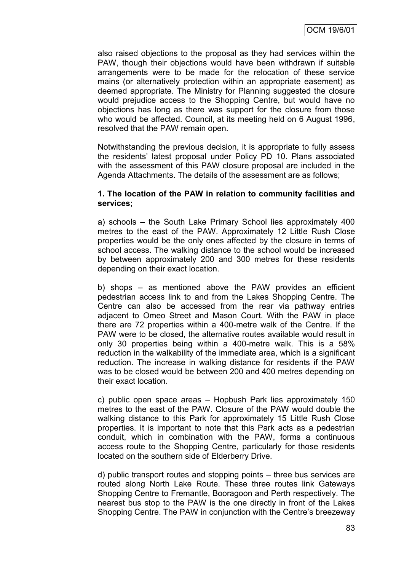also raised objections to the proposal as they had services within the PAW, though their objections would have been withdrawn if suitable arrangements were to be made for the relocation of these service mains (or alternatively protection within an appropriate easement) as deemed appropriate. The Ministry for Planning suggested the closure would prejudice access to the Shopping Centre, but would have no objections has long as there was support for the closure from those who would be affected. Council, at its meeting held on 6 August 1996, resolved that the PAW remain open.

Notwithstanding the previous decision, it is appropriate to fully assess the residents" latest proposal under Policy PD 10. Plans associated with the assessment of this PAW closure proposal are included in the Agenda Attachments. The details of the assessment are as follows;

#### **1. The location of the PAW in relation to community facilities and services;**

a) schools – the South Lake Primary School lies approximately 400 metres to the east of the PAW. Approximately 12 Little Rush Close properties would be the only ones affected by the closure in terms of school access. The walking distance to the school would be increased by between approximately 200 and 300 metres for these residents depending on their exact location.

b) shops – as mentioned above the PAW provides an efficient pedestrian access link to and from the Lakes Shopping Centre. The Centre can also be accessed from the rear via pathway entries adjacent to Omeo Street and Mason Court. With the PAW in place there are 72 properties within a 400-metre walk of the Centre. If the PAW were to be closed, the alternative routes available would result in only 30 properties being within a 400-metre walk. This is a 58% reduction in the walkability of the immediate area, which is a significant reduction. The increase in walking distance for residents if the PAW was to be closed would be between 200 and 400 metres depending on their exact location.

c) public open space areas – Hopbush Park lies approximately 150 metres to the east of the PAW. Closure of the PAW would double the walking distance to this Park for approximately 15 Little Rush Close properties. It is important to note that this Park acts as a pedestrian conduit, which in combination with the PAW, forms a continuous access route to the Shopping Centre, particularly for those residents located on the southern side of Elderberry Drive.

d) public transport routes and stopping points – three bus services are routed along North Lake Route. These three routes link Gateways Shopping Centre to Fremantle, Booragoon and Perth respectively. The nearest bus stop to the PAW is the one directly in front of the Lakes Shopping Centre. The PAW in conjunction with the Centre"s breezeway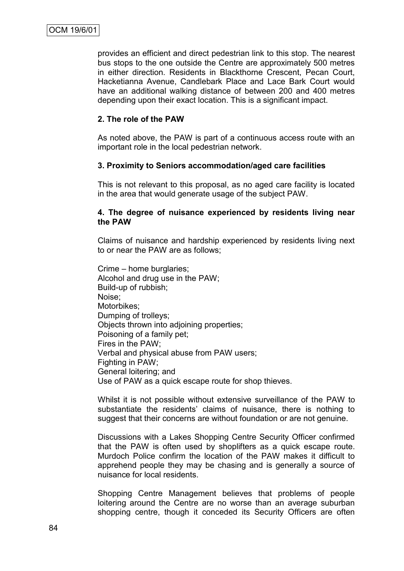provides an efficient and direct pedestrian link to this stop. The nearest bus stops to the one outside the Centre are approximately 500 metres in either direction. Residents in Blackthorne Crescent, Pecan Court, Hacketianna Avenue, Candlebark Place and Lace Bark Court would have an additional walking distance of between 200 and 400 metres depending upon their exact location. This is a significant impact.

### **2. The role of the PAW**

As noted above, the PAW is part of a continuous access route with an important role in the local pedestrian network.

### **3. Proximity to Seniors accommodation/aged care facilities**

This is not relevant to this proposal, as no aged care facility is located in the area that would generate usage of the subject PAW.

#### **4. The degree of nuisance experienced by residents living near the PAW**

Claims of nuisance and hardship experienced by residents living next to or near the PAW are as follows;

Crime – home burglaries; Alcohol and drug use in the PAW; Build-up of rubbish; Noise; Motorbikes; Dumping of trolleys; Objects thrown into adjoining properties; Poisoning of a family pet; Fires in the PAW; Verbal and physical abuse from PAW users; Fighting in PAW; General loitering; and Use of PAW as a quick escape route for shop thieves.

Whilst it is not possible without extensive surveillance of the PAW to substantiate the residents' claims of nuisance, there is nothing to suggest that their concerns are without foundation or are not genuine.

Discussions with a Lakes Shopping Centre Security Officer confirmed that the PAW is often used by shoplifters as a quick escape route. Murdoch Police confirm the location of the PAW makes it difficult to apprehend people they may be chasing and is generally a source of nuisance for local residents.

Shopping Centre Management believes that problems of people loitering around the Centre are no worse than an average suburban shopping centre, though it conceded its Security Officers are often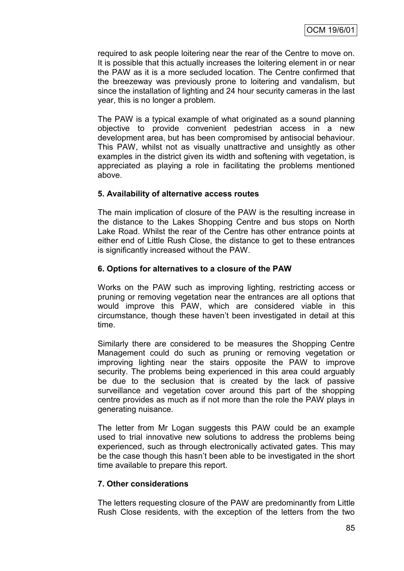required to ask people loitering near the rear of the Centre to move on. It is possible that this actually increases the loitering element in or near the PAW as it is a more secluded location. The Centre confirmed that the breezeway was previously prone to loitering and vandalism, but since the installation of lighting and 24 hour security cameras in the last year, this is no longer a problem.

The PAW is a typical example of what originated as a sound planning objective to provide convenient pedestrian access in a new development area, but has been compromised by antisocial behaviour. This PAW, whilst not as visually unattractive and unsightly as other examples in the district given its width and softening with vegetation, is appreciated as playing a role in facilitating the problems mentioned above.

### **5. Availability of alternative access routes**

The main implication of closure of the PAW is the resulting increase in the distance to the Lakes Shopping Centre and bus stops on North Lake Road. Whilst the rear of the Centre has other entrance points at either end of Little Rush Close, the distance to get to these entrances is significantly increased without the PAW.

### **6. Options for alternatives to a closure of the PAW**

Works on the PAW such as improving lighting, restricting access or pruning or removing vegetation near the entrances are all options that would improve this PAW, which are considered viable in this circumstance, though these haven"t been investigated in detail at this time.

Similarly there are considered to be measures the Shopping Centre Management could do such as pruning or removing vegetation or improving lighting near the stairs opposite the PAW to improve security. The problems being experienced in this area could arguably be due to the seclusion that is created by the lack of passive surveillance and vegetation cover around this part of the shopping centre provides as much as if not more than the role the PAW plays in generating nuisance.

The letter from Mr Logan suggests this PAW could be an example used to trial innovative new solutions to address the problems being experienced, such as through electronically activated gates. This may be the case though this hasn"t been able to be investigated in the short time available to prepare this report.

## **7. Other considerations**

The letters requesting closure of the PAW are predominantly from Little Rush Close residents, with the exception of the letters from the two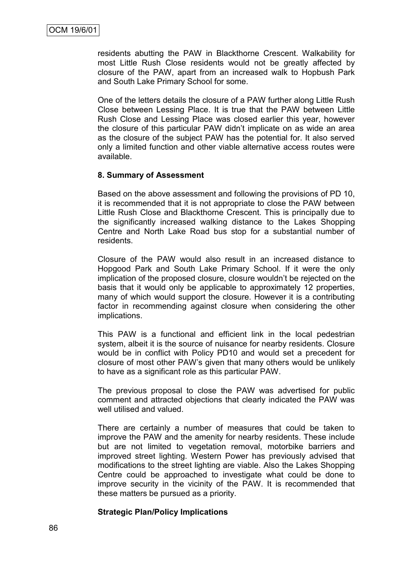residents abutting the PAW in Blackthorne Crescent. Walkability for most Little Rush Close residents would not be greatly affected by closure of the PAW, apart from an increased walk to Hopbush Park and South Lake Primary School for some.

One of the letters details the closure of a PAW further along Little Rush Close between Lessing Place. It is true that the PAW between Little Rush Close and Lessing Place was closed earlier this year, however the closure of this particular PAW didn"t implicate on as wide an area as the closure of the subject PAW has the potential for. It also served only a limited function and other viable alternative access routes were available.

#### **8. Summary of Assessment**

Based on the above assessment and following the provisions of PD 10, it is recommended that it is not appropriate to close the PAW between Little Rush Close and Blackthorne Crescent. This is principally due to the significantly increased walking distance to the Lakes Shopping Centre and North Lake Road bus stop for a substantial number of residents.

Closure of the PAW would also result in an increased distance to Hopgood Park and South Lake Primary School. If it were the only implication of the proposed closure, closure wouldn"t be rejected on the basis that it would only be applicable to approximately 12 properties, many of which would support the closure. However it is a contributing factor in recommending against closure when considering the other implications.

This PAW is a functional and efficient link in the local pedestrian system, albeit it is the source of nuisance for nearby residents. Closure would be in conflict with Policy PD10 and would set a precedent for closure of most other PAW"s given that many others would be unlikely to have as a significant role as this particular PAW.

The previous proposal to close the PAW was advertised for public comment and attracted objections that clearly indicated the PAW was well utilised and valued.

There are certainly a number of measures that could be taken to improve the PAW and the amenity for nearby residents. These include but are not limited to vegetation removal, motorbike barriers and improved street lighting. Western Power has previously advised that modifications to the street lighting are viable. Also the Lakes Shopping Centre could be approached to investigate what could be done to improve security in the vicinity of the PAW. It is recommended that these matters be pursued as a priority.

#### **Strategic Plan/Policy Implications**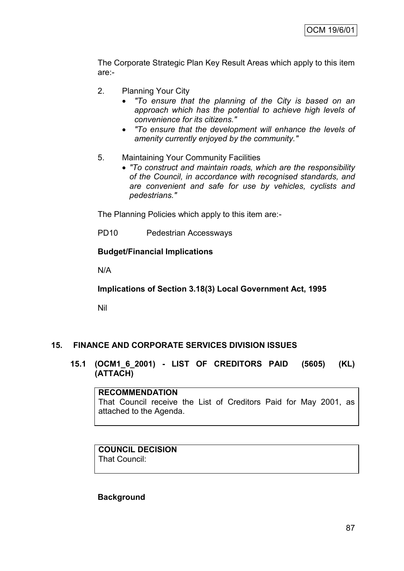The Corporate Strategic Plan Key Result Areas which apply to this item are:-

- 2. Planning Your City
	- *"To ensure that the planning of the City is based on an approach which has the potential to achieve high levels of convenience for its citizens."*
	- *"To ensure that the development will enhance the levels of amenity currently enjoyed by the community."*
- 5. Maintaining Your Community Facilities
	- *"To construct and maintain roads, which are the responsibility of the Council, in accordance with recognised standards, and are convenient and safe for use by vehicles, cyclists and pedestrians."*

The Planning Policies which apply to this item are:-

PD10 Pedestrian Accessways

#### **Budget/Financial Implications**

N/A

**Implications of Section 3.18(3) Local Government Act, 1995**

Nil

### **15. FINANCE AND CORPORATE SERVICES DIVISION ISSUES**

**15.1 (OCM1\_6\_2001) - LIST OF CREDITORS PAID (5605) (KL) (ATTACH)**

**RECOMMENDATION** That Council receive the List of Creditors Paid for May 2001, as attached to the Agenda.

#### **COUNCIL DECISION** That Council:

**Background**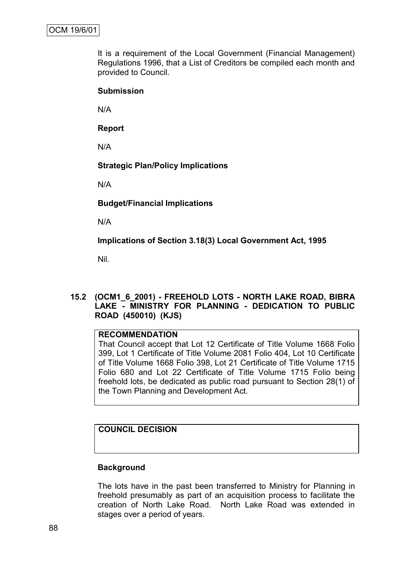It is a requirement of the Local Government (Financial Management) Regulations 1996, that a List of Creditors be compiled each month and provided to Council.

### **Submission**

N/A

**Report**

N/A

### **Strategic Plan/Policy Implications**

N/A

**Budget/Financial Implications**

N/A

**Implications of Section 3.18(3) Local Government Act, 1995**

Nil.

### **15.2 (OCM1\_6\_2001) - FREEHOLD LOTS - NORTH LAKE ROAD, BIBRA LAKE - MINISTRY FOR PLANNING - DEDICATION TO PUBLIC ROAD (450010) (KJS)**

### **RECOMMENDATION**

That Council accept that Lot 12 Certificate of Title Volume 1668 Folio 399, Lot 1 Certificate of Title Volume 2081 Folio 404, Lot 10 Certificate of Title Volume 1668 Folio 398, Lot 21 Certificate of Title Volume 1715 Folio 680 and Lot 22 Certificate of Title Volume 1715 Folio being freehold lots, be dedicated as public road pursuant to Section 28(1) of the Town Planning and Development Act.

# **COUNCIL DECISION**

### **Background**

The lots have in the past been transferred to Ministry for Planning in freehold presumably as part of an acquisition process to facilitate the creation of North Lake Road. North Lake Road was extended in stages over a period of years.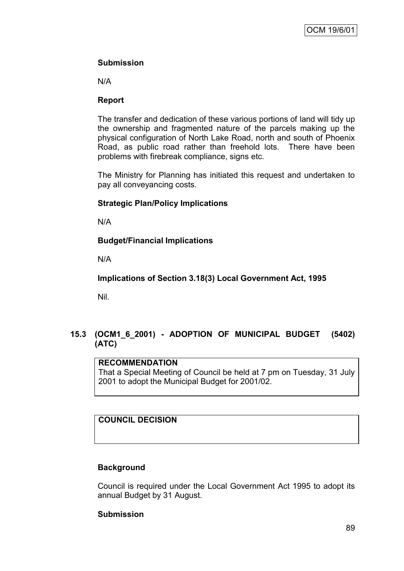### **Submission**

N/A

### **Report**

The transfer and dedication of these various portions of land will tidy up the ownership and fragmented nature of the parcels making up the physical configuration of North Lake Road, north and south of Phoenix Road, as public road rather than freehold lots. There have been problems with firebreak compliance, signs etc.

The Ministry for Planning has initiated this request and undertaken to pay all conveyancing costs.

### **Strategic Plan/Policy Implications**

N/A

## **Budget/Financial Implications**

N/A

**Implications of Section 3.18(3) Local Government Act, 1995**

Nil.

# **15.3 (OCM1\_6\_2001) - ADOPTION OF MUNICIPAL BUDGET (5402) (ATC)**

### **RECOMMENDATION**

That a Special Meeting of Council be held at 7 pm on Tuesday, 31 July 2001 to adopt the Municipal Budget for 2001/02.

# **COUNCIL DECISION**

## **Background**

Council is required under the Local Government Act 1995 to adopt its annual Budget by 31 August.

### **Submission**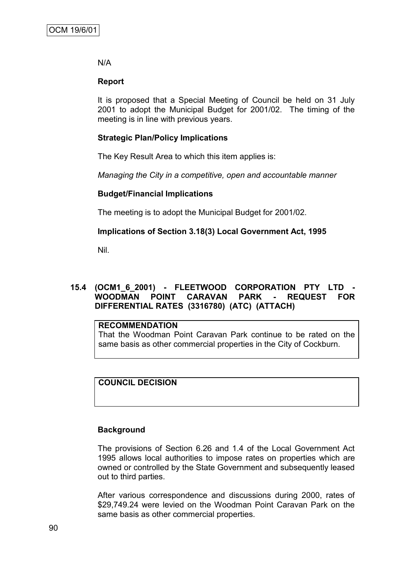### N/A

### **Report**

It is proposed that a Special Meeting of Council be held on 31 July 2001 to adopt the Municipal Budget for 2001/02. The timing of the meeting is in line with previous years.

### **Strategic Plan/Policy Implications**

The Key Result Area to which this item applies is:

*Managing the City in a competitive, open and accountable manner*

### **Budget/Financial Implications**

The meeting is to adopt the Municipal Budget for 2001/02.

### **Implications of Section 3.18(3) Local Government Act, 1995**

Nil.

### **15.4 (OCM1\_6\_2001) - FLEETWOOD CORPORATION PTY LTD - WOODMAN POINT CARAVAN PARK - REQUEST FOR DIFFERENTIAL RATES (3316780) (ATC) (ATTACH)**

### **RECOMMENDATION**

That the Woodman Point Caravan Park continue to be rated on the same basis as other commercial properties in the City of Cockburn.

## **COUNCIL DECISION**

### **Background**

The provisions of Section 6.26 and 1.4 of the Local Government Act 1995 allows local authorities to impose rates on properties which are owned or controlled by the State Government and subsequently leased out to third parties.

After various correspondence and discussions during 2000, rates of \$29,749.24 were levied on the Woodman Point Caravan Park on the same basis as other commercial properties.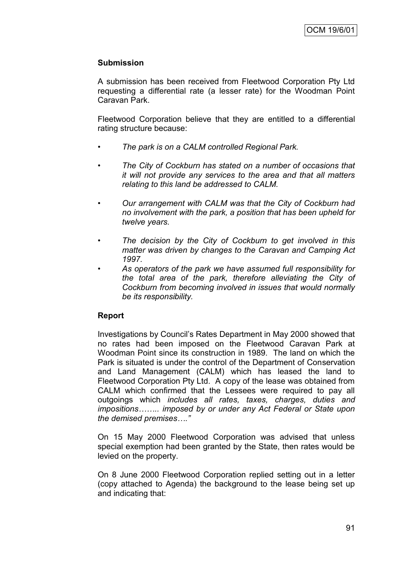### **Submission**

A submission has been received from Fleetwood Corporation Pty Ltd requesting a differential rate (a lesser rate) for the Woodman Point Caravan Park.

Fleetwood Corporation believe that they are entitled to a differential rating structure because:

- *• The park is on a CALM controlled Regional Park.*
- *• The City of Cockburn has stated on a number of occasions that it will not provide any services to the area and that all matters relating to this land be addressed to CALM.*
- *• Our arrangement with CALM was that the City of Cockburn had no involvement with the park, a position that has been upheld for twelve years.*
- *• The decision by the City of Cockburn to get involved in this matter was driven by changes to the Caravan and Camping Act 1997.*
- *• As operators of the park we have assumed full responsibility for the total area of the park, therefore alleviating the City of Cockburn from becoming involved in issues that would normally be its responsibility.*

### **Report**

Investigations by Council"s Rates Department in May 2000 showed that no rates had been imposed on the Fleetwood Caravan Park at Woodman Point since its construction in 1989. The land on which the Park is situated is under the control of the Department of Conservation and Land Management (CALM) which has leased the land to Fleetwood Corporation Pty Ltd. A copy of the lease was obtained from CALM which confirmed that the Lessees were required to pay all outgoings which *includes all rates, taxes, charges, duties and impositions…….. imposed by or under any Act Federal or State upon the demised premises…."*

On 15 May 2000 Fleetwood Corporation was advised that unless special exemption had been granted by the State, then rates would be levied on the property.

On 8 June 2000 Fleetwood Corporation replied setting out in a letter (copy attached to Agenda) the background to the lease being set up and indicating that: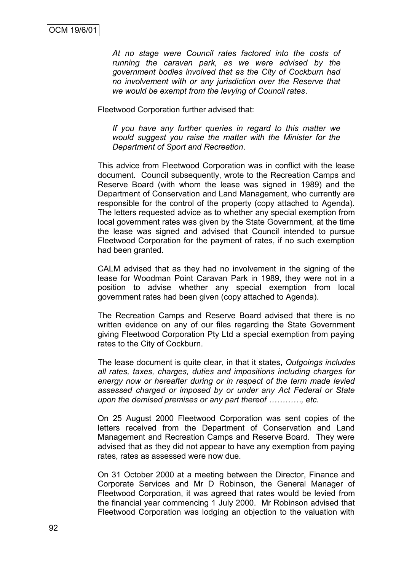*At no stage were Council rates factored into the costs of running the caravan park, as we were advised by the government bodies involved that as the City of Cockburn had no involvement with or any jurisdiction over the Reserve that we would be exempt from the levying of Council rates*.

Fleetwood Corporation further advised that:

*If you have any further queries in regard to this matter we would suggest you raise the matter with the Minister for the Department of Sport and Recreation*.

This advice from Fleetwood Corporation was in conflict with the lease document. Council subsequently, wrote to the Recreation Camps and Reserve Board (with whom the lease was signed in 1989) and the Department of Conservation and Land Management, who currently are responsible for the control of the property (copy attached to Agenda). The letters requested advice as to whether any special exemption from local government rates was given by the State Government, at the time the lease was signed and advised that Council intended to pursue Fleetwood Corporation for the payment of rates, if no such exemption had been granted.

CALM advised that as they had no involvement in the signing of the lease for Woodman Point Caravan Park in 1989, they were not in a position to advise whether any special exemption from local government rates had been given (copy attached to Agenda).

The Recreation Camps and Reserve Board advised that there is no written evidence on any of our files regarding the State Government giving Fleetwood Corporation Pty Ltd a special exemption from paying rates to the City of Cockburn.

The lease document is quite clear, in that it states, *Outgoings includes all rates, taxes, charges, duties and impositions including charges for energy now or hereafter during or in respect of the term made levied assessed charged or imposed by or under any Act Federal or State upon the demised premises or any part thereof …………, etc.*

On 25 August 2000 Fleetwood Corporation was sent copies of the letters received from the Department of Conservation and Land Management and Recreation Camps and Reserve Board. They were advised that as they did not appear to have any exemption from paying rates, rates as assessed were now due.

On 31 October 2000 at a meeting between the Director, Finance and Corporate Services and Mr D Robinson, the General Manager of Fleetwood Corporation, it was agreed that rates would be levied from the financial year commencing 1 July 2000. Mr Robinson advised that Fleetwood Corporation was lodging an objection to the valuation with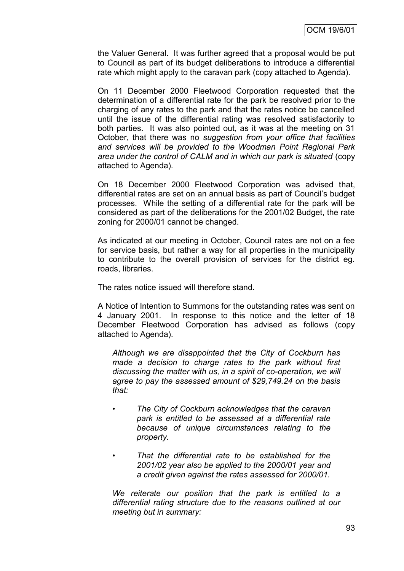the Valuer General. It was further agreed that a proposal would be put to Council as part of its budget deliberations to introduce a differential rate which might apply to the caravan park (copy attached to Agenda).

On 11 December 2000 Fleetwood Corporation requested that the determination of a differential rate for the park be resolved prior to the charging of any rates to the park and that the rates notice be cancelled until the issue of the differential rating was resolved satisfactorily to both parties. It was also pointed out, as it was at the meeting on 31 October, that there was no *suggestion from your office that facilities and services will be provided to the Woodman Point Regional Park area under the control of CALM and in which our park is situated* (copy attached to Agenda).

On 18 December 2000 Fleetwood Corporation was advised that, differential rates are set on an annual basis as part of Council"s budget processes. While the setting of a differential rate for the park will be considered as part of the deliberations for the 2001/02 Budget, the rate zoning for 2000/01 cannot be changed.

As indicated at our meeting in October, Council rates are not on a fee for service basis, but rather a way for all properties in the municipality to contribute to the overall provision of services for the district eg. roads, libraries.

The rates notice issued will therefore stand.

A Notice of Intention to Summons for the outstanding rates was sent on 4 January 2001. In response to this notice and the letter of 18 December Fleetwood Corporation has advised as follows (copy attached to Agenda).

*Although we are disappointed that the City of Cockburn has made a decision to charge rates to the park without first discussing the matter with us, in a spirit of co-operation, we will agree to pay the assessed amount of \$29,749.24 on the basis that:*

- *• The City of Cockburn acknowledges that the caravan park is entitled to be assessed at a differential rate because of unique circumstances relating to the property.*
- *• That the differential rate to be established for the 2001/02 year also be applied to the 2000/01 year and a credit given against the rates assessed for 2000/01.*

*We reiterate our position that the park is entitled to a differential rating structure due to the reasons outlined at our meeting but in summary:*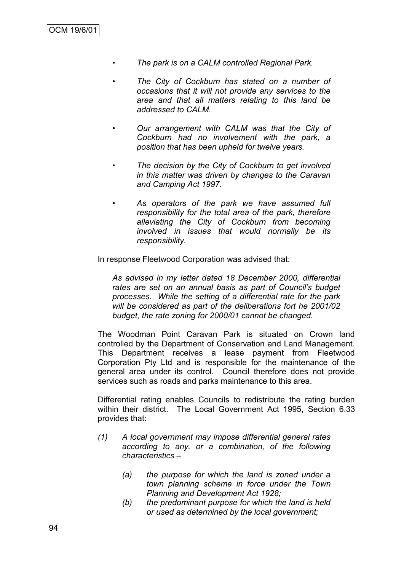- *• The park is on a CALM controlled Regional Park.*
- *• The City of Cockburn has stated on a number of occasions that it will not provide any services to the area and that all matters relating to this land be addressed to CALM.*
- *• Our arrangement with CALM was that the City of Cockburn had no involvement with the park, a position that has been upheld for twelve years.*
- *• The decision by the City of Cockburn to get involved in this matter was driven by changes to the Caravan and Camping Act 1997.*
- *• As operators of the park we have assumed full responsibility for the total area of the park, therefore alleviating the City of Cockburn from becoming involved in issues that would normally be its responsibility.*

In response Fleetwood Corporation was advised that:

*As advised in my letter dated 18 December 2000, differential rates are set on an annual basis as part of Council's budget processes. While the setting of a differential rate for the park will be considered as part of the deliberations fort he 2001/02 budget, the rate zoning for 2000/01 cannot be changed.*

The Woodman Point Caravan Park is situated on Crown land controlled by the Department of Conservation and Land Management. This Department receives a lease payment from Fleetwood Corporation Pty Ltd and is responsible for the maintenance of the general area under its control. Council therefore does not provide services such as roads and parks maintenance to this area.

Differential rating enables Councils to redistribute the rating burden within their district. The Local Government Act 1995, Section 6.33 provides that:

- *(1) A local government may impose differential general rates according to any, or a combination, of the following characteristics –*
	- *(a) the purpose for which the land is zoned under a town planning scheme in force under the Town Planning and Development Act 1928;*
	- *(b) the predominant purpose for which the land is held or used as determined by the local government;*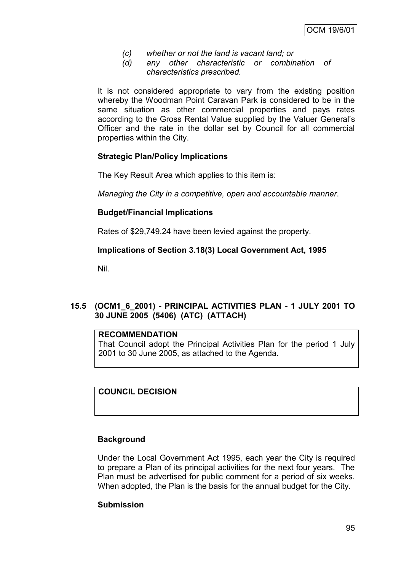- *(c) whether or not the land is vacant land; or*
- *(d) any other characteristic or combination of characteristics prescribed.*

It is not considered appropriate to vary from the existing position whereby the Woodman Point Caravan Park is considered to be in the same situation as other commercial properties and pays rates according to the Gross Rental Value supplied by the Valuer General"s Officer and the rate in the dollar set by Council for all commercial properties within the City.

### **Strategic Plan/Policy Implications**

The Key Result Area which applies to this item is:

*Managing the City in a competitive, open and accountable manner*.

### **Budget/Financial Implications**

Rates of \$29,749.24 have been levied against the property.

### **Implications of Section 3.18(3) Local Government Act, 1995**

Nil.

## **15.5 (OCM1\_6\_2001) - PRINCIPAL ACTIVITIES PLAN - 1 JULY 2001 TO 30 JUNE 2005 (5406) (ATC) (ATTACH)**

#### **RECOMMENDATION**

That Council adopt the Principal Activities Plan for the period 1 July 2001 to 30 June 2005, as attached to the Agenda.

**COUNCIL DECISION**

### **Background**

Under the Local Government Act 1995, each year the City is required to prepare a Plan of its principal activities for the next four years. The Plan must be advertised for public comment for a period of six weeks. When adopted, the Plan is the basis for the annual budget for the City.

### **Submission**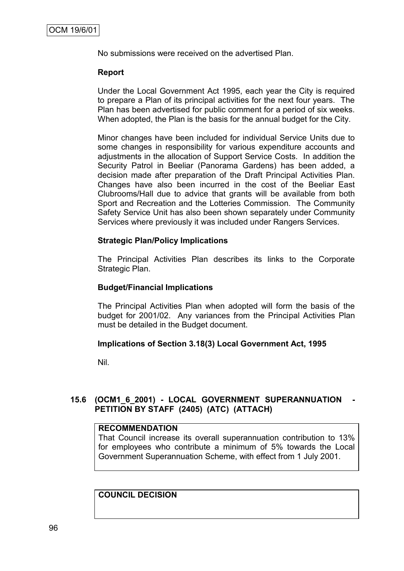No submissions were received on the advertised Plan.

### **Report**

Under the Local Government Act 1995, each year the City is required to prepare a Plan of its principal activities for the next four years. The Plan has been advertised for public comment for a period of six weeks. When adopted, the Plan is the basis for the annual budget for the City.

Minor changes have been included for individual Service Units due to some changes in responsibility for various expenditure accounts and adjustments in the allocation of Support Service Costs. In addition the Security Patrol in Beeliar (Panorama Gardens) has been added, a decision made after preparation of the Draft Principal Activities Plan. Changes have also been incurred in the cost of the Beeliar East Clubrooms/Hall due to advice that grants will be available from both Sport and Recreation and the Lotteries Commission. The Community Safety Service Unit has also been shown separately under Community Services where previously it was included under Rangers Services.

### **Strategic Plan/Policy Implications**

The Principal Activities Plan describes its links to the Corporate Strategic Plan.

### **Budget/Financial Implications**

The Principal Activities Plan when adopted will form the basis of the budget for 2001/02. Any variances from the Principal Activities Plan must be detailed in the Budget document.

### **Implications of Section 3.18(3) Local Government Act, 1995**

Nil.

## **15.6 (OCM1\_6\_2001) - LOCAL GOVERNMENT SUPERANNUATION - PETITION BY STAFF (2405) (ATC) (ATTACH)**

### **RECOMMENDATION**

That Council increase its overall superannuation contribution to 13% for employees who contribute a minimum of 5% towards the Local Government Superannuation Scheme, with effect from 1 July 2001.

# **COUNCIL DECISION**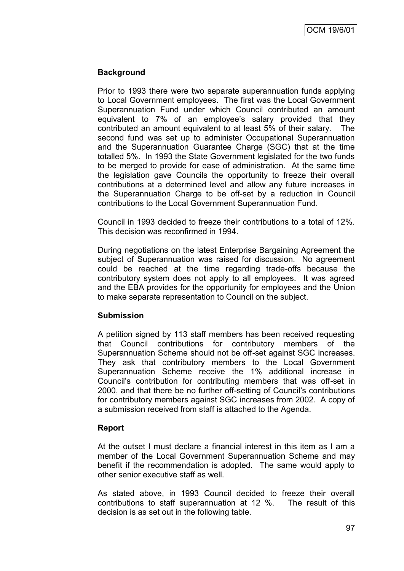### **Background**

Prior to 1993 there were two separate superannuation funds applying to Local Government employees. The first was the Local Government Superannuation Fund under which Council contributed an amount equivalent to 7% of an employee's salary provided that they contributed an amount equivalent to at least 5% of their salary. The second fund was set up to administer Occupational Superannuation and the Superannuation Guarantee Charge (SGC) that at the time totalled 5%. In 1993 the State Government legislated for the two funds to be merged to provide for ease of administration. At the same time the legislation gave Councils the opportunity to freeze their overall contributions at a determined level and allow any future increases in the Superannuation Charge to be off-set by a reduction in Council contributions to the Local Government Superannuation Fund.

Council in 1993 decided to freeze their contributions to a total of 12%. This decision was reconfirmed in 1994.

During negotiations on the latest Enterprise Bargaining Agreement the subject of Superannuation was raised for discussion. No agreement could be reached at the time regarding trade-offs because the contributory system does not apply to all employees. It was agreed and the EBA provides for the opportunity for employees and the Union to make separate representation to Council on the subject.

### **Submission**

A petition signed by 113 staff members has been received requesting that Council contributions for contributory members of the Superannuation Scheme should not be off-set against SGC increases. They ask that contributory members to the Local Government Superannuation Scheme receive the 1% additional increase in Council"s contribution for contributing members that was off-set in 2000, and that there be no further off-setting of Council"s contributions for contributory members against SGC increases from 2002. A copy of a submission received from staff is attached to the Agenda.

## **Report**

At the outset I must declare a financial interest in this item as I am a member of the Local Government Superannuation Scheme and may benefit if the recommendation is adopted. The same would apply to other senior executive staff as well.

As stated above, in 1993 Council decided to freeze their overall contributions to staff superannuation at 12 %. The result of this decision is as set out in the following table.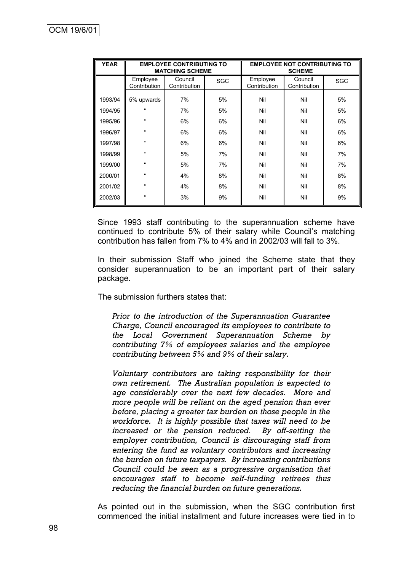| <b>YEAR</b> | <b>EMPLOYEE CONTRIBUTING TO</b><br><b>MATCHING SCHEME</b> |                         |     | <b>EMPLOYEE NOT CONTRIBUTING TO</b><br><b>SCHEME</b> |                         |     |
|-------------|-----------------------------------------------------------|-------------------------|-----|------------------------------------------------------|-------------------------|-----|
|             | Employee<br>Contribution                                  | Council<br>Contribution | SGC | Employee<br>Contribution                             | Council<br>Contribution | SGC |
| 1993/94     | 5% upwards                                                | 7%                      | 5%  | Nil                                                  | Nil                     | 5%  |
| 1994/95     | $\mathfrak{c}$                                            | 7%                      | 5%  | Nil                                                  | Nil                     | 5%  |
| 1995/96     | $\mathfrak{c}$                                            | 6%                      | 6%  | Nil                                                  | Nil                     | 6%  |
| 1996/97     | $\mathfrak{c}$                                            | 6%                      | 6%  | Nil                                                  | Nil                     | 6%  |
| 1997/98     | $\mathfrak{c}$                                            | 6%                      | 6%  | Nil                                                  | Nil                     | 6%  |
| 1998/99     | $\mathfrak{c}$                                            | 5%                      | 7%  | Nil                                                  | Nil                     | 7%  |
| 1999/00     | $\mathfrak{c}$                                            | 5%                      | 7%  | Nil                                                  | Nil                     | 7%  |
| 2000/01     | $\epsilon$                                                | 4%                      | 8%  | Nil                                                  | Nil                     | 8%  |
| 2001/02     | $\mathfrak{c}$                                            | 4%                      | 8%  | Nil                                                  | Nil                     | 8%  |
| 2002/03     | $\mathfrak{c}$                                            | 3%                      | 9%  | Nil                                                  | Nil                     | 9%  |

Since 1993 staff contributing to the superannuation scheme have continued to contribute 5% of their salary while Council"s matching contribution has fallen from 7% to 4% and in 2002/03 will fall to 3%.

In their submission Staff who joined the Scheme state that they consider superannuation to be an important part of their salary package.

The submission furthers states that:

*Prior to the introduction of the Superannuation Guarantee Charge, Council encouraged its employees to contribute to the Local Government Superannuation Scheme by contributing 7% of employees salaries and the employee contributing between 5% and 9% of their salary.*

*Voluntary contributors are taking responsibility for their own retirement. The Australian population is expected to age considerably over the next few decades. More and more people will be reliant on the aged pension than ever before, placing a greater tax burden on those people in the workforce. It is highly possible that taxes will need to be increased or the pension reduced. By off-setting the employer contribution, Council is discouraging staff from entering the fund as voluntary contributors and increasing the burden on future taxpayers. By increasing contributions Council could be seen as a progressive organisation that encourages staff to become self-funding retirees thus reducing the financial burden on future generations.*

As pointed out in the submission, when the SGC contribution first commenced the initial installment and future increases were tied in to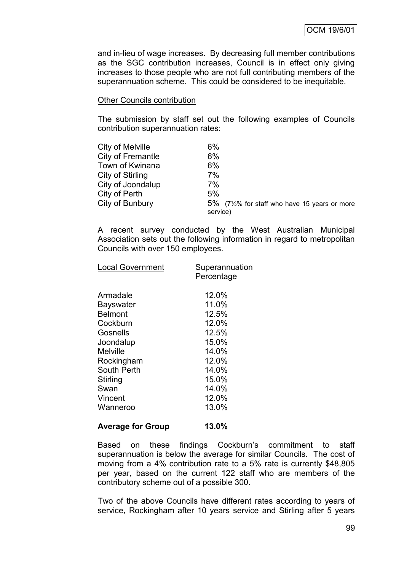and in-lieu of wage increases. By decreasing full member contributions as the SGC contribution increases, Council is in effect only giving increases to those people who are not full contributing members of the superannuation scheme. This could be considered to be inequitable.

#### Other Councils contribution

The submission by staff set out the following examples of Councils contribution superannuation rates:

| City of Melville  | $6\%$                                       |
|-------------------|---------------------------------------------|
| City of Fremantle | 6%                                          |
| Town of Kwinana   | $6\%$                                       |
| City of Stirling  | 7%                                          |
| City of Joondalup | 7%                                          |
| City of Perth     | 5%                                          |
| City of Bunbury   | 5% (7½% for staff who have 15 years or more |
|                   | service)                                    |

A recent survey conducted by the West Australian Municipal Association sets out the following information in regard to metropolitan Councils with over 150 employees.

| <b>Local Government</b>                                                                                                                                          | Superannuation<br>Percentage                                                                                      |
|------------------------------------------------------------------------------------------------------------------------------------------------------------------|-------------------------------------------------------------------------------------------------------------------|
| Armadale<br>Bayswater<br><b>Belmont</b><br>Cockburn<br>Gosnells<br>Joondalup<br>Melville<br>Rockingham<br>South Perth<br>Stirling<br>Swan<br>Vincent<br>Wanneroo | 12.0%<br>11.0%<br>12.5%<br>12.0%<br>12.5%<br>15.0%<br>14.0%<br>12.0%<br>14.0%<br>15.0%<br>14.0%<br>12.0%<br>13.0% |
|                                                                                                                                                                  |                                                                                                                   |

### **Average for Group 13.0%**

Based on these findings Cockburn's commitment to staff superannuation is below the average for similar Councils. The cost of moving from a 4% contribution rate to a 5% rate is currently \$48,805 per year, based on the current 122 staff who are members of the contributory scheme out of a possible 300.

Two of the above Councils have different rates according to years of service, Rockingham after 10 years service and Stirling after 5 years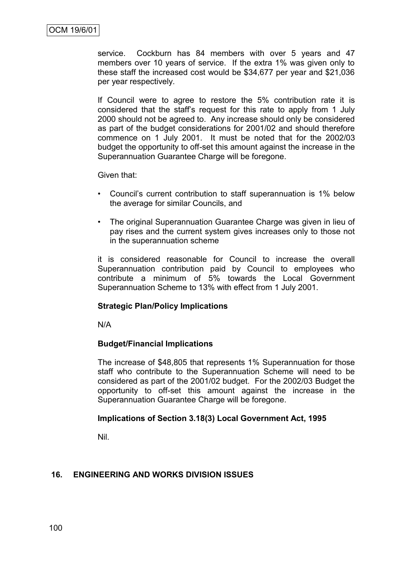service. Cockburn has 84 members with over 5 years and 47 members over 10 years of service. If the extra 1% was given only to these staff the increased cost would be \$34,677 per year and \$21,036 per year respectively.

If Council were to agree to restore the 5% contribution rate it is considered that the staff"s request for this rate to apply from 1 July 2000 should not be agreed to. Any increase should only be considered as part of the budget considerations for 2001/02 and should therefore commence on 1 July 2001. It must be noted that for the 2002/03 budget the opportunity to off-set this amount against the increase in the Superannuation Guarantee Charge will be foregone.

Given that:

- Council"s current contribution to staff superannuation is 1% below the average for similar Councils, and
- The original Superannuation Guarantee Charge was given in lieu of pay rises and the current system gives increases only to those not in the superannuation scheme

it is considered reasonable for Council to increase the overall Superannuation contribution paid by Council to employees who contribute a minimum of 5% towards the Local Government Superannuation Scheme to 13% with effect from 1 July 2001.

### **Strategic Plan/Policy Implications**

N/A

#### **Budget/Financial Implications**

The increase of \$48,805 that represents 1% Superannuation for those staff who contribute to the Superannuation Scheme will need to be considered as part of the 2001/02 budget. For the 2002/03 Budget the opportunity to off-set this amount against the increase in the Superannuation Guarantee Charge will be foregone.

#### **Implications of Section 3.18(3) Local Government Act, 1995**

Nil.

### **16. ENGINEERING AND WORKS DIVISION ISSUES**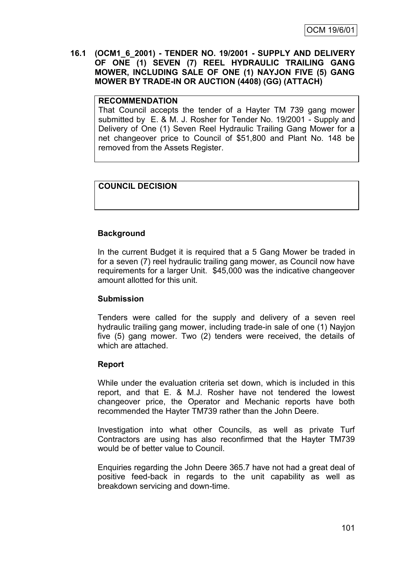**16.1 (OCM1\_6\_2001) - TENDER NO. 19/2001 - SUPPLY AND DELIVERY OF ONE (1) SEVEN (7) REEL HYDRAULIC TRAILING GANG MOWER, INCLUDING SALE OF ONE (1) NAYJON FIVE (5) GANG MOWER BY TRADE-IN OR AUCTION (4408) (GG) (ATTACH)**

### **RECOMMENDATION**

That Council accepts the tender of a Hayter TM 739 gang mower submitted by E. & M. J. Rosher for Tender No. 19/2001 - Supply and Delivery of One (1) Seven Reel Hydraulic Trailing Gang Mower for a net changeover price to Council of \$51,800 and Plant No. 148 be removed from the Assets Register.

### **COUNCIL DECISION**

### **Background**

In the current Budget it is required that a 5 Gang Mower be traded in for a seven (7) reel hydraulic trailing gang mower, as Council now have requirements for a larger Unit. \$45,000 was the indicative changeover amount allotted for this unit.

### **Submission**

Tenders were called for the supply and delivery of a seven reel hydraulic trailing gang mower, including trade-in sale of one (1) Nayjon five (5) gang mower. Two (2) tenders were received, the details of which are attached.

### **Report**

While under the evaluation criteria set down, which is included in this report, and that E. & M.J. Rosher have not tendered the lowest changeover price, the Operator and Mechanic reports have both recommended the Hayter TM739 rather than the John Deere.

Investigation into what other Councils, as well as private Turf Contractors are using has also reconfirmed that the Hayter TM739 would be of better value to Council.

Enquiries regarding the John Deere 365.7 have not had a great deal of positive feed-back in regards to the unit capability as well as breakdown servicing and down-time.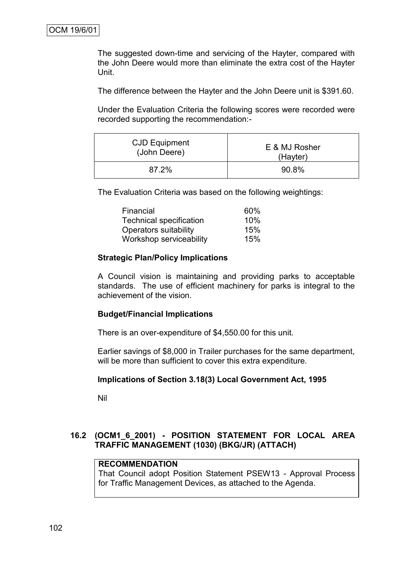The suggested down-time and servicing of the Hayter, compared with the John Deere would more than eliminate the extra cost of the Hayter Unit.

The difference between the Hayter and the John Deere unit is \$391.60.

Under the Evaluation Criteria the following scores were recorded were recorded supporting the recommendation:-

| CJD Equipment | E & MJ Rosher |  |
|---------------|---------------|--|
| (John Deere)  | (Hayter)      |  |
| 87.2%         | 90.8%         |  |

The Evaluation Criteria was based on the following weightings:

| Financial                      | 60% |
|--------------------------------|-----|
| <b>Technical specification</b> | 10% |
| Operators suitability          | 15% |
| Workshop serviceability        | 15% |

### **Strategic Plan/Policy Implications**

A Council vision is maintaining and providing parks to acceptable standards. The use of efficient machinery for parks is integral to the achievement of the vision.

#### **Budget/Financial Implications**

There is an over-expenditure of \$4,550.00 for this unit.

Earlier savings of \$8,000 in Trailer purchases for the same department, will be more than sufficient to cover this extra expenditure.

#### **Implications of Section 3.18(3) Local Government Act, 1995**

Nil

## **16.2 (OCM1\_6\_2001) - POSITION STATEMENT FOR LOCAL AREA TRAFFIC MANAGEMENT (1030) (BKG/JR) (ATTACH)**

# **RECOMMENDATION**

That Council adopt Position Statement PSEW13 - Approval Process for Traffic Management Devices, as attached to the Agenda.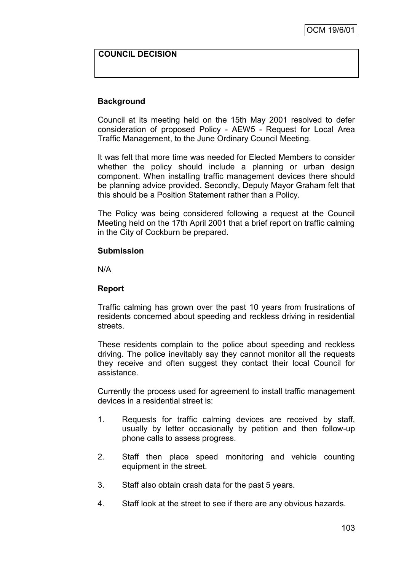# **COUNCIL DECISION**

# **Background**

Council at its meeting held on the 15th May 2001 resolved to defer consideration of proposed Policy - AEW5 - Request for Local Area Traffic Management, to the June Ordinary Council Meeting.

It was felt that more time was needed for Elected Members to consider whether the policy should include a planning or urban design component. When installing traffic management devices there should be planning advice provided. Secondly, Deputy Mayor Graham felt that this should be a Position Statement rather than a Policy.

The Policy was being considered following a request at the Council Meeting held on the 17th April 2001 that a brief report on traffic calming in the City of Cockburn be prepared.

#### **Submission**

N/A

#### **Report**

Traffic calming has grown over the past 10 years from frustrations of residents concerned about speeding and reckless driving in residential streets.

These residents complain to the police about speeding and reckless driving. The police inevitably say they cannot monitor all the requests they receive and often suggest they contact their local Council for assistance.

Currently the process used for agreement to install traffic management devices in a residential street is:

- 1. Requests for traffic calming devices are received by staff, usually by letter occasionally by petition and then follow-up phone calls to assess progress.
- 2. Staff then place speed monitoring and vehicle counting equipment in the street.
- 3. Staff also obtain crash data for the past 5 years.
- 4. Staff look at the street to see if there are any obvious hazards.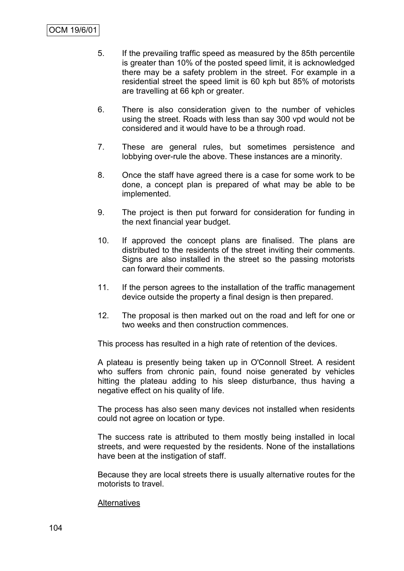- 5. If the prevailing traffic speed as measured by the 85th percentile is greater than 10% of the posted speed limit, it is acknowledged there may be a safety problem in the street. For example in a residential street the speed limit is 60 kph but 85% of motorists are travelling at 66 kph or greater.
- 6. There is also consideration given to the number of vehicles using the street. Roads with less than say 300 vpd would not be considered and it would have to be a through road.
- 7. These are general rules, but sometimes persistence and lobbying over-rule the above. These instances are a minority.
- 8. Once the staff have agreed there is a case for some work to be done, a concept plan is prepared of what may be able to be implemented.
- 9. The project is then put forward for consideration for funding in the next financial year budget.
- 10. If approved the concept plans are finalised. The plans are distributed to the residents of the street inviting their comments. Signs are also installed in the street so the passing motorists can forward their comments.
- 11. If the person agrees to the installation of the traffic management device outside the property a final design is then prepared.
- 12. The proposal is then marked out on the road and left for one or two weeks and then construction commences.

This process has resulted in a high rate of retention of the devices.

A plateau is presently being taken up in O'Connoll Street. A resident who suffers from chronic pain, found noise generated by vehicles hitting the plateau adding to his sleep disturbance, thus having a negative effect on his quality of life.

The process has also seen many devices not installed when residents could not agree on location or type.

The success rate is attributed to them mostly being installed in local streets, and were requested by the residents. None of the installations have been at the instigation of staff.

Because they are local streets there is usually alternative routes for the motorists to travel.

#### **Alternatives**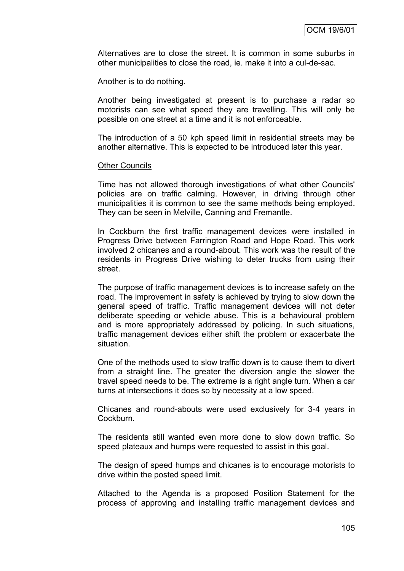Alternatives are to close the street. It is common in some suburbs in other municipalities to close the road, ie. make it into a cul-de-sac.

Another is to do nothing.

Another being investigated at present is to purchase a radar so motorists can see what speed they are travelling. This will only be possible on one street at a time and it is not enforceable.

The introduction of a 50 kph speed limit in residential streets may be another alternative. This is expected to be introduced later this year.

#### **Other Councils**

Time has not allowed thorough investigations of what other Councils' policies are on traffic calming. However, in driving through other municipalities it is common to see the same methods being employed. They can be seen in Melville, Canning and Fremantle.

In Cockburn the first traffic management devices were installed in Progress Drive between Farrington Road and Hope Road. This work involved 2 chicanes and a round-about. This work was the result of the residents in Progress Drive wishing to deter trucks from using their street.

The purpose of traffic management devices is to increase safety on the road. The improvement in safety is achieved by trying to slow down the general speed of traffic. Traffic management devices will not deter deliberate speeding or vehicle abuse. This is a behavioural problem and is more appropriately addressed by policing. In such situations, traffic management devices either shift the problem or exacerbate the situation.

One of the methods used to slow traffic down is to cause them to divert from a straight line. The greater the diversion angle the slower the travel speed needs to be. The extreme is a right angle turn. When a car turns at intersections it does so by necessity at a low speed.

Chicanes and round-abouts were used exclusively for 3-4 years in Cockburn.

The residents still wanted even more done to slow down traffic. So speed plateaux and humps were requested to assist in this goal.

The design of speed humps and chicanes is to encourage motorists to drive within the posted speed limit.

Attached to the Agenda is a proposed Position Statement for the process of approving and installing traffic management devices and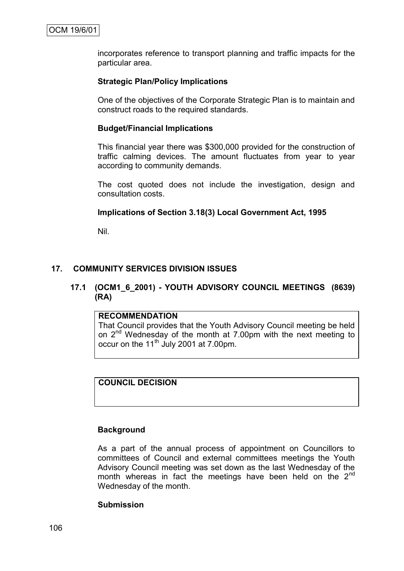incorporates reference to transport planning and traffic impacts for the particular area.

# **Strategic Plan/Policy Implications**

One of the objectives of the Corporate Strategic Plan is to maintain and construct roads to the required standards.

### **Budget/Financial Implications**

This financial year there was \$300,000 provided for the construction of traffic calming devices. The amount fluctuates from year to year according to community demands.

The cost quoted does not include the investigation, design and consultation costs.

# **Implications of Section 3.18(3) Local Government Act, 1995**

Nil.

# **17. COMMUNITY SERVICES DIVISION ISSUES**

# **17.1 (OCM1\_6\_2001) - YOUTH ADVISORY COUNCIL MEETINGS (8639) (RA)**

# **RECOMMENDATION**

That Council provides that the Youth Advisory Council meeting be held on  $2^{nd}$  Wednesday of the month at 7.00pm with the next meeting to occur on the 11<sup>th</sup> July 2001 at 7.00pm.

# **COUNCIL DECISION**

# **Background**

As a part of the annual process of appointment on Councillors to committees of Council and external committees meetings the Youth Advisory Council meeting was set down as the last Wednesday of the month whereas in fact the meetings have been held on the  $2<sup>nd</sup>$ Wednesday of the month.

#### **Submission**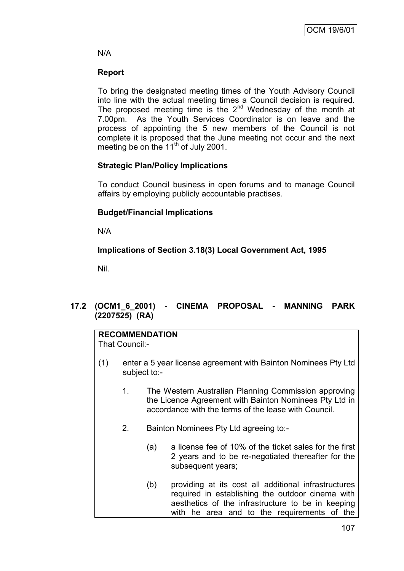# N/A

# **Report**

To bring the designated meeting times of the Youth Advisory Council into line with the actual meeting times a Council decision is required. The proposed meeting time is the  $2<sup>nd</sup>$  Wednesday of the month at 7.00pm. As the Youth Services Coordinator is on leave and the process of appointing the 5 new members of the Council is not complete it is proposed that the June meeting not occur and the next meeting be on the 11<sup>th</sup> of July 2001.

# **Strategic Plan/Policy Implications**

To conduct Council business in open forums and to manage Council affairs by employing publicly accountable practises.

# **Budget/Financial Implications**

N/A

# **Implications of Section 3.18(3) Local Government Act, 1995**

Nil.

# **17.2 (OCM1\_6\_2001) - CINEMA PROPOSAL - MANNING PARK (2207525) (RA)**

# **RECOMMENDATION**

That Council:-

- (1) enter a 5 year license agreement with Bainton Nominees Pty Ltd subject to:-
	- 1. The Western Australian Planning Commission approving the Licence Agreement with Bainton Nominees Pty Ltd in accordance with the terms of the lease with Council.
	- 2. Bainton Nominees Pty Ltd agreeing to:-
		- (a) a license fee of 10% of the ticket sales for the first 2 years and to be re-negotiated thereafter for the subsequent years;
		- (b) providing at its cost all additional infrastructures required in establishing the outdoor cinema with aesthetics of the infrastructure to be in keeping with he area and to the requirements of the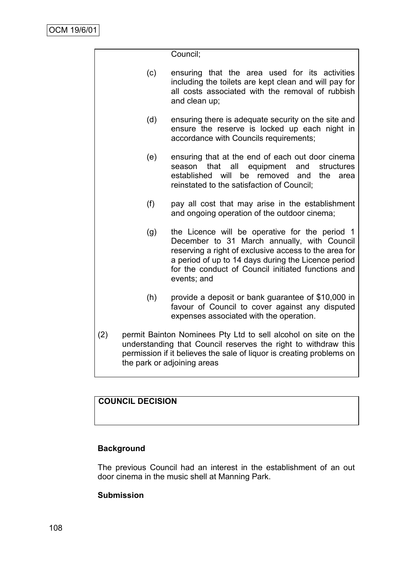|     |                                                                                                                                                                                                                                         | Council;                                                                                                                                                                                                                                                                           |  |  |  |
|-----|-----------------------------------------------------------------------------------------------------------------------------------------------------------------------------------------------------------------------------------------|------------------------------------------------------------------------------------------------------------------------------------------------------------------------------------------------------------------------------------------------------------------------------------|--|--|--|
|     | (c)                                                                                                                                                                                                                                     | ensuring that the area used for its activities<br>including the toilets are kept clean and will pay for<br>all costs associated with the removal of rubbish<br>and clean up;                                                                                                       |  |  |  |
|     | (d)                                                                                                                                                                                                                                     | ensuring there is adequate security on the site and<br>ensure the reserve is locked up each night in<br>accordance with Councils requirements;                                                                                                                                     |  |  |  |
|     | (e)                                                                                                                                                                                                                                     | ensuring that at the end of each out door cinema<br>that all<br>equipment<br>and<br>structures<br>season<br>established will<br>be<br>removed<br>the<br>and<br>area<br>reinstated to the satisfaction of Council;                                                                  |  |  |  |
|     | (f)                                                                                                                                                                                                                                     | pay all cost that may arise in the establishment<br>and ongoing operation of the outdoor cinema;                                                                                                                                                                                   |  |  |  |
|     | (g)                                                                                                                                                                                                                                     | the Licence will be operative for the period 1<br>December to 31 March annually, with Council<br>reserving a right of exclusive access to the area for<br>a period of up to 14 days during the Licence period<br>for the conduct of Council initiated functions and<br>events; and |  |  |  |
|     | (h)                                                                                                                                                                                                                                     | provide a deposit or bank guarantee of \$10,000 in<br>favour of Council to cover against any disputed<br>expenses associated with the operation.                                                                                                                                   |  |  |  |
| (2) | permit Bainton Nominees Pty Ltd to sell alcohol on site on the<br>understanding that Council reserves the right to withdraw this<br>permission if it believes the sale of liquor is creating problems on<br>the park or adjoining areas |                                                                                                                                                                                                                                                                                    |  |  |  |

# **COUNCIL DECISION**

# **Background**

The previous Council had an interest in the establishment of an out door cinema in the music shell at Manning Park.

# **Submission**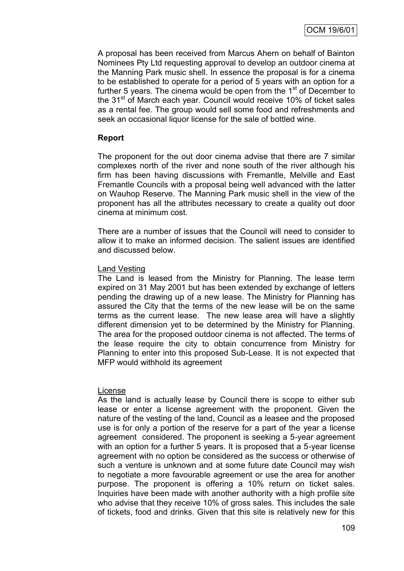A proposal has been received from Marcus Ahern on behalf of Bainton Nominees Pty Ltd requesting approval to develop an outdoor cinema at the Manning Park music shell. In essence the proposal is for a cinema to be established to operate for a period of 5 years with an option for a further 5 years. The cinema would be open from the  $1<sup>st</sup>$  of December to the 31<sup>st</sup> of March each year. Council would receive 10% of ticket sales as a rental fee. The group would sell some food and refreshments and seek an occasional liquor license for the sale of bottled wine.

# **Report**

The proponent for the out door cinema advise that there are 7 similar complexes north of the river and none south of the river although his firm has been having discussions with Fremantle, Melville and East Fremantle Councils with a proposal being well advanced with the latter on Wauhop Reserve. The Manning Park music shell in the view of the proponent has all the attributes necessary to create a quality out door cinema at minimum cost.

There are a number of issues that the Council will need to consider to allow it to make an informed decision. The salient issues are identified and discussed below.

#### Land Vesting

The Land is leased from the Ministry for Planning. The lease term expired on 31 May 2001 but has been extended by exchange of letters pending the drawing up of a new lease. The Ministry for Planning has assured the City that the terms of the new lease will be on the same terms as the current lease. The new lease area will have a slightly different dimension yet to be determined by the Ministry for Planning. The area for the proposed outdoor cinema is not affected. The terms of the lease require the city to obtain concurrence from Ministry for Planning to enter into this proposed Sub-Lease. It is not expected that MFP would withhold its agreement

# License

As the land is actually lease by Council there is scope to either sub lease or enter a license agreement with the proponent. Given the nature of the vesting of the land, Council as a leasee and the proposed use is for only a portion of the reserve for a part of the year a license agreement considered. The proponent is seeking a 5-year agreement with an option for a further 5 years. It is proposed that a 5-year license agreement with no option be considered as the success or otherwise of such a venture is unknown and at some future date Council may wish to negotiate a more favourable agreement or use the area for another purpose. The proponent is offering a 10% return on ticket sales. Inquiries have been made with another authority with a high profile site who advise that they receive 10% of gross sales. This includes the sale of tickets, food and drinks. Given that this site is relatively new for this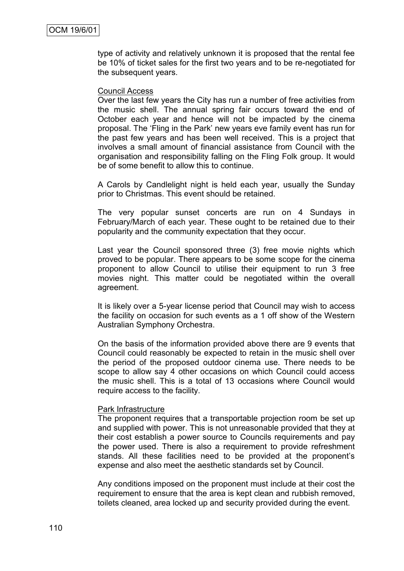type of activity and relatively unknown it is proposed that the rental fee be 10% of ticket sales for the first two years and to be re-negotiated for the subsequent years.

#### Council Access

Over the last few years the City has run a number of free activities from the music shell. The annual spring fair occurs toward the end of October each year and hence will not be impacted by the cinema proposal. The "Fling in the Park" new years eve family event has run for the past few years and has been well received. This is a project that involves a small amount of financial assistance from Council with the organisation and responsibility falling on the Fling Folk group. It would be of some benefit to allow this to continue.

A Carols by Candlelight night is held each year, usually the Sunday prior to Christmas. This event should be retained.

The very popular sunset concerts are run on 4 Sundays in February/March of each year. These ought to be retained due to their popularity and the community expectation that they occur.

Last year the Council sponsored three (3) free movie nights which proved to be popular. There appears to be some scope for the cinema proponent to allow Council to utilise their equipment to run 3 free movies night. This matter could be negotiated within the overall agreement.

It is likely over a 5-year license period that Council may wish to access the facility on occasion for such events as a 1 off show of the Western Australian Symphony Orchestra.

On the basis of the information provided above there are 9 events that Council could reasonably be expected to retain in the music shell over the period of the proposed outdoor cinema use. There needs to be scope to allow say 4 other occasions on which Council could access the music shell. This is a total of 13 occasions where Council would require access to the facility.

#### Park Infrastructure

The proponent requires that a transportable projection room be set up and supplied with power. This is not unreasonable provided that they at their cost establish a power source to Councils requirements and pay the power used. There is also a requirement to provide refreshment stands. All these facilities need to be provided at the proponent"s expense and also meet the aesthetic standards set by Council.

Any conditions imposed on the proponent must include at their cost the requirement to ensure that the area is kept clean and rubbish removed, toilets cleaned, area locked up and security provided during the event.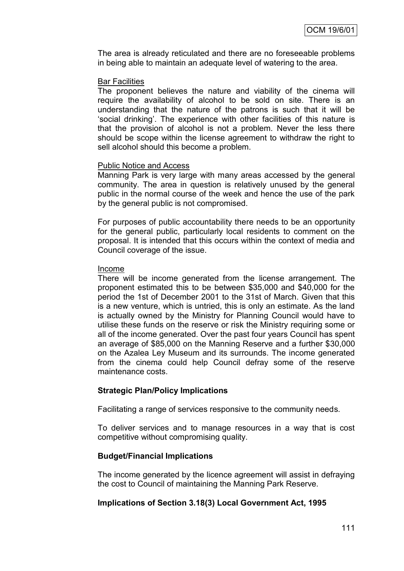The area is already reticulated and there are no foreseeable problems in being able to maintain an adequate level of watering to the area.

#### Bar Facilities

The proponent believes the nature and viability of the cinema will require the availability of alcohol to be sold on site. There is an understanding that the nature of the patrons is such that it will be "social drinking". The experience with other facilities of this nature is that the provision of alcohol is not a problem. Never the less there should be scope within the license agreement to withdraw the right to sell alcohol should this become a problem.

#### Public Notice and Access

Manning Park is very large with many areas accessed by the general community. The area in question is relatively unused by the general public in the normal course of the week and hence the use of the park by the general public is not compromised.

For purposes of public accountability there needs to be an opportunity for the general public, particularly local residents to comment on the proposal. It is intended that this occurs within the context of media and Council coverage of the issue.

#### Income

There will be income generated from the license arrangement. The proponent estimated this to be between \$35,000 and \$40,000 for the period the 1st of December 2001 to the 31st of March. Given that this is a new venture, which is untried, this is only an estimate. As the land is actually owned by the Ministry for Planning Council would have to utilise these funds on the reserve or risk the Ministry requiring some or all of the income generated. Over the past four years Council has spent an average of \$85,000 on the Manning Reserve and a further \$30,000 on the Azalea Ley Museum and its surrounds. The income generated from the cinema could help Council defray some of the reserve maintenance costs.

#### **Strategic Plan/Policy Implications**

Facilitating a range of services responsive to the community needs.

To deliver services and to manage resources in a way that is cost competitive without compromising quality.

#### **Budget/Financial Implications**

The income generated by the licence agreement will assist in defraying the cost to Council of maintaining the Manning Park Reserve.

# **Implications of Section 3.18(3) Local Government Act, 1995**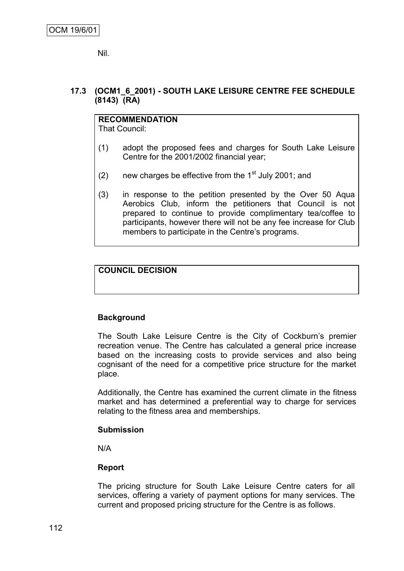Nil.

# **17.3 (OCM1\_6\_2001) - SOUTH LAKE LEISURE CENTRE FEE SCHEDULE (8143) (RA)**

# **RECOMMENDATION**

That Council:

- (1) adopt the proposed fees and charges for South Lake Leisure Centre for the 2001/2002 financial year;
- (2) new charges be effective from the  $1<sup>st</sup>$  July 2001; and
- (3) in response to the petition presented by the Over 50 Aqua Aerobics Club, inform the petitioners that Council is not prepared to continue to provide complimentary tea/coffee to participants, however there will not be any fee increase for Club members to participate in the Centre's programs.

# **COUNCIL DECISION**

# **Background**

The South Lake Leisure Centre is the City of Cockburn's premier recreation venue. The Centre has calculated a general price increase based on the increasing costs to provide services and also being cognisant of the need for a competitive price structure for the market place.

Additionally, the Centre has examined the current climate in the fitness market and has determined a preferential way to charge for services relating to the fitness area and memberships.

# **Submission**

N/A

# **Report**

The pricing structure for South Lake Leisure Centre caters for all services, offering a variety of payment options for many services. The current and proposed pricing structure for the Centre is as follows.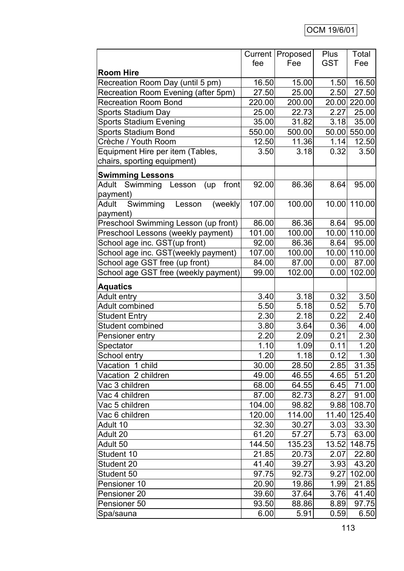|                                          |        | Current   Proposed | <b>Plus</b> | Total         |
|------------------------------------------|--------|--------------------|-------------|---------------|
|                                          | fee    | Fee                | <b>GST</b>  | Fee           |
| <b>Room Hire</b>                         |        |                    |             |               |
| Recreation Room Day (until 5 pm)         | 16.50  | 15.00              | 1.50        | 16.50         |
| Recreation Room Evening (after 5pm)      | 27.50  | 25.00              | 2.50        | 27.50         |
| <b>Recreation Room Bond</b>              | 220.00 | 200.00             |             | 20.00 220.00  |
| <b>Sports Stadium Day</b>                | 25.00  | 22.73              | 2.27        | 25.00         |
| <b>Sports Stadium Evening</b>            | 35.00  | 31.82              | 3.18        | 35.00         |
| <b>Sports Stadium Bond</b>               | 550.00 | 500.00             |             | 50.00 550.00  |
| Crèche / Youth Room                      | 12.50  | 11.36              | 1.14        | 12.50         |
| Equipment Hire per item (Tables,         | 3.50   | 3.18               | 0.32        | 3.50          |
| chairs, sporting equipment)              |        |                    |             |               |
| <b>Swimming Lessons</b>                  |        |                    |             |               |
| Swimming Lesson<br>Adult<br>front<br>(up | 92.00  | 86.36              | 8.64        | 95.00         |
| payment)                                 |        |                    |             |               |
| Swimming<br>Adult<br>(weekly)<br>Lesson  | 107.00 | 100.00             |             | 10.00 110.00  |
| payment)                                 |        |                    |             |               |
| Preschool Swimming Lesson (up front)     | 86.00  | 86.36              | 8.64        | 95.00         |
| Preschool Lessons (weekly payment)       | 101.00 | 100.00             |             | 10.00 110.00  |
| School age inc. GST(up front)            | 92.00  | 86.36              | 8.64        | 95.00         |
| School age inc. GST (weekly payment)     | 107.00 | 100.00             |             | 10.00 110.00  |
| School age GST free (up front)           | 84.00  | 87.00              | 0.00        | 87.00         |
| School age GST free (weekly payment)     | 99.00  | 102.00             |             | $0.00$ 102.00 |
| <b>Aquatics</b>                          |        |                    |             |               |
| <b>Adult entry</b>                       | 3.40   | 3.18               | 0.32        | 3.50          |
| <b>Adult combined</b>                    | 5.50   | 5.18               | 0.52        | 5.70          |
| <b>Student Entry</b>                     | 2.30   | 2.18               | 0.22        | 2.40          |
| Student combined                         | 3.80   | 3.64               | 0.36        | 4.00          |
| Pensioner entry                          | 2.20   | 2.09               | 0.21        | 2.30          |
| Spectator                                | 1.10   | 1.09               | 0.11        | 1.20          |
| School entry                             | 1.20   | 1.18               | 0.12        | 1.30          |
| Vacation 1 child                         | 30.00  | 28.50              | 2.85        | 31.35         |
| Vacation 2 children                      | 49.00  | 46.55              | 4.65        | 51.20         |
| Vac 3 children                           | 68.00  | 64.55              | 6.45        | 71.00         |
| Vac 4 children                           | 87.00  | 82.73              | 8.27        | 91.00         |
| Vac 5 children                           | 104.00 | 98.82              |             | 9.88 108.70   |
| Vac 6 children                           | 120.00 | 114.00             |             | 11.40 125.40  |
| Adult 10                                 | 32.30  | 30.27              | 3.03        | 33.30         |
| Adult 20                                 | 61.20  | 57.27              | 5.73        | 63.00         |
| Adult 50                                 | 144.50 | 135.23             | 13.52       | 148.75        |
| Student 10                               | 21.85  | 20.73              | 2.07        | 22.80         |
| Student 20                               | 41.40  | 39.27              | 3.93        | 43.20         |
| Student 50                               | 97.75  | 92.73              | 9.27        | 102.00        |
| Pensioner 10                             | 20.90  | 19.86              | 1.99        | 21.85         |
| Pensioner 20                             | 39.60  | 37.64              | 3.76        | 41.40         |
| Pensioner 50                             | 93.50  | 88.86              | 8.89        | 97.75         |
| Spa/sauna                                | 6.00   | 5.91               | 0.59        | 6.50          |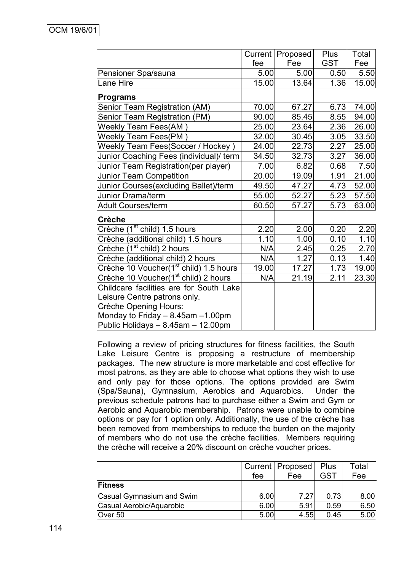|                                                    |       | Current   Proposed | <b>Plus</b> | Total              |
|----------------------------------------------------|-------|--------------------|-------------|--------------------|
|                                                    | fee   | Fee                | <b>GST</b>  | Fee                |
| Pensioner Spa/sauna                                | 5.00  | 5.00               | 0.50        | 5.50               |
| ane Hire                                           | 15.00 | 13.64              | 1.36        | 15.00              |
| <b>Programs</b>                                    |       |                    |             |                    |
| Senior Team Registration (AM)                      | 70.00 | 67.27              | 6.73        | 74.00              |
| Senior Team Registration (PM)                      | 90.00 | 85.45              | 8.55        | 94.00              |
| <b>Weekly Team Fees(AM)</b>                        | 25.00 | 23.64              | 2.36        | 26.00              |
| Weekly Team Fees(PM)                               | 32.00 | 30.45              | 3.05        | 33.50              |
| Weekly Team Fees(Soccer / Hockey)                  | 24.00 | 22.73              | 2.27        | 25.00              |
| Junior Coaching Fees (individual)/ term            | 34.50 | 32.73              | 3.27        | 36.00              |
| Junior Team Registration(per player)               | 7.00  | 6.82               | 0.68        | 7.50               |
| <b>Junior Team Competition</b>                     | 20.00 | 19.09              | 1.91        | $\overline{21.00}$ |
| Junior Courses(excluding Ballet)/term              | 49.50 | 47.27              | 4.73        | 52.00              |
| Junior Drama/term                                  | 55.00 | 52.27              | 5.23        | 57.50              |
| <b>Adult Courses/term</b>                          | 60.50 | 57.27              | 5.73        | 63.00              |
| <b>Crèche</b>                                      |       |                    |             |                    |
| Crèche (1 <sup>st</sup><br>child) 1.5 hours        | 2.20  | 2.00               | 0.20        | 2.20               |
| Crèche (additional child) 1.5 hours                | 1.10  | 1.00               | 0.10        | 1.10               |
| Crèche (1 <sup>st</sup> child) 2 hours             | N/A   | 2.45               | 0.25        | 2.70               |
| Crèche (additional child) 2 hours                  | N/A   | 1.27               | 0.13        | 1.40               |
| Crèche 10 Voucher(1 <sup>st</sup> child) 1.5 hours | 19.00 | 17.27              | 1.73        | 19.00              |
| Crèche 10 Voucher(1 <sup>st</sup> child) 2 hours   | N/A   | 21.19              | 2.11        | 23.30              |
| Childcare facilities are for South Lake            |       |                    |             |                    |
| Leisure Centre patrons only.                       |       |                    |             |                    |
| Crèche Opening Hours:                              |       |                    |             |                    |
| Monday to Friday $-8.45$ am $-1.00$ pm             |       |                    |             |                    |
| Public Holidays - 8.45am - 12.00pm                 |       |                    |             |                    |

Following a review of pricing structures for fitness facilities, the South Lake Leisure Centre is proposing a restructure of membership packages. The new structure is more marketable and cost effective for most patrons, as they are able to choose what options they wish to use and only pay for those options. The options provided are Swim (Spa/Sauna), Gymnasium, Aerobics and Aquarobics. Under the previous schedule patrons had to purchase either a Swim and Gym or Aerobic and Aquarobic membership. Patrons were unable to combine options or pay for 1 option only. Additionally, the use of the crèche has been removed from memberships to reduce the burden on the majority of members who do not use the crèche facilities. Members requiring the crèche will receive a 20% discount on crèche voucher prices.

|                           |      | Current   Proposed | Plus | Total |
|---------------------------|------|--------------------|------|-------|
|                           | fee  | Fee                | GST  | Fee   |
| <b>Fitness</b>            |      |                    |      |       |
| Casual Gymnasium and Swim | 6.00 | 7.27               | 0.73 | 8.00  |
| Casual Aerobic/Aquarobic  | 6.00 | 5.91               | 0.59 | 6.50  |
| Over 50                   | 5.00 | 4.55               | 0.45 | 5.00  |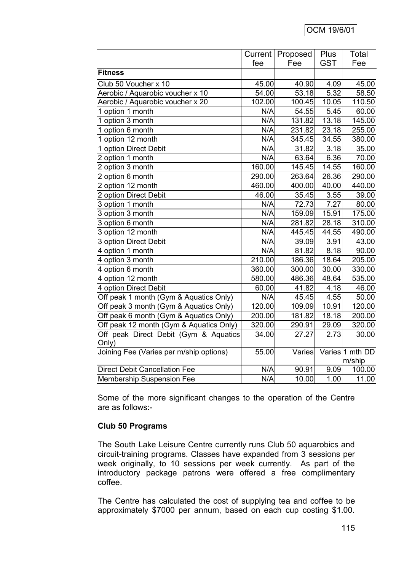|                                         |                            | Current   Proposed | Plus       | Total           |
|-----------------------------------------|----------------------------|--------------------|------------|-----------------|
|                                         | fee                        | Fee                | <b>GST</b> | Fee             |
| <b>Fitness</b>                          |                            |                    |            |                 |
| Club 50 Voucher x 10                    | 45.00                      | 40.90              | 4.09       | 45.00           |
| Aerobic / Aquarobic voucher x 10        | 54.00                      | 53.18              | 5.32       | 58.50           |
| Aerobic / Aquarobic voucher x 20        | 102.00                     | 100.45             | 10.05      | 110.50          |
| 1 option 1 month                        | N/A                        | 54.55              | 5.45       | 60.00           |
| 1 option 3 month                        | N/A                        | 131.82             | 13.18      | 145.00          |
| 1 option 6 month                        | N/A                        | 231.82             | 23.18      | 255.00          |
| 1 option 12 month                       | N/A                        | 345.45             | 34.55      | 380.00          |
| 1 option Direct Debit                   | N/A                        | 31.82              | 3.18       | 35.00           |
| 2 option 1 month                        | N/A                        | 63.64              | 6.36       | 70.00           |
| 2 option 3 month                        | 160.00                     | 145.45             | 14.55      | 160.00          |
| 2 option 6 month                        | 290.00                     | 263.64             | 26.36      | 290.00          |
| 2 option 12 month                       | 460.00                     | 400.00             | 40.00      | 440.00          |
| 2 option Direct Debit                   | 46.00                      | 35.45              | 3.55       | 39.00           |
| 3 option 1 month                        | N/A                        | 72.73              | 7.27       | 80.00           |
| 3 option 3 month                        | N/A                        | 159.09             | 15.91      | 175.00          |
| 3 option 6 month                        | N/A                        | 281.82             | 28.18      | 310.00          |
| 3 option 12 month                       | N/A                        | 445.45             | 44.55      | 490.00          |
| 3 option Direct Debit                   | N/A                        | 39.09              | 3.91       | 43.00           |
| 4 option 1 month                        | N/A                        | 81.82              | 8.18       | 90.00           |
| 4 option 3 month                        | 210.00                     | 186.36             | 18.64      | 205.00          |
| 4 option 6 month                        | 360.00                     | 300.00             | 30.00      | 330.00          |
| 4 option 12 month                       | 580.00                     | 486.36             | 48.64      | 535.00          |
| 4 option Direct Debit                   | 60.00                      | 41.82              | 4.18       | 46.00           |
| Off peak 1 month (Gym & Aquatics Only)  | $\overline{\mathsf{N}}$ /A | 45.45              | 4.55       | 50.00           |
| Off peak 3 month (Gym & Aquatics Only)  | 120.00                     | 109.09             | 10.91      | 120.00          |
| Off peak 6 month (Gym & Aquatics Only)  | 200.00                     | 181.82             | 18.18      | 200.00          |
| Off peak 12 month (Gym & Aquatics Only) | 320.00                     | 290.91             | 29.09      | 320.00          |
| Off peak Direct Debit (Gym & Aquatics   | 34.00                      | 27.27              | 2.73       | 30.00           |
| Only)                                   |                            |                    |            |                 |
| Joining Fee (Varies per m/ship options) | 55.00                      | Varies             |            | Varies 1 mth DD |
|                                         |                            |                    |            | m/ship          |
| <b>Direct Debit Cancellation Fee</b>    | N/A                        | 90.91              | 9.09       | 100.00          |
| <b>Membership Suspension Fee</b>        | N/A                        | 10.00              | 1.00       | 11.00           |

Some of the more significant changes to the operation of the Centre are as follows:-

# **Club 50 Programs**

The South Lake Leisure Centre currently runs Club 50 aquarobics and circuit-training programs. Classes have expanded from 3 sessions per week originally, to 10 sessions per week currently. As part of the introductory package patrons were offered a free complimentary coffee.

The Centre has calculated the cost of supplying tea and coffee to be approximately \$7000 per annum, based on each cup costing \$1.00.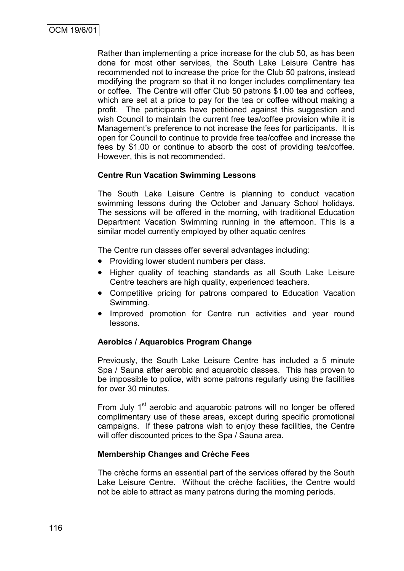Rather than implementing a price increase for the club 50, as has been done for most other services, the South Lake Leisure Centre has recommended not to increase the price for the Club 50 patrons, instead modifying the program so that it no longer includes complimentary tea or coffee. The Centre will offer Club 50 patrons \$1.00 tea and coffees, which are set at a price to pay for the tea or coffee without making a profit. The participants have petitioned against this suggestion and wish Council to maintain the current free tea/coffee provision while it is Management"s preference to not increase the fees for participants. It is open for Council to continue to provide free tea/coffee and increase the fees by \$1.00 or continue to absorb the cost of providing tea/coffee. However, this is not recommended.

# **Centre Run Vacation Swimming Lessons**

The South Lake Leisure Centre is planning to conduct vacation swimming lessons during the October and January School holidays. The sessions will be offered in the morning, with traditional Education Department Vacation Swimming running in the afternoon. This is a similar model currently employed by other aquatic centres

The Centre run classes offer several advantages including:

- Providing lower student numbers per class.
- Higher quality of teaching standards as all South Lake Leisure Centre teachers are high quality, experienced teachers.
- Competitive pricing for patrons compared to Education Vacation Swimming.
- Improved promotion for Centre run activities and year round lessons.

# **Aerobics / Aquarobics Program Change**

Previously, the South Lake Leisure Centre has included a 5 minute Spa / Sauna after aerobic and aquarobic classes. This has proven to be impossible to police, with some patrons regularly using the facilities for over 30 minutes.

From July 1<sup>st</sup> aerobic and aquarobic patrons will no longer be offered complimentary use of these areas, except during specific promotional campaigns. If these patrons wish to enjoy these facilities, the Centre will offer discounted prices to the Spa / Sauna area.

# **Membership Changes and Crèche Fees**

The crèche forms an essential part of the services offered by the South Lake Leisure Centre. Without the crèche facilities, the Centre would not be able to attract as many patrons during the morning periods.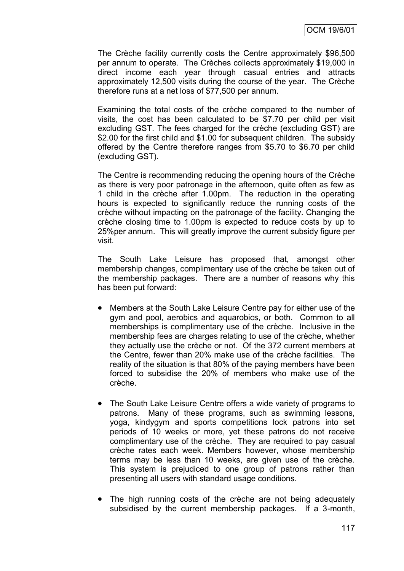The Crèche facility currently costs the Centre approximately \$96,500 per annum to operate. The Crèches collects approximately \$19,000 in direct income each year through casual entries and attracts approximately 12,500 visits during the course of the year. The Crèche therefore runs at a net loss of \$77,500 per annum.

Examining the total costs of the crèche compared to the number of visits, the cost has been calculated to be \$7.70 per child per visit excluding GST. The fees charged for the crèche (excluding GST) are \$2.00 for the first child and \$1.00 for subsequent children. The subsidy offered by the Centre therefore ranges from \$5.70 to \$6.70 per child (excluding GST).

The Centre is recommending reducing the opening hours of the Crèche as there is very poor patronage in the afternoon, quite often as few as 1 child in the crèche after 1.00pm. The reduction in the operating hours is expected to significantly reduce the running costs of the crèche without impacting on the patronage of the facility. Changing the crèche closing time to 1.00pm is expected to reduce costs by up to 25%per annum. This will greatly improve the current subsidy figure per visit.

The South Lake Leisure has proposed that, amongst other membership changes, complimentary use of the crèche be taken out of the membership packages. There are a number of reasons why this has been put forward:

- Members at the South Lake Leisure Centre pay for either use of the gym and pool, aerobics and aquarobics, or both. Common to all memberships is complimentary use of the crèche. Inclusive in the membership fees are charges relating to use of the crèche, whether they actually use the crèche or not. Of the 372 current members at the Centre, fewer than 20% make use of the crèche facilities. The reality of the situation is that 80% of the paying members have been forced to subsidise the 20% of members who make use of the crèche.
- The South Lake Leisure Centre offers a wide variety of programs to patrons. Many of these programs, such as swimming lessons, yoga, kindygym and sports competitions lock patrons into set periods of 10 weeks or more, yet these patrons do not receive complimentary use of the crèche. They are required to pay casual crèche rates each week. Members however, whose membership terms may be less than 10 weeks, are given use of the crèche. This system is prejudiced to one group of patrons rather than presenting all users with standard usage conditions.
- The high running costs of the crèche are not being adequately subsidised by the current membership packages. If a 3-month,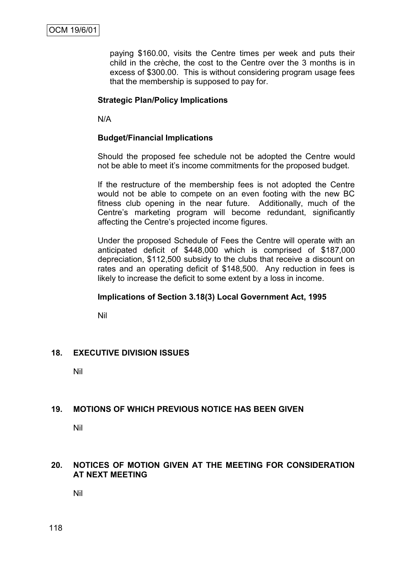paying \$160.00, visits the Centre times per week and puts their child in the crèche, the cost to the Centre over the 3 months is in excess of \$300.00. This is without considering program usage fees that the membership is supposed to pay for.

# **Strategic Plan/Policy Implications**

N/A

# **Budget/Financial Implications**

Should the proposed fee schedule not be adopted the Centre would not be able to meet it"s income commitments for the proposed budget.

If the restructure of the membership fees is not adopted the Centre would not be able to compete on an even footing with the new BC fitness club opening in the near future. Additionally, much of the Centre"s marketing program will become redundant, significantly affecting the Centre"s projected income figures.

Under the proposed Schedule of Fees the Centre will operate with an anticipated deficit of \$448,000 which is comprised of \$187,000 depreciation, \$112,500 subsidy to the clubs that receive a discount on rates and an operating deficit of \$148,500. Any reduction in fees is likely to increase the deficit to some extent by a loss in income.

# **Implications of Section 3.18(3) Local Government Act, 1995**

Nil

# **18. EXECUTIVE DIVISION ISSUES**

Nil

# **19. MOTIONS OF WHICH PREVIOUS NOTICE HAS BEEN GIVEN**

Nil

# **20. NOTICES OF MOTION GIVEN AT THE MEETING FOR CONSIDERATION AT NEXT MEETING**

Nil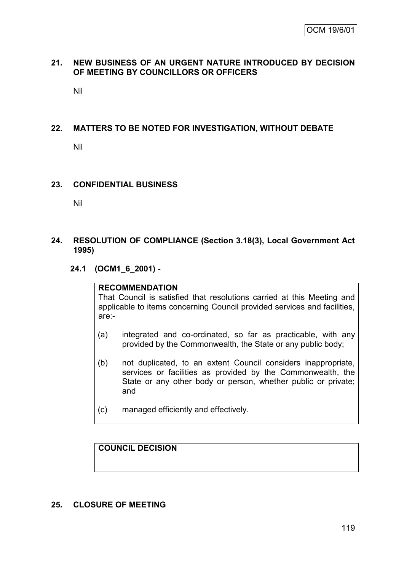# **21. NEW BUSINESS OF AN URGENT NATURE INTRODUCED BY DECISION OF MEETING BY COUNCILLORS OR OFFICERS**

Nil

# **22. MATTERS TO BE NOTED FOR INVESTIGATION, WITHOUT DEBATE**

Nil

# **23. CONFIDENTIAL BUSINESS**

Nil

# **24. RESOLUTION OF COMPLIANCE (Section 3.18(3), Local Government Act 1995)**

# **24.1 (OCM1\_6\_2001) -**

#### **RECOMMENDATION**

That Council is satisfied that resolutions carried at this Meeting and applicable to items concerning Council provided services and facilities, are:-

- (a) integrated and co-ordinated, so far as practicable, with any provided by the Commonwealth, the State or any public body;
- (b) not duplicated, to an extent Council considers inappropriate, services or facilities as provided by the Commonwealth, the State or any other body or person, whether public or private; and
- (c) managed efficiently and effectively.

**COUNCIL DECISION**

# **25. CLOSURE OF MEETING**